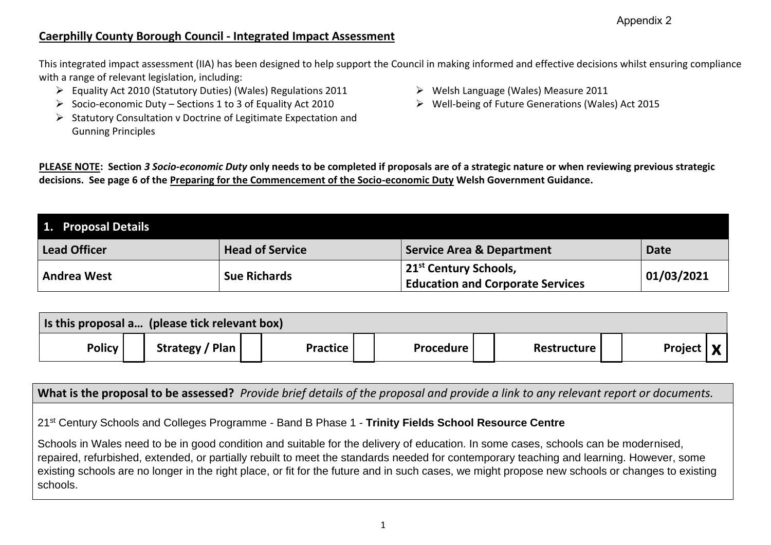# **Caerphilly County Borough Council - Integrated Impact Assessment**

This integrated impact assessment (IIA) has been designed to help support the Council in making informed and effective decisions whilst ensuring compliance with a range of relevant legislation, including:

- ➢ Equality Act 2010 (Statutory Duties) (Wales) Regulations 2011
- ➢ Socio-economic Duty Sections 1 to 3 of Equality Act 2010
- ➢ Statutory Consultation v Doctrine of Legitimate Expectation and Gunning Principles
- ➢ Welsh Language (Wales) Measure 2011
- ➢ Well-being of Future Generations (Wales) Act 2015

**PLEASE NOTE: Section** *3 Socio-economic Duty* **only needs to be completed if proposals are of a strategic nature or when reviewing previous strategic decisions. See page 6 of the [Preparing for the Commencement of the Socio-economic Duty](https://gov.wales/sites/default/files/publications/2020-07/preparing-for-the-commencement-of-the-socio-economic-duty.pdf) Welsh Government Guidance.**

| 1. Proposal Details |                        |                                                                              |             |
|---------------------|------------------------|------------------------------------------------------------------------------|-------------|
| Lead Officer        | <b>Head of Service</b> | <b>Service Area &amp; Department</b>                                         | <b>Date</b> |
| Andrea West         | <b>Sue Richards</b>    | 21 <sup>st</sup> Century Schools,<br><b>Education and Corporate Services</b> | 01/03/2021  |

| I Is this proposal a (please tick relevant box) |                 |                 |                  |                    |                    |  |
|-------------------------------------------------|-----------------|-----------------|------------------|--------------------|--------------------|--|
| <b>Policy</b>                                   | Strategy / Plan | <b>Practice</b> | <b>Procedure</b> | <b>Restructure</b> | Project   <b>X</b> |  |

**What is the proposal to be assessed?** *Provide brief details of the proposal and provide a link to any relevant report or documents.*

21st Century Schools and Colleges Programme - Band B Phase 1 - **Trinity Fields School Resource Centre**

Schools in Wales need to be in good condition and suitable for the delivery of education. In some cases, schools can be modernised, repaired, refurbished, extended, or partially rebuilt to meet the standards needed for contemporary teaching and learning. However, some existing schools are no longer in the right place, or fit for the future and in such cases, we might propose new schools or changes to existing schools.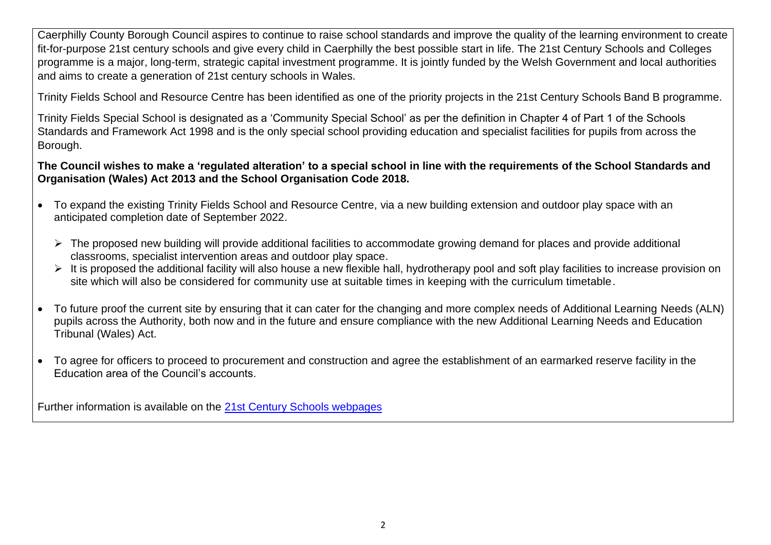Caerphilly County Borough Council aspires to continue to raise school standards and improve the quality of the learning environment to create fit-for-purpose 21st century schools and give every child in Caerphilly the best possible start in life. The 21st Century Schools and Colleges programme is a major, long-term, strategic capital investment programme. It is jointly funded by the Welsh Government and local authorities and aims to create a generation of 21st century schools in Wales.

Trinity Fields School and Resource Centre has been identified as one of the priority projects in the 21st Century Schools Band B programme.

Trinity Fields Special School is designated as a 'Community Special School' as per the definition in Chapter 4 of Part 1 of the Schools Standards and Framework Act 1998 and is the only special school providing education and specialist facilities for pupils from across the Borough.

#### **The Council wishes to make a 'regulated alteration' to a special school in line with the requirements of the School Standards and Organisation (Wales) Act 2013 and the School Organisation Code 2018.**

- To expand the existing Trinity Fields School and Resource Centre, via a new building extension and outdoor play space with an anticipated completion date of September 2022.
	- ➢ The proposed new building will provide additional facilities to accommodate growing demand for places and provide additional classrooms, specialist intervention areas and outdoor play space.
	- ➢ It is proposed the additional facility will also house a new flexible hall, hydrotherapy pool and soft play facilities to increase provision on site which will also be considered for community use at suitable times in keeping with the curriculum timetable.
- To future proof the current site by ensuring that it can cater for the changing and more complex needs of Additional Learning Needs (ALN) pupils across the Authority, both now and in the future and ensure compliance with the new Additional Learning Needs and Education Tribunal (Wales) Act.
- To agree for officers to proceed to procurement and construction and agree the establishment of an earmarked reserve facility in the Education area of the Council's accounts.

Further information is available on the [21st Century Schools webpages](https://www.caerphilly.gov.uk/involved/Consultations/21st-Century-Schools-consultation-(1))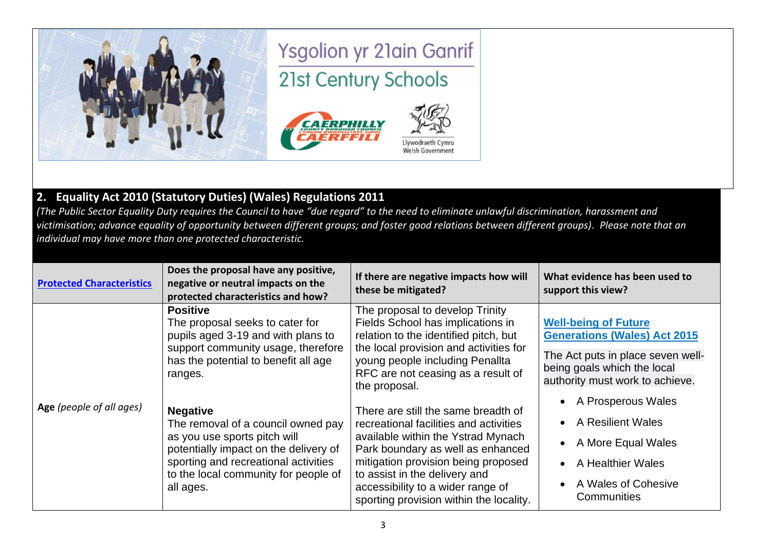

## **2. Equality Act 2010 (Statutory Duties) (Wales) Regulations 2011**

*(The Public Sector Equality Duty requires the Council to have "due regard" to the need to eliminate unlawful discrimination, harassment and victimisation; advance equality of opportunity between different groups; and foster good relations between different groups). Please note that an individual may have more than one protected characteristic.*

| <b>Protected Characteristics</b> | Does the proposal have any positive,<br>negative or neutral impacts on the<br>protected characteristics and how?                                                                                                            | If there are negative impacts how will<br>these be mitigated?                                                                                                                                                                                                                                                    | What evidence has been used to<br>support this view?                                                                                                                      |
|----------------------------------|-----------------------------------------------------------------------------------------------------------------------------------------------------------------------------------------------------------------------------|------------------------------------------------------------------------------------------------------------------------------------------------------------------------------------------------------------------------------------------------------------------------------------------------------------------|---------------------------------------------------------------------------------------------------------------------------------------------------------------------------|
|                                  | <b>Positive</b><br>The proposal seeks to cater for<br>pupils aged 3-19 and with plans to<br>support community usage, therefore<br>has the potential to benefit all age<br>ranges.                                           | The proposal to develop Trinity<br>Fields School has implications in<br>relation to the identified pitch, but<br>the local provision and activities for<br>young people including Penallta<br>RFC are not ceasing as a result of<br>the proposal.                                                                | <b>Well-being of Future</b><br><b>Generations (Wales) Act 2015</b><br>The Act puts in place seven well-<br>being goals which the local<br>authority must work to achieve. |
| Age (people of all ages)         | <b>Negative</b><br>The removal of a council owned pay<br>as you use sports pitch will<br>potentially impact on the delivery of<br>sporting and recreational activities<br>to the local community for people of<br>all ages. | There are still the same breadth of<br>recreational facilities and activities<br>available within the Ystrad Mynach<br>Park boundary as well as enhanced<br>mitigation provision being proposed<br>to assist in the delivery and<br>accessibility to a wider range of<br>sporting provision within the locality. | A Prosperous Wales<br>A Resilient Wales<br>A More Equal Wales<br>A Healthier Wales<br>A Wales of Cohesive<br>Communities                                                  |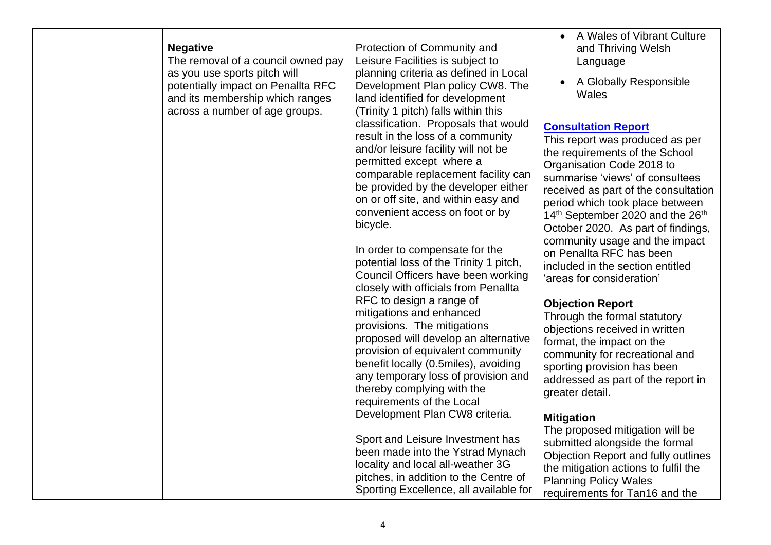| <b>Negative</b><br>The removal of a council owned pay<br>as you use sports pitch will<br>potentially impact on Penallta RFC<br>and its membership which ranges<br>across a number of age groups. | Protection of Community and<br>Leisure Facilities is subject to<br>planning criteria as defined in Local<br>Development Plan policy CW8. The<br>land identified for development<br>(Trinity 1 pitch) falls within this                                                                                           | A Wales of Vibrant Culture<br>and Thriving Welsh<br>Language<br>A Globally Responsible<br>Wales                                                                                                                                                                                                                      |
|--------------------------------------------------------------------------------------------------------------------------------------------------------------------------------------------------|------------------------------------------------------------------------------------------------------------------------------------------------------------------------------------------------------------------------------------------------------------------------------------------------------------------|----------------------------------------------------------------------------------------------------------------------------------------------------------------------------------------------------------------------------------------------------------------------------------------------------------------------|
|                                                                                                                                                                                                  | classification. Proposals that would<br>result in the loss of a community<br>and/or leisure facility will not be<br>permitted except where a<br>comparable replacement facility can<br>be provided by the developer either<br>on or off site, and within easy and<br>convenient access on foot or by<br>bicycle. | <b>Consultation Report</b><br>This report was produced as per<br>the requirements of the School<br>Organisation Code 2018 to<br>summarise 'views' of consultees<br>received as part of the consultation<br>period which took place between<br>14th September 2020 and the 26th<br>October 2020. As part of findings, |
|                                                                                                                                                                                                  | In order to compensate for the<br>potential loss of the Trinity 1 pitch,<br>Council Officers have been working<br>closely with officials from Penallta                                                                                                                                                           | community usage and the impact<br>on Penallta RFC has been<br>included in the section entitled<br>'areas for consideration'                                                                                                                                                                                          |
|                                                                                                                                                                                                  | RFC to design a range of<br>mitigations and enhanced<br>provisions. The mitigations<br>proposed will develop an alternative<br>provision of equivalent community<br>benefit locally (0.5miles), avoiding<br>any temporary loss of provision and<br>thereby complying with the<br>requirements of the Local       | <b>Objection Report</b><br>Through the formal statutory<br>objections received in written<br>format, the impact on the<br>community for recreational and<br>sporting provision has been<br>addressed as part of the report in<br>greater detail.                                                                     |
|                                                                                                                                                                                                  | Development Plan CW8 criteria.<br>Sport and Leisure Investment has<br>been made into the Ystrad Mynach<br>locality and local all-weather 3G<br>pitches, in addition to the Centre of<br>Sporting Excellence, all available for                                                                                   | <b>Mitigation</b><br>The proposed mitigation will be<br>submitted alongside the formal<br>Objection Report and fully outlines<br>the mitigation actions to fulfil the<br><b>Planning Policy Wales</b><br>requirements for Tan16 and the                                                                              |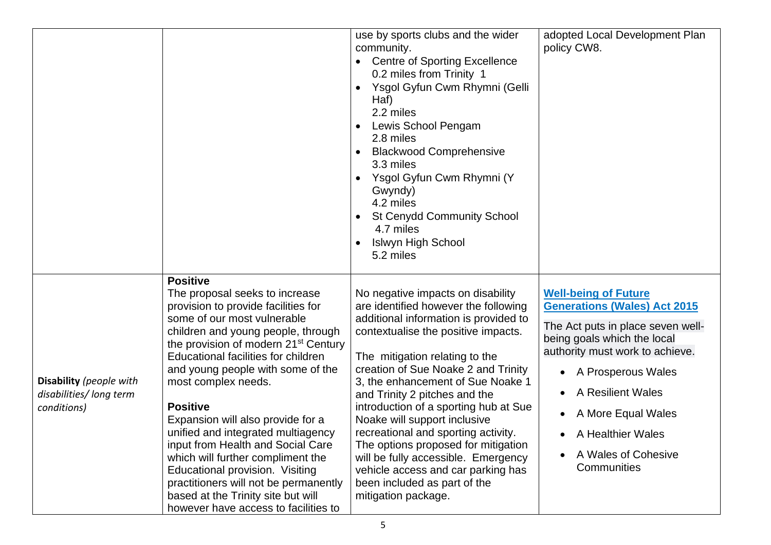|                                                                  |                                                                                                                                                                                                                                                                                                                                                                                                                                                                                                                                                                                                                                                        | use by sports clubs and the wider<br>community.<br><b>Centre of Sporting Excellence</b><br>$\bullet$<br>0.2 miles from Trinity 1<br>Ysgol Gyfun Cwm Rhymni (Gelli<br>$\bullet$<br>Haf)<br>2.2 miles<br>Lewis School Pengam<br>$\bullet$<br>2.8 miles<br><b>Blackwood Comprehensive</b><br>$\bullet$<br>3.3 miles<br>Ysgol Gyfun Cwm Rhymni (Y<br>$\bullet$<br>Gwyndy)<br>4.2 miles<br><b>St Cenydd Community School</b><br>$\bullet$<br>4.7 miles<br><b>Islwyn High School</b><br>$\bullet$<br>5.2 miles                                                                                            | adopted Local Development Plan<br>policy CW8.                                                                                                                                                                                                                                                           |
|------------------------------------------------------------------|--------------------------------------------------------------------------------------------------------------------------------------------------------------------------------------------------------------------------------------------------------------------------------------------------------------------------------------------------------------------------------------------------------------------------------------------------------------------------------------------------------------------------------------------------------------------------------------------------------------------------------------------------------|-----------------------------------------------------------------------------------------------------------------------------------------------------------------------------------------------------------------------------------------------------------------------------------------------------------------------------------------------------------------------------------------------------------------------------------------------------------------------------------------------------------------------------------------------------------------------------------------------------|---------------------------------------------------------------------------------------------------------------------------------------------------------------------------------------------------------------------------------------------------------------------------------------------------------|
| Disability (people with<br>disabilities/long term<br>conditions) | <b>Positive</b><br>The proposal seeks to increase<br>provision to provide facilities for<br>some of our most vulnerable<br>children and young people, through<br>the provision of modern 21 <sup>st</sup> Century<br>Educational facilities for children<br>and young people with some of the<br>most complex needs.<br><b>Positive</b><br>Expansion will also provide for a<br>unified and integrated multiagency<br>input from Health and Social Care<br>which will further compliment the<br>Educational provision. Visiting<br>practitioners will not be permanently<br>based at the Trinity site but will<br>however have access to facilities to | No negative impacts on disability<br>are identified however the following<br>additional information is provided to<br>contextualise the positive impacts.<br>The mitigation relating to the<br>creation of Sue Noake 2 and Trinity<br>3, the enhancement of Sue Noake 1<br>and Trinity 2 pitches and the<br>introduction of a sporting hub at Sue<br>Noake will support inclusive<br>recreational and sporting activity.<br>The options proposed for mitigation<br>will be fully accessible. Emergency<br>vehicle access and car parking has<br>been included as part of the<br>mitigation package. | <b>Well-being of Future</b><br><b>Generations (Wales) Act 2015</b><br>The Act puts in place seven well-<br>being goals which the local<br>authority must work to achieve.<br>• A Prosperous Wales<br>A Resilient Wales<br>A More Equal Wales<br>A Healthier Wales<br>A Wales of Cohesive<br>Communities |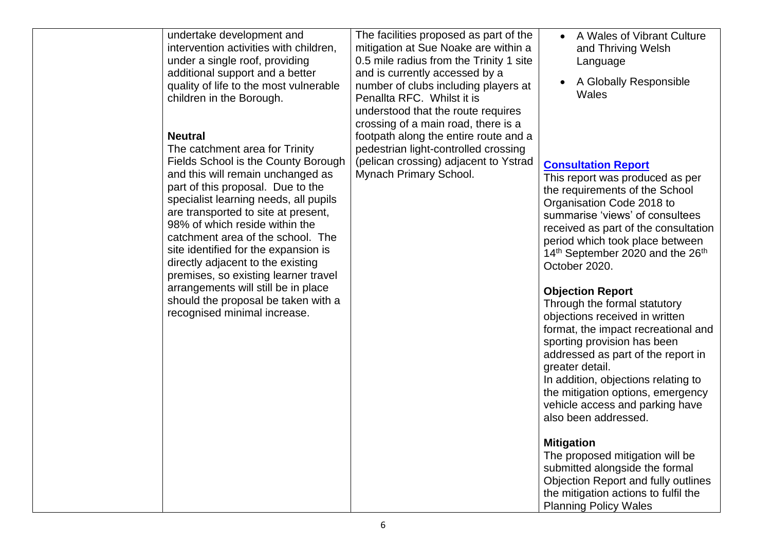| undertake development and                                                  | The facilities proposed as part of the  | A Wales of Vibrant Culture<br>$\bullet$                             |
|----------------------------------------------------------------------------|-----------------------------------------|---------------------------------------------------------------------|
| intervention activities with children,                                     | mitigation at Sue Noake are within a    | and Thriving Welsh                                                  |
| under a single roof, providing                                             | 0.5 mile radius from the Trinity 1 site | Language                                                            |
| additional support and a better                                            | and is currently accessed by a          |                                                                     |
| quality of life to the most vulnerable                                     | number of clubs including players at    | A Globally Responsible                                              |
| children in the Borough.                                                   | Penallta RFC. Whilst it is              | Wales                                                               |
|                                                                            | understood that the route requires      |                                                                     |
|                                                                            | crossing of a main road, there is a     |                                                                     |
| <b>Neutral</b>                                                             | footpath along the entire route and a   |                                                                     |
| The catchment area for Trinity                                             | pedestrian light-controlled crossing    |                                                                     |
| Fields School is the County Borough                                        | (pelican crossing) adjacent to Ystrad   | <b>Consultation Report</b>                                          |
| and this will remain unchanged as                                          | Mynach Primary School.                  | This report was produced as per                                     |
| part of this proposal. Due to the<br>specialist learning needs, all pupils |                                         | the requirements of the School                                      |
| are transported to site at present,                                        |                                         | Organisation Code 2018 to                                           |
| 98% of which reside within the                                             |                                         | summarise 'views' of consultees                                     |
| catchment area of the school. The                                          |                                         | received as part of the consultation                                |
| site identified for the expansion is                                       |                                         | period which took place between<br>14th September 2020 and the 26th |
| directly adjacent to the existing                                          |                                         | October 2020.                                                       |
| premises, so existing learner travel                                       |                                         |                                                                     |
| arrangements will still be in place                                        |                                         | <b>Objection Report</b>                                             |
| should the proposal be taken with a                                        |                                         | Through the formal statutory                                        |
| recognised minimal increase.                                               |                                         | objections received in written                                      |
|                                                                            |                                         | format, the impact recreational and                                 |
|                                                                            |                                         | sporting provision has been                                         |
|                                                                            |                                         | addressed as part of the report in                                  |
|                                                                            |                                         | greater detail.                                                     |
|                                                                            |                                         | In addition, objections relating to                                 |
|                                                                            |                                         | the mitigation options, emergency                                   |
|                                                                            |                                         | vehicle access and parking have<br>also been addressed.             |
|                                                                            |                                         |                                                                     |
|                                                                            |                                         | <b>Mitigation</b>                                                   |
|                                                                            |                                         | The proposed mitigation will be                                     |
|                                                                            |                                         | submitted alongside the formal                                      |
|                                                                            |                                         | Objection Report and fully outlines                                 |
|                                                                            |                                         | the mitigation actions to fulfil the                                |
|                                                                            |                                         | <b>Planning Policy Wales</b>                                        |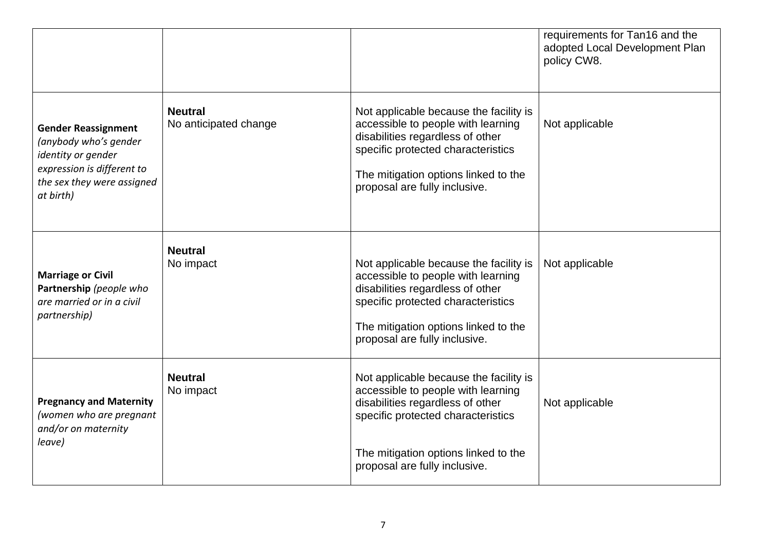|                                                                                                                                                    |                                         |                                                                                                                                                                                                                                 | requirements for Tan16 and the<br>adopted Local Development Plan<br>policy CW8. |
|----------------------------------------------------------------------------------------------------------------------------------------------------|-----------------------------------------|---------------------------------------------------------------------------------------------------------------------------------------------------------------------------------------------------------------------------------|---------------------------------------------------------------------------------|
| <b>Gender Reassignment</b><br>(anybody who's gender<br>identity or gender<br>expression is different to<br>the sex they were assigned<br>at birth) | <b>Neutral</b><br>No anticipated change | Not applicable because the facility is<br>accessible to people with learning<br>disabilities regardless of other<br>specific protected characteristics<br>The mitigation options linked to the<br>proposal are fully inclusive. | Not applicable                                                                  |
| <b>Marriage or Civil</b><br>Partnership (people who<br>are married or in a civil<br>partnership)                                                   | <b>Neutral</b><br>No impact             | Not applicable because the facility is<br>accessible to people with learning<br>disabilities regardless of other<br>specific protected characteristics<br>The mitigation options linked to the<br>proposal are fully inclusive. | Not applicable                                                                  |
| <b>Pregnancy and Maternity</b><br>(women who are pregnant<br>and/or on maternity<br>leave)                                                         | <b>Neutral</b><br>No impact             | Not applicable because the facility is<br>accessible to people with learning<br>disabilities regardless of other<br>specific protected characteristics<br>The mitigation options linked to the<br>proposal are fully inclusive. | Not applicable                                                                  |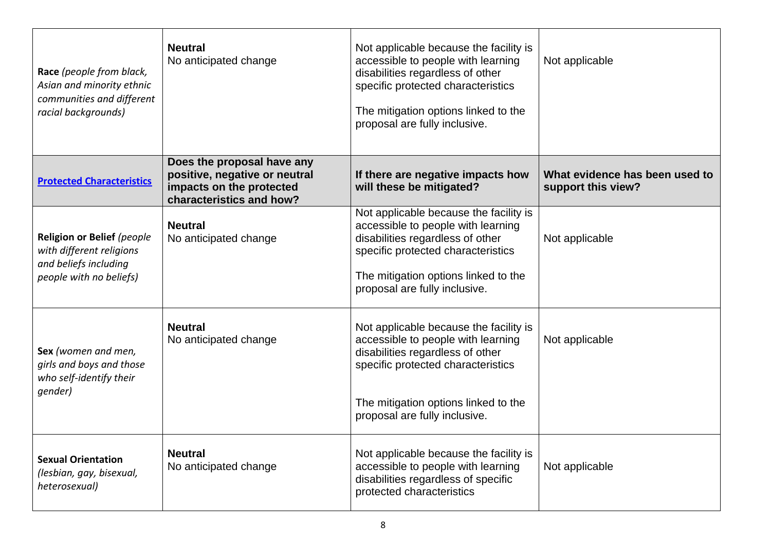| Race (people from black,<br>Asian and minority ethnic<br>communities and different<br>racial backgrounds)  | <b>Neutral</b><br>No anticipated change                                                                             | Not applicable because the facility is<br>accessible to people with learning<br>disabilities regardless of other<br>specific protected characteristics<br>The mitigation options linked to the<br>proposal are fully inclusive. | Not applicable                                       |
|------------------------------------------------------------------------------------------------------------|---------------------------------------------------------------------------------------------------------------------|---------------------------------------------------------------------------------------------------------------------------------------------------------------------------------------------------------------------------------|------------------------------------------------------|
| <b>Protected Characteristics</b>                                                                           | Does the proposal have any<br>positive, negative or neutral<br>impacts on the protected<br>characteristics and how? | If there are negative impacts how<br>will these be mitigated?                                                                                                                                                                   | What evidence has been used to<br>support this view? |
| Religion or Belief (people<br>with different religions<br>and beliefs including<br>people with no beliefs) | <b>Neutral</b><br>No anticipated change                                                                             | Not applicable because the facility is<br>accessible to people with learning<br>disabilities regardless of other<br>specific protected characteristics<br>The mitigation options linked to the<br>proposal are fully inclusive. | Not applicable                                       |
| Sex (women and men,<br>girls and boys and those<br>who self-identify their<br>gender)                      | <b>Neutral</b><br>No anticipated change                                                                             | Not applicable because the facility is<br>accessible to people with learning<br>disabilities regardless of other<br>specific protected characteristics<br>The mitigation options linked to the<br>proposal are fully inclusive. | Not applicable                                       |
| <b>Sexual Orientation</b><br>(lesbian, gay, bisexual,<br>heterosexual)                                     | <b>Neutral</b><br>No anticipated change                                                                             | Not applicable because the facility is<br>accessible to people with learning<br>disabilities regardless of specific<br>protected characteristics                                                                                | Not applicable                                       |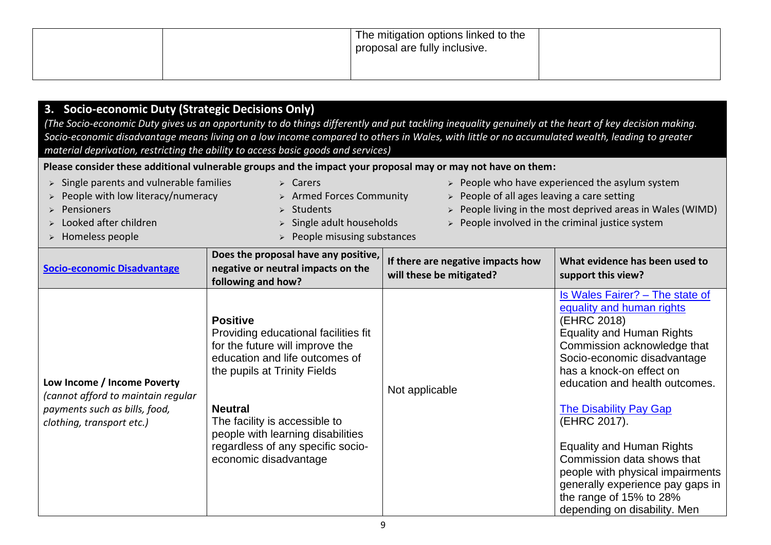|  | The mitigation options linked to the<br>proposal are fully inclusive. |  |
|--|-----------------------------------------------------------------------|--|
|  |                                                                       |  |

| 3. Socio-economic Duty (Strategic Decisions Only)                                                                                                                                                                                                                                                                                                                                                                                                                                                                                                                                                                                                                                                                                                                                      | (The Socio-economic Duty gives us an opportunity to do things differently and put tackling inequality genuinely at the heart of key decision making.<br>Socio-economic disadvantage means living on a low income compared to others in Wales, with little or no accumulated wealth, leading to greater             |                                                               |                                                                                                                                                                                                                                                                                                                                                                                                                                                                                                   |  |
|----------------------------------------------------------------------------------------------------------------------------------------------------------------------------------------------------------------------------------------------------------------------------------------------------------------------------------------------------------------------------------------------------------------------------------------------------------------------------------------------------------------------------------------------------------------------------------------------------------------------------------------------------------------------------------------------------------------------------------------------------------------------------------------|--------------------------------------------------------------------------------------------------------------------------------------------------------------------------------------------------------------------------------------------------------------------------------------------------------------------|---------------------------------------------------------------|---------------------------------------------------------------------------------------------------------------------------------------------------------------------------------------------------------------------------------------------------------------------------------------------------------------------------------------------------------------------------------------------------------------------------------------------------------------------------------------------------|--|
| material deprivation, restricting the ability to access basic goods and services)<br>Please consider these additional vulnerable groups and the impact your proposal may or may not have on them:<br>Single parents and vulnerable families<br>$\triangleright$ Carers<br>$\triangleright$ People who have experienced the asylum system<br>$\blacktriangleright$<br>People with low literacy/numeracy<br>$\triangleright$ People of all ages leaving a care setting<br>> Armed Forces Community<br>$\triangleright$ People living in the most deprived areas in Wales (WIMD)<br><b>Pensioners</b><br>Students<br>Looked after children<br>Single adult households<br>$\triangleright$ People involved in the criminal justice system<br>Homeless people<br>People misusing substances |                                                                                                                                                                                                                                                                                                                    |                                                               |                                                                                                                                                                                                                                                                                                                                                                                                                                                                                                   |  |
| <b>Socio-economic Disadvantage</b>                                                                                                                                                                                                                                                                                                                                                                                                                                                                                                                                                                                                                                                                                                                                                     | Does the proposal have any positive,<br>negative or neutral impacts on the<br>following and how?                                                                                                                                                                                                                   | If there are negative impacts how<br>will these be mitigated? | What evidence has been used to<br>support this view?                                                                                                                                                                                                                                                                                                                                                                                                                                              |  |
| Low Income / Income Poverty<br>(cannot afford to maintain regular<br>payments such as bills, food,<br>clothing, transport etc.)                                                                                                                                                                                                                                                                                                                                                                                                                                                                                                                                                                                                                                                        | <b>Positive</b><br>Providing educational facilities fit<br>for the future will improve the<br>education and life outcomes of<br>the pupils at Trinity Fields<br><b>Neutral</b><br>The facility is accessible to<br>people with learning disabilities<br>regardless of any specific socio-<br>economic disadvantage | Not applicable                                                | Is Wales Fairer? - The state of<br>equality and human rights<br>(EHRC 2018)<br><b>Equality and Human Rights</b><br>Commission acknowledge that<br>Socio-economic disadvantage<br>has a knock-on effect on<br>education and health outcomes.<br><b>The Disability Pay Gap</b><br>(EHRC 2017).<br><b>Equality and Human Rights</b><br>Commission data shows that<br>people with physical impairments<br>generally experience pay gaps in<br>the range of 15% to 28%<br>depending on disability. Men |  |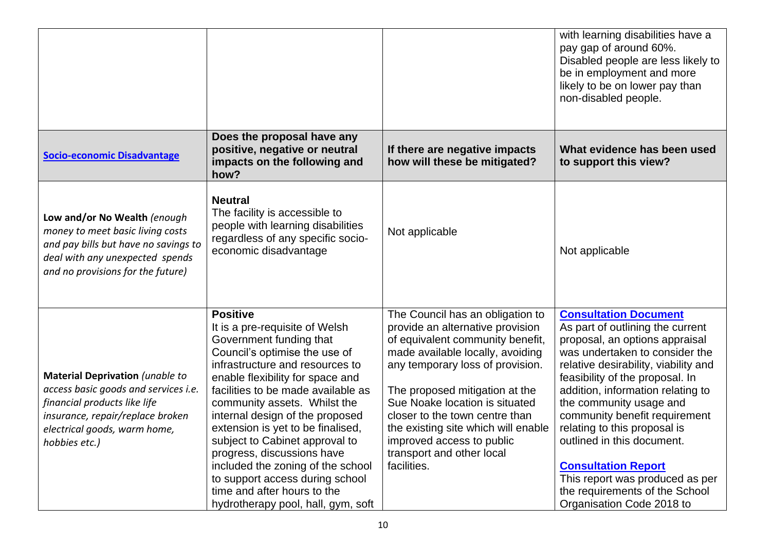|                                                                                                                                                                                                     |                                                                                                                                                                                                                                                                                                                                                                                                                                                                                                                                                 |                                                                                                                                                                                                                                                                                                                                                                                                        | with learning disabilities have a<br>pay gap of around 60%.<br>Disabled people are less likely to<br>be in employment and more<br>likely to be on lower pay than<br>non-disabled people.                                                                                                                                                                                                                                                                                                                       |
|-----------------------------------------------------------------------------------------------------------------------------------------------------------------------------------------------------|-------------------------------------------------------------------------------------------------------------------------------------------------------------------------------------------------------------------------------------------------------------------------------------------------------------------------------------------------------------------------------------------------------------------------------------------------------------------------------------------------------------------------------------------------|--------------------------------------------------------------------------------------------------------------------------------------------------------------------------------------------------------------------------------------------------------------------------------------------------------------------------------------------------------------------------------------------------------|----------------------------------------------------------------------------------------------------------------------------------------------------------------------------------------------------------------------------------------------------------------------------------------------------------------------------------------------------------------------------------------------------------------------------------------------------------------------------------------------------------------|
| <b>Socio-economic Disadvantage</b>                                                                                                                                                                  | Does the proposal have any<br>positive, negative or neutral<br>impacts on the following and<br>how?                                                                                                                                                                                                                                                                                                                                                                                                                                             | If there are negative impacts<br>how will these be mitigated?                                                                                                                                                                                                                                                                                                                                          | What evidence has been used<br>to support this view?                                                                                                                                                                                                                                                                                                                                                                                                                                                           |
| Low and/or No Wealth (enough<br>money to meet basic living costs<br>and pay bills but have no savings to<br>deal with any unexpected spends<br>and no provisions for the future)                    | <b>Neutral</b><br>The facility is accessible to<br>people with learning disabilities<br>regardless of any specific socio-<br>economic disadvantage                                                                                                                                                                                                                                                                                                                                                                                              | Not applicable                                                                                                                                                                                                                                                                                                                                                                                         | Not applicable                                                                                                                                                                                                                                                                                                                                                                                                                                                                                                 |
| <b>Material Deprivation (unable to</b><br>access basic goods and services i.e.<br>financial products like life<br>insurance, repair/replace broken<br>electrical goods, warm home,<br>hobbies etc.) | <b>Positive</b><br>It is a pre-requisite of Welsh<br>Government funding that<br>Council's optimise the use of<br>infrastructure and resources to<br>enable flexibility for space and<br>facilities to be made available as<br>community assets. Whilst the<br>internal design of the proposed<br>extension is yet to be finalised,<br>subject to Cabinet approval to<br>progress, discussions have<br>included the zoning of the school<br>to support access during school<br>time and after hours to the<br>hydrotherapy pool, hall, gym, soft | The Council has an obligation to<br>provide an alternative provision<br>of equivalent community benefit,<br>made available locally, avoiding<br>any temporary loss of provision.<br>The proposed mitigation at the<br>Sue Noake location is situated<br>closer to the town centre than<br>the existing site which will enable<br>improved access to public<br>transport and other local<br>facilities. | <b>Consultation Document</b><br>As part of outlining the current<br>proposal, an options appraisal<br>was undertaken to consider the<br>relative desirability, viability and<br>feasibility of the proposal. In<br>addition, information relating to<br>the community usage and<br>community benefit requirement<br>relating to this proposal is<br>outlined in this document.<br><b>Consultation Report</b><br>This report was produced as per<br>the requirements of the School<br>Organisation Code 2018 to |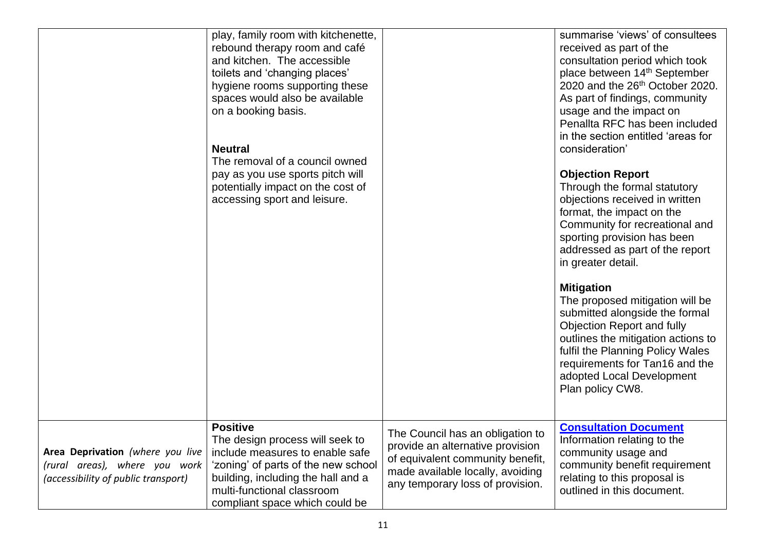|                                                                                                          | play, family room with kitchenette,<br>rebound therapy room and café<br>and kitchen. The accessible<br>toilets and 'changing places'<br>hygiene rooms supporting these<br>spaces would also be available<br>on a booking basis.<br><b>Neutral</b><br>The removal of a council owned<br>pay as you use sports pitch will<br>potentially impact on the cost of<br>accessing sport and leisure. |                                                                                                                                                                                  | summarise 'views' of consultees<br>received as part of the<br>consultation period which took<br>place between 14 <sup>th</sup> September<br>2020 and the 26 <sup>th</sup> October 2020.<br>As part of findings, community<br>usage and the impact on<br>Penallta RFC has been included<br>in the section entitled 'areas for<br>consideration'<br><b>Objection Report</b><br>Through the formal statutory<br>objections received in written<br>format, the impact on the<br>Community for recreational and<br>sporting provision has been<br>addressed as part of the report<br>in greater detail.<br><b>Mitigation</b><br>The proposed mitigation will be<br>submitted alongside the formal<br><b>Objection Report and fully</b><br>outlines the mitigation actions to<br>fulfil the Planning Policy Wales<br>requirements for Tan16 and the<br>adopted Local Development<br>Plan policy CW8. |
|----------------------------------------------------------------------------------------------------------|----------------------------------------------------------------------------------------------------------------------------------------------------------------------------------------------------------------------------------------------------------------------------------------------------------------------------------------------------------------------------------------------|----------------------------------------------------------------------------------------------------------------------------------------------------------------------------------|------------------------------------------------------------------------------------------------------------------------------------------------------------------------------------------------------------------------------------------------------------------------------------------------------------------------------------------------------------------------------------------------------------------------------------------------------------------------------------------------------------------------------------------------------------------------------------------------------------------------------------------------------------------------------------------------------------------------------------------------------------------------------------------------------------------------------------------------------------------------------------------------|
| Area Deprivation (where you live<br>(rural areas), where you work<br>(accessibility of public transport) | <b>Positive</b><br>The design process will seek to<br>include measures to enable safe<br>'zoning' of parts of the new school<br>building, including the hall and a<br>multi-functional classroom<br>compliant space which could be                                                                                                                                                           | The Council has an obligation to<br>provide an alternative provision<br>of equivalent community benefit,<br>made available locally, avoiding<br>any temporary loss of provision. | <b>Consultation Document</b><br>Information relating to the<br>community usage and<br>community benefit requirement<br>relating to this proposal is<br>outlined in this document.                                                                                                                                                                                                                                                                                                                                                                                                                                                                                                                                                                                                                                                                                                              |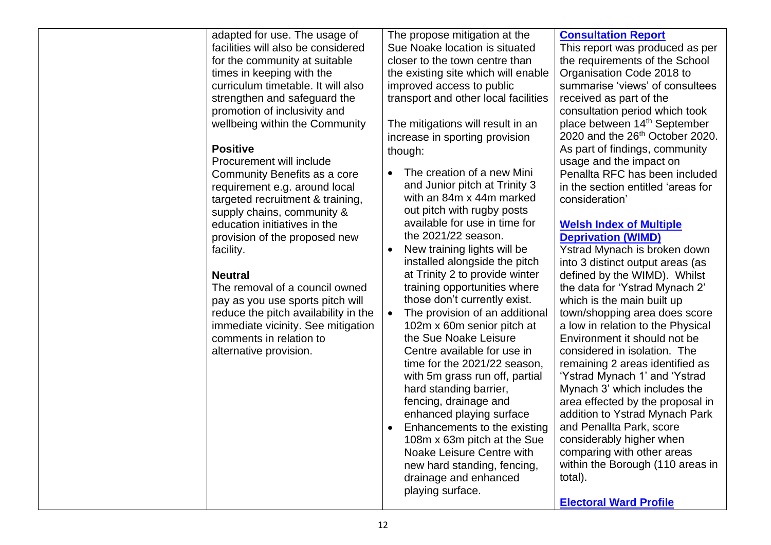| adapted for use. The usage of        | The propose mitigation at the               | <b>Consultation Report</b>                  |
|--------------------------------------|---------------------------------------------|---------------------------------------------|
| facilities will also be considered   | Sue Noake location is situated              | This report was produced as per             |
| for the community at suitable        | closer to the town centre than              | the requirements of the School              |
| times in keeping with the            | the existing site which will enable         | Organisation Code 2018 to                   |
| curriculum timetable. It will also   | improved access to public                   | summarise 'views' of consultees             |
| strengthen and safeguard the         | transport and other local facilities        | received as part of the                     |
| promotion of inclusivity and         |                                             | consultation period which took              |
| wellbeing within the Community       | The mitigations will result in an           | place between 14 <sup>th</sup> September    |
|                                      | increase in sporting provision              | 2020 and the 26 <sup>th</sup> October 2020. |
| <b>Positive</b>                      | though:                                     | As part of findings, community              |
| Procurement will include             |                                             | usage and the impact on                     |
| Community Benefits as a core         | The creation of a new Mini<br>$\bullet$     | Penallta RFC has been included              |
| requirement e.g. around local        | and Junior pitch at Trinity 3               | in the section entitled 'areas for          |
| targeted recruitment & training,     | with an 84m x 44m marked                    | consideration'                              |
| supply chains, community &           | out pitch with rugby posts                  |                                             |
| education initiatives in the         | available for use in time for               | <b>Welsh Index of Multiple</b>              |
| provision of the proposed new        | the 2021/22 season.                         | <b>Deprivation (WIMD)</b>                   |
| facility.                            | New training lights will be<br>$\bullet$    | Ystrad Mynach is broken down                |
|                                      | installed alongside the pitch               | into 3 distinct output areas (as            |
| <b>Neutral</b>                       | at Trinity 2 to provide winter              | defined by the WIMD). Whilst                |
| The removal of a council owned       | training opportunities where                | the data for 'Ystrad Mynach 2'              |
| pay as you use sports pitch will     | those don't currently exist.                | which is the main built up                  |
| reduce the pitch availability in the | The provision of an additional<br>$\bullet$ | town/shopping area does score               |
| immediate vicinity. See mitigation   | 102m x 60m senior pitch at                  | a low in relation to the Physical           |
| comments in relation to              | the Sue Noake Leisure                       | Environment it should not be                |
| alternative provision.               | Centre available for use in                 | considered in isolation. The                |
|                                      | time for the 2021/22 season,                | remaining 2 areas identified as             |
|                                      | with 5m grass run off, partial              | 'Ystrad Mynach 1' and 'Ystrad               |
|                                      | hard standing barrier,                      | Mynach 3' which includes the                |
|                                      | fencing, drainage and                       | area effected by the proposal in            |
|                                      | enhanced playing surface                    | addition to Ystrad Mynach Park              |
|                                      | Enhancements to the existing                | and Penallta Park, score                    |
|                                      | 108m x 63m pitch at the Sue                 | considerably higher when                    |
|                                      | Noake Leisure Centre with                   | comparing with other areas                  |
|                                      | new hard standing, fencing,                 | within the Borough (110 areas in            |
|                                      | drainage and enhanced                       | total).                                     |
|                                      | playing surface.                            |                                             |
|                                      |                                             |                                             |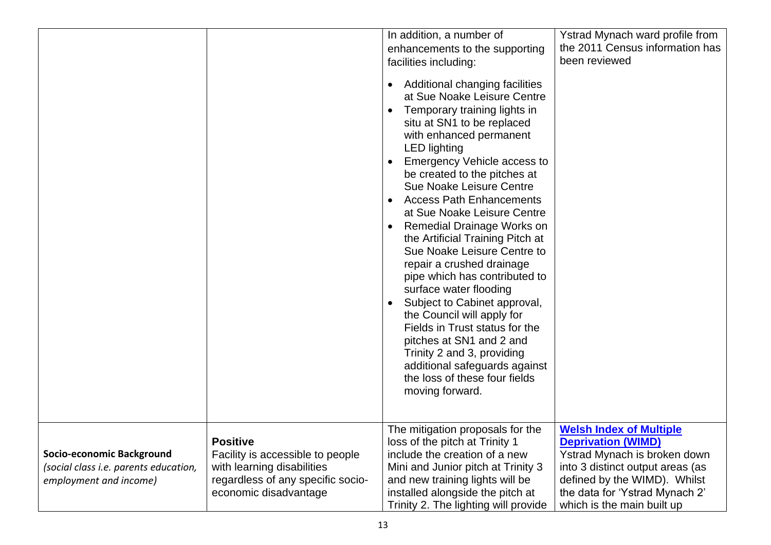|                                                                                              |                                                                                                                                                 | In addition, a number of<br>enhancements to the supporting<br>facilities including:<br>Additional changing facilities<br>at Sue Noake Leisure Centre<br>Temporary training lights in<br>situ at SN1 to be replaced<br>with enhanced permanent<br><b>LED</b> lighting<br><b>Emergency Vehicle access to</b><br>be created to the pitches at<br>Sue Noake Leisure Centre<br><b>Access Path Enhancements</b><br>at Sue Noake Leisure Centre<br>Remedial Drainage Works on<br>the Artificial Training Pitch at<br>Sue Noake Leisure Centre to<br>repair a crushed drainage<br>pipe which has contributed to<br>surface water flooding<br>Subject to Cabinet approval,<br>the Council will apply for<br>Fields in Trust status for the<br>pitches at SN1 and 2 and<br>Trinity 2 and 3, providing<br>additional safeguards against<br>the loss of these four fields<br>moving forward. | Ystrad Mynach ward profile from<br>the 2011 Census information has<br>been reviewed                                                                                                                                             |
|----------------------------------------------------------------------------------------------|-------------------------------------------------------------------------------------------------------------------------------------------------|----------------------------------------------------------------------------------------------------------------------------------------------------------------------------------------------------------------------------------------------------------------------------------------------------------------------------------------------------------------------------------------------------------------------------------------------------------------------------------------------------------------------------------------------------------------------------------------------------------------------------------------------------------------------------------------------------------------------------------------------------------------------------------------------------------------------------------------------------------------------------------|---------------------------------------------------------------------------------------------------------------------------------------------------------------------------------------------------------------------------------|
| Socio-economic Background<br>(social class i.e. parents education,<br>employment and income) | <b>Positive</b><br>Facility is accessible to people<br>with learning disabilities<br>regardless of any specific socio-<br>economic disadvantage | The mitigation proposals for the<br>loss of the pitch at Trinity 1<br>include the creation of a new<br>Mini and Junior pitch at Trinity 3<br>and new training lights will be<br>installed alongside the pitch at<br>Trinity 2. The lighting will provide                                                                                                                                                                                                                                                                                                                                                                                                                                                                                                                                                                                                                         | <b>Welsh Index of Multiple</b><br><b>Deprivation (WIMD)</b><br>Ystrad Mynach is broken down<br>into 3 distinct output areas (as<br>defined by the WIMD). Whilst<br>the data for 'Ystrad Mynach 2'<br>which is the main built up |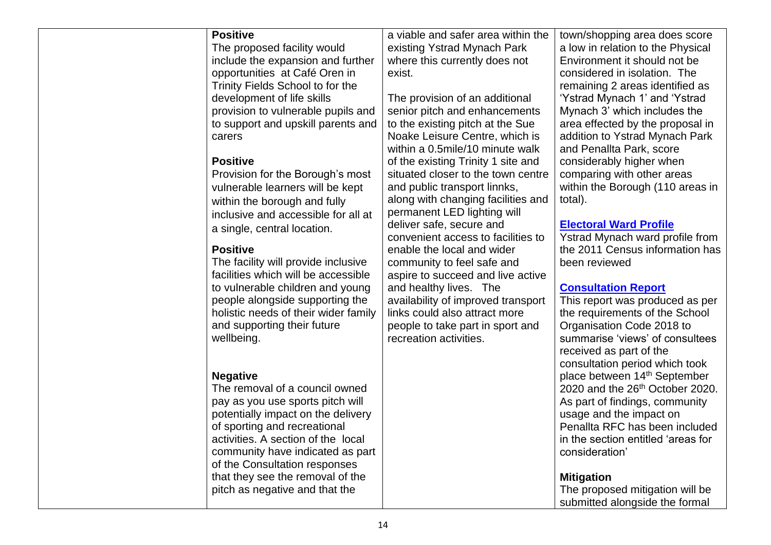| <b>Positive</b><br>The proposed facility would<br>include the expansion and further<br>opportunities at Café Oren in<br>Trinity Fields School to for the<br>development of life skills<br>provision to vulnerable pupils and<br>to support and upskill parents and<br>carers<br><b>Positive</b><br>Provision for the Borough's most<br>vulnerable learners will be kept<br>within the borough and fully<br>inclusive and accessible for all at<br>a single, central location.<br><b>Positive</b><br>The facility will provide inclusive<br>facilities which will be accessible<br>to vulnerable children and young<br>people alongside supporting the<br>holistic needs of their wider family<br>and supporting their future<br>wellbeing.<br><b>Negative</b><br>The removal of a council owned<br>pay as you use sports pitch will<br>potentially impact on the delivery<br>of sporting and recreational<br>activities. A section of the local<br>community have indicated as part<br>of the Consultation responses<br>that they see the removal of the<br>pitch as negative and that the | a viable and safer area within the<br>existing Ystrad Mynach Park<br>where this currently does not<br>exist.<br>The provision of an additional<br>senior pitch and enhancements<br>to the existing pitch at the Sue<br>Noake Leisure Centre, which is<br>within a 0.5mile/10 minute walk<br>of the existing Trinity 1 site and<br>situated closer to the town centre<br>and public transport linnks,<br>along with changing facilities and<br>permanent LED lighting will<br>deliver safe, secure and<br>convenient access to facilities to<br>enable the local and wider<br>community to feel safe and<br>aspire to succeed and live active<br>and healthy lives. The<br>availability of improved transport<br>links could also attract more<br>people to take part in sport and<br>recreation activities. | town/shopping area does score<br>a low in relation to the Physical<br>Environment it should not be<br>considered in isolation. The<br>remaining 2 areas identified as<br>'Ystrad Mynach 1' and 'Ystrad<br>Mynach 3' which includes the<br>area effected by the proposal in<br>addition to Ystrad Mynach Park<br>and Penallta Park, score<br>considerably higher when<br>comparing with other areas<br>within the Borough (110 areas in<br>total).<br><b>Electoral Ward Profile</b><br>Ystrad Mynach ward profile from<br>the 2011 Census information has<br>been reviewed<br><b>Consultation Report</b><br>This report was produced as per<br>the requirements of the School<br>Organisation Code 2018 to<br>summarise 'views' of consultees<br>received as part of the<br>consultation period which took<br>place between 14 <sup>th</sup> September<br>2020 and the 26 <sup>th</sup> October 2020.<br>As part of findings, community<br>usage and the impact on<br>Penallta RFC has been included<br>in the section entitled 'areas for<br>consideration'<br><b>Mitigation</b><br>The proposed mitigation will be<br>submitted alongside the formal |
|--------------------------------------------------------------------------------------------------------------------------------------------------------------------------------------------------------------------------------------------------------------------------------------------------------------------------------------------------------------------------------------------------------------------------------------------------------------------------------------------------------------------------------------------------------------------------------------------------------------------------------------------------------------------------------------------------------------------------------------------------------------------------------------------------------------------------------------------------------------------------------------------------------------------------------------------------------------------------------------------------------------------------------------------------------------------------------------------|-------------------------------------------------------------------------------------------------------------------------------------------------------------------------------------------------------------------------------------------------------------------------------------------------------------------------------------------------------------------------------------------------------------------------------------------------------------------------------------------------------------------------------------------------------------------------------------------------------------------------------------------------------------------------------------------------------------------------------------------------------------------------------------------------------------|-------------------------------------------------------------------------------------------------------------------------------------------------------------------------------------------------------------------------------------------------------------------------------------------------------------------------------------------------------------------------------------------------------------------------------------------------------------------------------------------------------------------------------------------------------------------------------------------------------------------------------------------------------------------------------------------------------------------------------------------------------------------------------------------------------------------------------------------------------------------------------------------------------------------------------------------------------------------------------------------------------------------------------------------------------------------------------------------------------------------------------------------------------|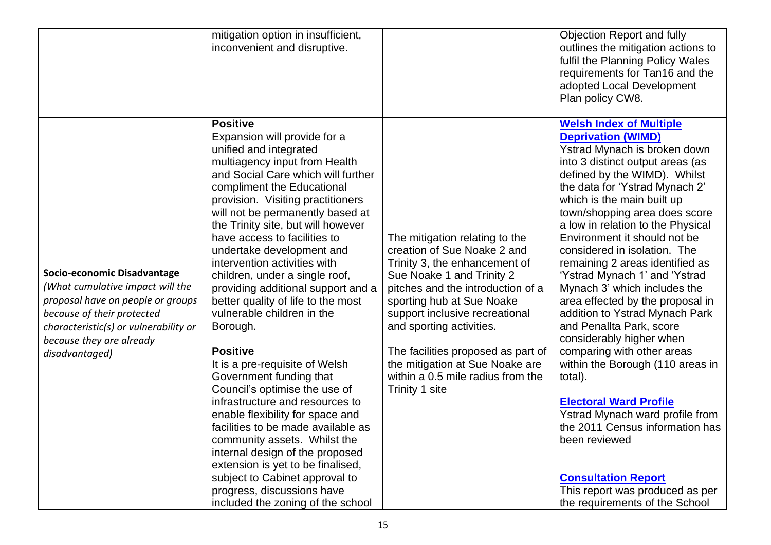|                                                                                                                                                                                                                           | mitigation option in insufficient,<br>inconvenient and disruptive.                                                                                                                                                                                                                                                                                                                                                                                                                                                                                                                                                                                                                                                                                                                                                                                                                                                                                                                            |                                                                                                                                                                                                                                                                                                                                                                                             | <b>Objection Report and fully</b><br>outlines the mitigation actions to<br>fulfil the Planning Policy Wales<br>requirements for Tan16 and the<br>adopted Local Development<br>Plan policy CW8.                                                                                                                                                                                                                                                                                                                                                                                                                                                                                                                                                                                                                                                                                                                  |
|---------------------------------------------------------------------------------------------------------------------------------------------------------------------------------------------------------------------------|-----------------------------------------------------------------------------------------------------------------------------------------------------------------------------------------------------------------------------------------------------------------------------------------------------------------------------------------------------------------------------------------------------------------------------------------------------------------------------------------------------------------------------------------------------------------------------------------------------------------------------------------------------------------------------------------------------------------------------------------------------------------------------------------------------------------------------------------------------------------------------------------------------------------------------------------------------------------------------------------------|---------------------------------------------------------------------------------------------------------------------------------------------------------------------------------------------------------------------------------------------------------------------------------------------------------------------------------------------------------------------------------------------|-----------------------------------------------------------------------------------------------------------------------------------------------------------------------------------------------------------------------------------------------------------------------------------------------------------------------------------------------------------------------------------------------------------------------------------------------------------------------------------------------------------------------------------------------------------------------------------------------------------------------------------------------------------------------------------------------------------------------------------------------------------------------------------------------------------------------------------------------------------------------------------------------------------------|
| Socio-economic Disadvantage<br>(What cumulative impact will the<br>proposal have on people or groups<br>because of their protected<br>characteristic(s) or vulnerability or<br>because they are already<br>disadvantaged) | <b>Positive</b><br>Expansion will provide for a<br>unified and integrated<br>multiagency input from Health<br>and Social Care which will further<br>compliment the Educational<br>provision. Visiting practitioners<br>will not be permanently based at<br>the Trinity site, but will however<br>have access to facilities to<br>undertake development and<br>intervention activities with<br>children, under a single roof,<br>providing additional support and a<br>better quality of life to the most<br>vulnerable children in the<br>Borough.<br><b>Positive</b><br>It is a pre-requisite of Welsh<br>Government funding that<br>Council's optimise the use of<br>infrastructure and resources to<br>enable flexibility for space and<br>facilities to be made available as<br>community assets. Whilst the<br>internal design of the proposed<br>extension is yet to be finalised,<br>subject to Cabinet approval to<br>progress, discussions have<br>included the zoning of the school | The mitigation relating to the<br>creation of Sue Noake 2 and<br>Trinity 3, the enhancement of<br>Sue Noake 1 and Trinity 2<br>pitches and the introduction of a<br>sporting hub at Sue Noake<br>support inclusive recreational<br>and sporting activities.<br>The facilities proposed as part of<br>the mitigation at Sue Noake are<br>within a 0.5 mile radius from the<br>Trinity 1 site | <b>Welsh Index of Multiple</b><br><b>Deprivation (WIMD)</b><br>Ystrad Mynach is broken down<br>into 3 distinct output areas (as<br>defined by the WIMD). Whilst<br>the data for 'Ystrad Mynach 2'<br>which is the main built up<br>town/shopping area does score<br>a low in relation to the Physical<br>Environment it should not be<br>considered in isolation. The<br>remaining 2 areas identified as<br>'Ystrad Mynach 1' and 'Ystrad<br>Mynach 3' which includes the<br>area effected by the proposal in<br>addition to Ystrad Mynach Park<br>and Penallta Park, score<br>considerably higher when<br>comparing with other areas<br>within the Borough (110 areas in<br>total).<br><b>Electoral Ward Profile</b><br>Ystrad Mynach ward profile from<br>the 2011 Census information has<br>been reviewed<br><b>Consultation Report</b><br>This report was produced as per<br>the requirements of the School |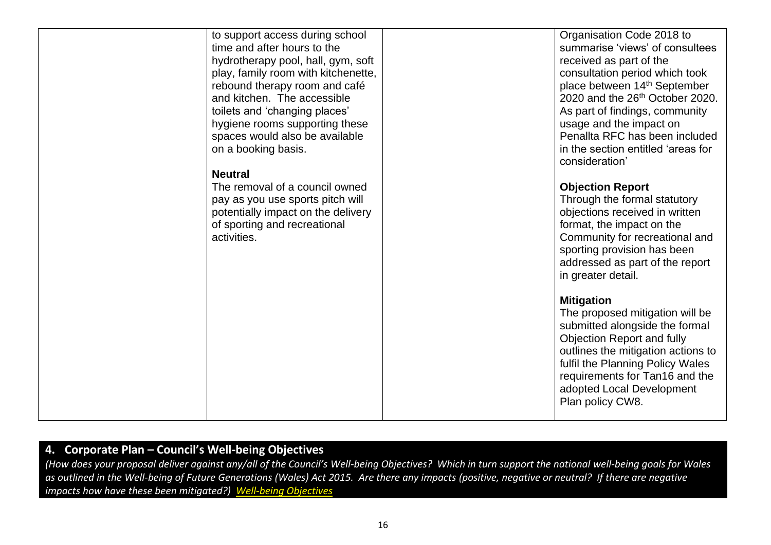| to support access during school<br>time and after hours to the<br>hydrotherapy pool, hall, gym, soft<br>play, family room with kitchenette,<br>rebound therapy room and café<br>and kitchen. The accessible<br>toilets and 'changing places'<br>hygiene rooms supporting these | Organisation Code 2018 to<br>summarise 'views' of consultees<br>received as part of the<br>consultation period which took<br>place between 14 <sup>th</sup> September<br>2020 and the 26 <sup>th</sup> October 2020.<br>As part of findings, community<br>usage and the impact on |
|--------------------------------------------------------------------------------------------------------------------------------------------------------------------------------------------------------------------------------------------------------------------------------|-----------------------------------------------------------------------------------------------------------------------------------------------------------------------------------------------------------------------------------------------------------------------------------|
| spaces would also be available<br>on a booking basis.<br><b>Neutral</b>                                                                                                                                                                                                        | Penallta RFC has been included<br>in the section entitled 'areas for<br>consideration'                                                                                                                                                                                            |
| The removal of a council owned<br>pay as you use sports pitch will<br>potentially impact on the delivery<br>of sporting and recreational<br>activities.                                                                                                                        | <b>Objection Report</b><br>Through the formal statutory<br>objections received in written<br>format, the impact on the<br>Community for recreational and<br>sporting provision has been<br>addressed as part of the report<br>in greater detail.                                  |
|                                                                                                                                                                                                                                                                                | <b>Mitigation</b><br>The proposed mitigation will be<br>submitted alongside the formal<br>Objection Report and fully<br>outlines the mitigation actions to<br>fulfil the Planning Policy Wales<br>requirements for Tan16 and the<br>adopted Local Development<br>Plan policy CW8. |

# **4. Corporate Plan – Council's Well-being Objectives**

*(How does your proposal deliver against any/all of the Council's Well-being Objectives? Which in turn support the national well-being goals for Wales as outlined in the Well-being of Future Generations (Wales) Act 2015. Are there any impacts (positive, negative or neutral? If there are negative impacts how have these been mitigated?) [Well-being Objectives](https://www.caerphilly.gov.uk/CaerphillyDocs/Council-and-democracy/Corporate_Plan_2018-2023.aspx)*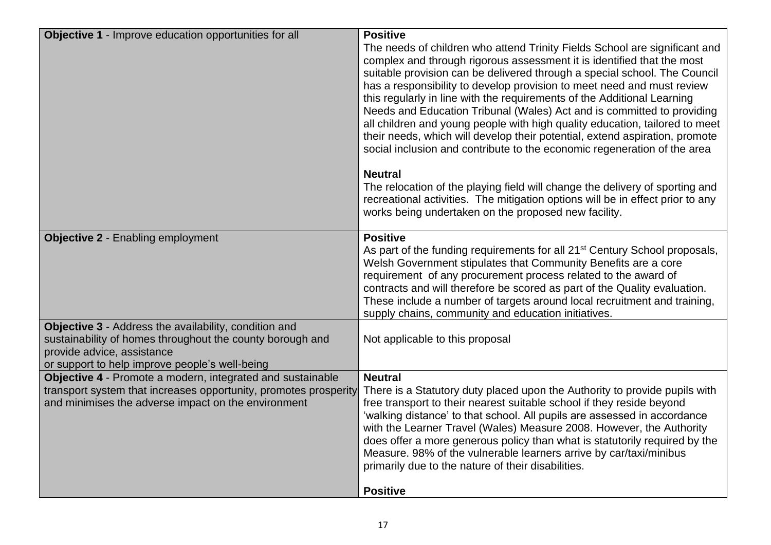| Objective 1 - Improve education opportunities for all                                                                                                                                              | <b>Positive</b><br>The needs of children who attend Trinity Fields School are significant and<br>complex and through rigorous assessment it is identified that the most<br>suitable provision can be delivered through a special school. The Council<br>has a responsibility to develop provision to meet need and must review<br>this regularly in line with the requirements of the Additional Learning<br>Needs and Education Tribunal (Wales) Act and is committed to providing<br>all children and young people with high quality education, tailored to meet<br>their needs, which will develop their potential, extend aspiration, promote<br>social inclusion and contribute to the economic regeneration of the area<br><b>Neutral</b><br>The relocation of the playing field will change the delivery of sporting and<br>recreational activities. The mitigation options will be in effect prior to any<br>works being undertaken on the proposed new facility. |
|----------------------------------------------------------------------------------------------------------------------------------------------------------------------------------------------------|---------------------------------------------------------------------------------------------------------------------------------------------------------------------------------------------------------------------------------------------------------------------------------------------------------------------------------------------------------------------------------------------------------------------------------------------------------------------------------------------------------------------------------------------------------------------------------------------------------------------------------------------------------------------------------------------------------------------------------------------------------------------------------------------------------------------------------------------------------------------------------------------------------------------------------------------------------------------------|
| <b>Objective 2 - Enabling employment</b>                                                                                                                                                           | <b>Positive</b><br>As part of the funding requirements for all 21 <sup>st</sup> Century School proposals,<br>Welsh Government stipulates that Community Benefits are a core<br>requirement of any procurement process related to the award of<br>contracts and will therefore be scored as part of the Quality evaluation.<br>These include a number of targets around local recruitment and training,<br>supply chains, community and education initiatives.                                                                                                                                                                                                                                                                                                                                                                                                                                                                                                             |
| Objective 3 - Address the availability, condition and<br>sustainability of homes throughout the county borough and<br>provide advice, assistance<br>or support to help improve people's well-being | Not applicable to this proposal                                                                                                                                                                                                                                                                                                                                                                                                                                                                                                                                                                                                                                                                                                                                                                                                                                                                                                                                           |
| Objective 4 - Promote a modern, integrated and sustainable<br>transport system that increases opportunity, promotes prosperity<br>and minimises the adverse impact on the environment              | <b>Neutral</b><br>There is a Statutory duty placed upon the Authority to provide pupils with<br>free transport to their nearest suitable school if they reside beyond<br>'walking distance' to that school. All pupils are assessed in accordance<br>with the Learner Travel (Wales) Measure 2008. However, the Authority<br>does offer a more generous policy than what is statutorily required by the<br>Measure. 98% of the vulnerable learners arrive by car/taxi/minibus<br>primarily due to the nature of their disabilities.<br><b>Positive</b>                                                                                                                                                                                                                                                                                                                                                                                                                    |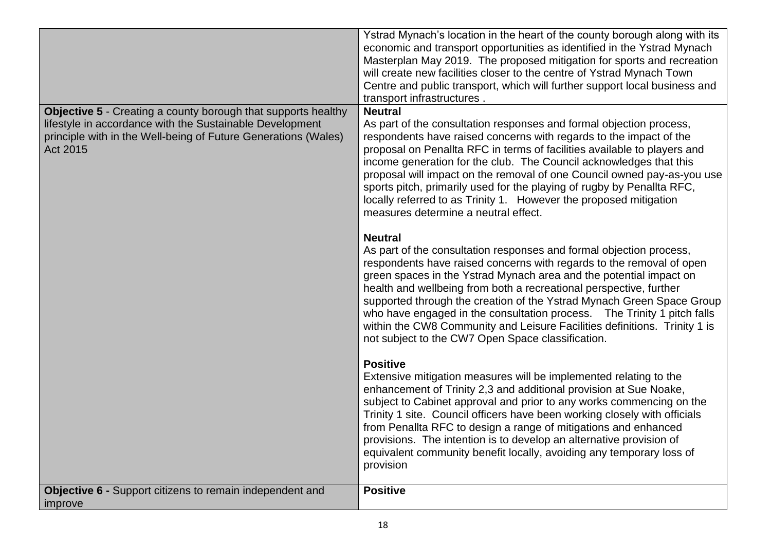| <b>Objective 5</b> - Creating a county borough that supports healthy                                                                   | Ystrad Mynach's location in the heart of the county borough along with its<br>economic and transport opportunities as identified in the Ystrad Mynach<br>Masterplan May 2019. The proposed mitigation for sports and recreation<br>will create new facilities closer to the centre of Ystrad Mynach Town<br>Centre and public transport, which will further support local business and<br>transport infrastructures.<br><b>Neutral</b>                                                                                                                                                           |
|----------------------------------------------------------------------------------------------------------------------------------------|--------------------------------------------------------------------------------------------------------------------------------------------------------------------------------------------------------------------------------------------------------------------------------------------------------------------------------------------------------------------------------------------------------------------------------------------------------------------------------------------------------------------------------------------------------------------------------------------------|
| lifestyle in accordance with the Sustainable Development<br>principle with in the Well-being of Future Generations (Wales)<br>Act 2015 | As part of the consultation responses and formal objection process,<br>respondents have raised concerns with regards to the impact of the<br>proposal on Penallta RFC in terms of facilities available to players and<br>income generation for the club. The Council acknowledges that this<br>proposal will impact on the removal of one Council owned pay-as-you use<br>sports pitch, primarily used for the playing of rugby by Penallta RFC,<br>locally referred to as Trinity 1. However the proposed mitigation<br>measures determine a neutral effect.                                    |
|                                                                                                                                        | <b>Neutral</b><br>As part of the consultation responses and formal objection process,<br>respondents have raised concerns with regards to the removal of open<br>green spaces in the Ystrad Mynach area and the potential impact on<br>health and wellbeing from both a recreational perspective, further<br>supported through the creation of the Ystrad Mynach Green Space Group<br>who have engaged in the consultation process.  The Trinity 1 pitch falls<br>within the CW8 Community and Leisure Facilities definitions. Trinity 1 is<br>not subject to the CW7 Open Space classification. |
|                                                                                                                                        | <b>Positive</b><br>Extensive mitigation measures will be implemented relating to the<br>enhancement of Trinity 2,3 and additional provision at Sue Noake,<br>subject to Cabinet approval and prior to any works commencing on the<br>Trinity 1 site. Council officers have been working closely with officials<br>from Penallta RFC to design a range of mitigations and enhanced<br>provisions. The intention is to develop an alternative provision of<br>equivalent community benefit locally, avoiding any temporary loss of<br>provision                                                    |
| <b>Objective 6 - Support citizens to remain independent and</b><br>improve                                                             | <b>Positive</b>                                                                                                                                                                                                                                                                                                                                                                                                                                                                                                                                                                                  |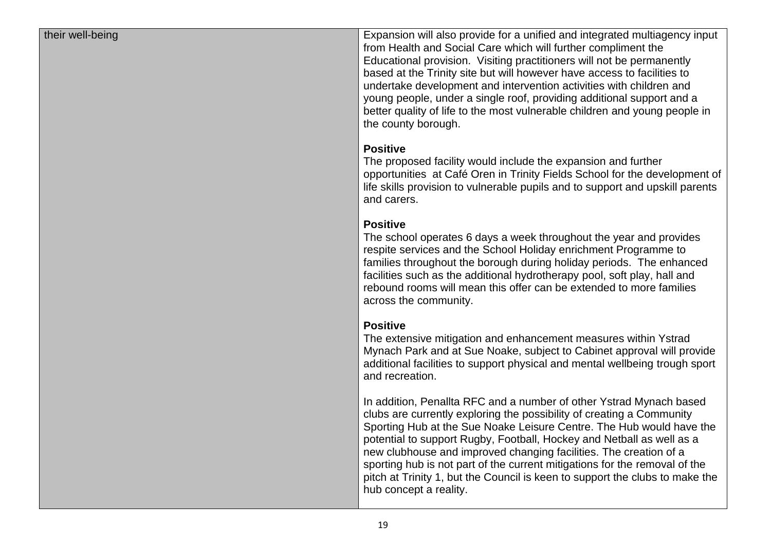#### their well-being

Expansion will also provide for a unified and integrated multiagency input from Health and Social Care which will further compliment the Educational provision. Visiting practitioners will not be permanently based at the Trinity site but will however have access to facilities to undertake development and intervention activities with children and young people, under a single roof, providing additional support and a better quality of life to the most vulnerable children and young people in the county borough.

#### **Positive**

The proposed facility would include the expansion and further opportunities at Café Oren in Trinity Fields School for the development of life skills provision to vulnerable pupils and to support and upskill parents and carers .

### **Positive**

The school operates 6 days a week throughout the year and provides respite services and the School Holiday enrichment Programme to families throughout the borough during holiday periods. The enhanced facilities such as the additional hydrotherapy pool, soft play, hall and rebound rooms will mean this offer can be extended to more families across the community.

### **Positive**

The extensive mitigation and enhancement measures within Ystrad Mynach Park and at Sue Noake, subject to Cabinet approval will provide additional facilities to support physical and mental wellbeing trough sport and recreation .

In addition, Penallta RFC and a number of other Ystrad Mynach based clubs are currently exploring the possibility of creating a Community Sporting Hub at the Sue Noake Leisure Centre. The Hub would have the potential to support Rugby, Football, Hockey and Netball as well as a new clubhouse and improved changing facilities. The creation of a sporting hub is not part of the current mitigations for the removal of the pitch at Trinity 1, but the Council is keen to support the clubs to make the hub concept a reality.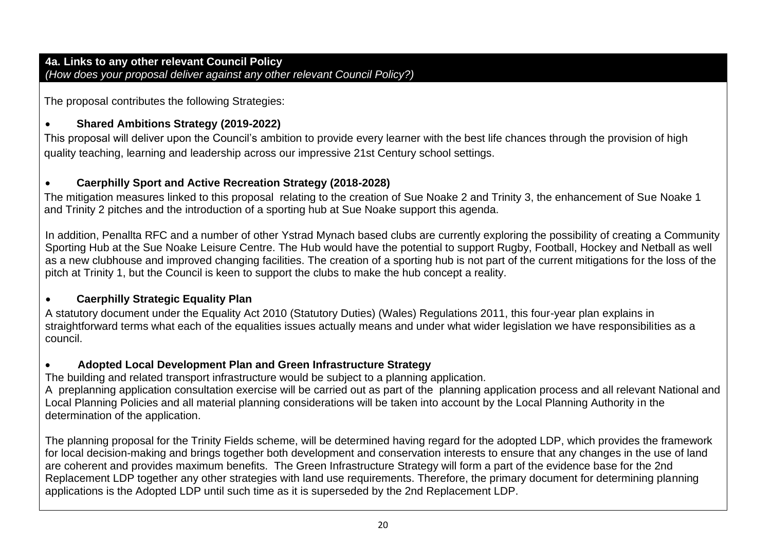### **4a. Links to any other relevant Council Policy**  *(How does your proposal deliver against any other relevant Council Policy?)*

The proposal contributes the following Strategies:

## • **Shared Ambitions Strategy (2019-2022)**

This proposal will deliver upon the Council's ambition to provide every learner with the best life chances through the provision of high quality teaching, learning and leadership across our impressive 21st Century school settings.

## • **Caerphilly Sport and Active Recreation Strategy (2018-2028)**

The mitigation measures linked to this proposal relating to the creation of Sue Noake 2 and Trinity 3, the enhancement of Sue Noake 1 and Trinity 2 pitches and the introduction of a sporting hub at Sue Noake support this agenda.

In addition, Penallta RFC and a number of other Ystrad Mynach based clubs are currently exploring the possibility of creating a Community Sporting Hub at the Sue Noake Leisure Centre. The Hub would have the potential to support Rugby, Football, Hockey and Netball as well as a new clubhouse and improved changing facilities. The creation of a sporting hub is not part of the current mitigations for the loss of the pitch at Trinity 1, but the Council is keen to support the clubs to make the hub concept a reality.

### • **Caerphilly Strategic Equality Plan**

A statutory document under the Equality Act 2010 (Statutory Duties) (Wales) Regulations 2011, this four-year plan explains in straightforward terms what each of the equalities issues actually means and under what wider legislation we have responsibilities as a council.

### • **Adopted Local Development Plan and Green Infrastructure Strategy**

The building and related transport infrastructure would be subject to a planning application.

A preplanning application consultation exercise will be carried out as part of the planning application process and all relevant National and Local Planning Policies and all material planning considerations will be taken into account by the Local Planning Authority in the determination of the application.

The planning proposal for the Trinity Fields scheme, will be determined having regard for the adopted LDP, which provides the framework for local decision-making and brings together both development and conservation interests to ensure that any changes in the use of land are coherent and provides maximum benefits. The Green Infrastructure Strategy will form a part of the evidence base for the 2nd Replacement LDP together any other strategies with land use requirements. Therefore, the primary document for determining planning applications is the Adopted LDP until such time as it is superseded by the 2nd Replacement LDP.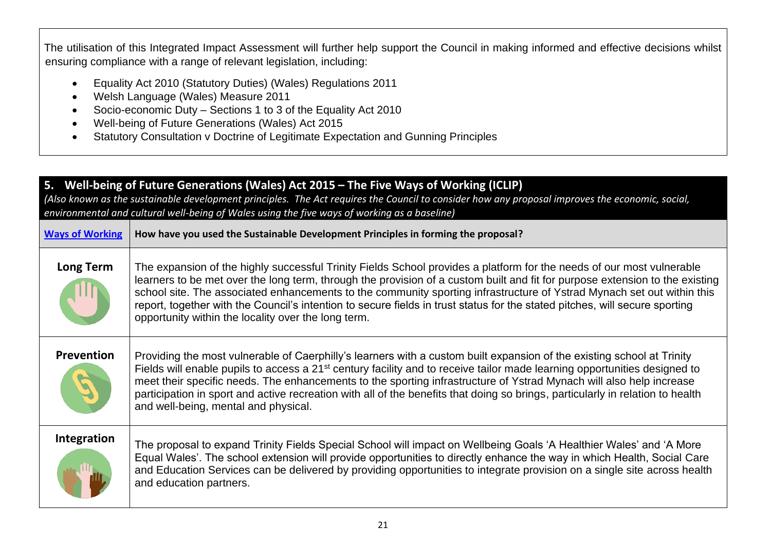The utilisation of this Integrated Impact Assessment will further help support the Council in making informed and effective decisions whilst ensuring compliance with a range of relevant legislation, including:

- Equality Act 2010 (Statutory Duties) (Wales) Regulations 2011
- Welsh Language (Wales) Measure 2011
- Socio-economic Duty Sections 1 to 3 of the Equality Act 2010
- Well-being of Future Generations (Wales) Act 2015
- Statutory Consultation v Doctrine of Legitimate Expectation and Gunning Principles

| 5. Well-being of Future Generations (Wales) Act 2015 - The Five Ways of Working (ICLIP)<br>(Also known as the sustainable development principles. The Act requires the Council to consider how any proposal improves the economic, social,<br>environmental and cultural well-being of Wales using the five ways of working as a baseline) |                                                                                                                                                                                                                                                                                                                                                                                                                                                                                                                                                                       |  |
|--------------------------------------------------------------------------------------------------------------------------------------------------------------------------------------------------------------------------------------------------------------------------------------------------------------------------------------------|-----------------------------------------------------------------------------------------------------------------------------------------------------------------------------------------------------------------------------------------------------------------------------------------------------------------------------------------------------------------------------------------------------------------------------------------------------------------------------------------------------------------------------------------------------------------------|--|
| <b>Ways of Working</b>                                                                                                                                                                                                                                                                                                                     | How have you used the Sustainable Development Principles in forming the proposal?                                                                                                                                                                                                                                                                                                                                                                                                                                                                                     |  |
| <b>Long Term</b>                                                                                                                                                                                                                                                                                                                           | The expansion of the highly successful Trinity Fields School provides a platform for the needs of our most vulnerable<br>learners to be met over the long term, through the provision of a custom built and fit for purpose extension to the existing<br>school site. The associated enhancements to the community sporting infrastructure of Ystrad Mynach set out within this<br>report, together with the Council's intention to secure fields in trust status for the stated pitches, will secure sporting<br>opportunity within the locality over the long term. |  |
| Prevention                                                                                                                                                                                                                                                                                                                                 | Providing the most vulnerable of Caerphilly's learners with a custom built expansion of the existing school at Trinity<br>Fields will enable pupils to access a 21 <sup>st</sup> century facility and to receive tailor made learning opportunities designed to<br>meet their specific needs. The enhancements to the sporting infrastructure of Ystrad Mynach will also help increase<br>participation in sport and active recreation with all of the benefits that doing so brings, particularly in relation to health<br>and well-being, mental and physical.      |  |
| Integration                                                                                                                                                                                                                                                                                                                                | The proposal to expand Trinity Fields Special School will impact on Wellbeing Goals 'A Healthier Wales' and 'A More<br>Equal Wales'. The school extension will provide opportunities to directly enhance the way in which Health, Social Care<br>and Education Services can be delivered by providing opportunities to integrate provision on a single site across health<br>and education partners.                                                                                                                                                                  |  |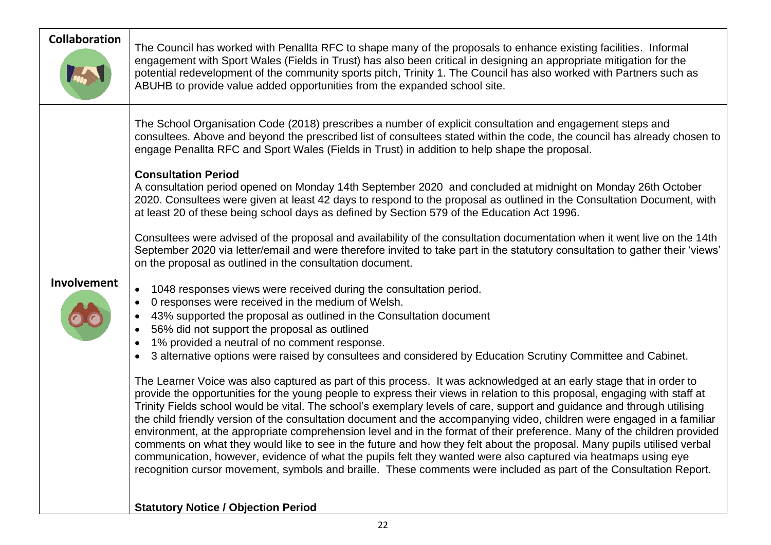| <b>Collaboration</b> | The Council has worked with Penallta RFC to shape many of the proposals to enhance existing facilities. Informal<br>engagement with Sport Wales (Fields in Trust) has also been critical in designing an appropriate mitigation for the<br>potential redevelopment of the community sports pitch, Trinity 1. The Council has also worked with Partners such as<br>ABUHB to provide value added opportunities from the expanded school site.                                                                                                                                                                                                                                                                                                                                                                                                                                                                                                                                                            |
|----------------------|--------------------------------------------------------------------------------------------------------------------------------------------------------------------------------------------------------------------------------------------------------------------------------------------------------------------------------------------------------------------------------------------------------------------------------------------------------------------------------------------------------------------------------------------------------------------------------------------------------------------------------------------------------------------------------------------------------------------------------------------------------------------------------------------------------------------------------------------------------------------------------------------------------------------------------------------------------------------------------------------------------|
|                      | The School Organisation Code (2018) prescribes a number of explicit consultation and engagement steps and<br>consultees. Above and beyond the prescribed list of consultees stated within the code, the council has already chosen to<br>engage Penallta RFC and Sport Wales (Fields in Trust) in addition to help shape the proposal.                                                                                                                                                                                                                                                                                                                                                                                                                                                                                                                                                                                                                                                                 |
|                      | <b>Consultation Period</b><br>A consultation period opened on Monday 14th September 2020 and concluded at midnight on Monday 26th October<br>2020. Consultees were given at least 42 days to respond to the proposal as outlined in the Consultation Document, with<br>at least 20 of these being school days as defined by Section 579 of the Education Act 1996.                                                                                                                                                                                                                                                                                                                                                                                                                                                                                                                                                                                                                                     |
|                      | Consultees were advised of the proposal and availability of the consultation documentation when it went live on the 14th<br>September 2020 via letter/email and were therefore invited to take part in the statutory consultation to gather their 'views'<br>on the proposal as outlined in the consultation document.                                                                                                                                                                                                                                                                                                                                                                                                                                                                                                                                                                                                                                                                                 |
| Involvement          | 1048 responses views were received during the consultation period.<br>0 responses were received in the medium of Welsh.<br>$\bullet$<br>43% supported the proposal as outlined in the Consultation document<br>56% did not support the proposal as outlined<br>1% provided a neutral of no comment response.<br>3 alternative options were raised by consultees and considered by Education Scrutiny Committee and Cabinet.                                                                                                                                                                                                                                                                                                                                                                                                                                                                                                                                                                            |
|                      | The Learner Voice was also captured as part of this process. It was acknowledged at an early stage that in order to<br>provide the opportunities for the young people to express their views in relation to this proposal, engaging with staff at<br>Trinity Fields school would be vital. The school's exemplary levels of care, support and guidance and through utilising<br>the child friendly version of the consultation document and the accompanying video, children were engaged in a familiar<br>environment, at the appropriate comprehension level and in the format of their preference. Many of the children provided<br>comments on what they would like to see in the future and how they felt about the proposal. Many pupils utilised verbal<br>communication, however, evidence of what the pupils felt they wanted were also captured via heatmaps using eye<br>recognition cursor movement, symbols and braille. These comments were included as part of the Consultation Report. |
|                      | <b>Statutory Notice / Objection Period</b>                                                                                                                                                                                                                                                                                                                                                                                                                                                                                                                                                                                                                                                                                                                                                                                                                                                                                                                                                             |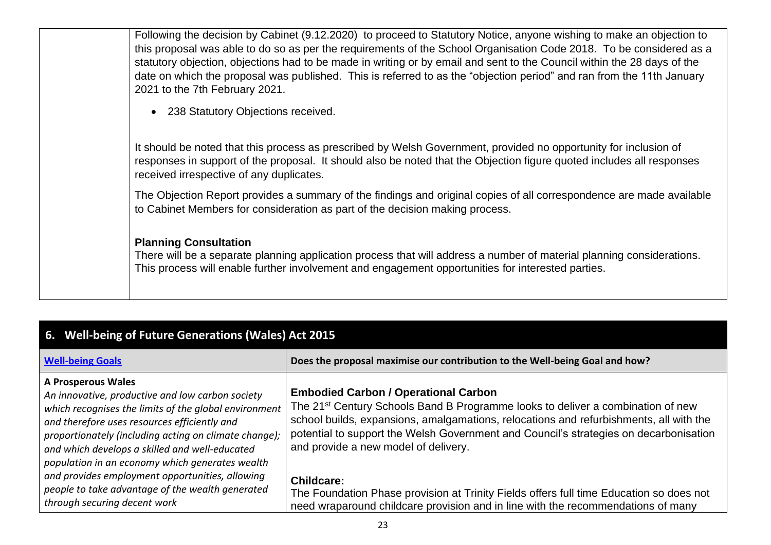| Following the decision by Cabinet (9.12.2020) to proceed to Statutory Notice, anyone wishing to make an objection to<br>this proposal was able to do so as per the requirements of the School Organisation Code 2018. To be considered as a<br>statutory objection, objections had to be made in writing or by email and sent to the Council within the 28 days of the<br>date on which the proposal was published. This is referred to as the "objection period" and ran from the 11th January<br>2021 to the 7th February 2021. |
|-----------------------------------------------------------------------------------------------------------------------------------------------------------------------------------------------------------------------------------------------------------------------------------------------------------------------------------------------------------------------------------------------------------------------------------------------------------------------------------------------------------------------------------|
| 238 Statutory Objections received.<br>$\bullet$                                                                                                                                                                                                                                                                                                                                                                                                                                                                                   |
| It should be noted that this process as prescribed by Welsh Government, provided no opportunity for inclusion of<br>responses in support of the proposal. It should also be noted that the Objection figure quoted includes all responses<br>received irrespective of any duplicates.                                                                                                                                                                                                                                             |
| The Objection Report provides a summary of the findings and original copies of all correspondence are made available<br>to Cabinet Members for consideration as part of the decision making process.                                                                                                                                                                                                                                                                                                                              |
| <b>Planning Consultation</b><br>There will be a separate planning application process that will address a number of material planning considerations.<br>This process will enable further involvement and engagement opportunities for interested parties.                                                                                                                                                                                                                                                                        |

| 6. Well-being of Future Generations (Wales) Act 2015                                                                                                                                                                                                                                                                                                 |                                                                                                                                                                                                                                                                                                                                                                       |  |
|------------------------------------------------------------------------------------------------------------------------------------------------------------------------------------------------------------------------------------------------------------------------------------------------------------------------------------------------------|-----------------------------------------------------------------------------------------------------------------------------------------------------------------------------------------------------------------------------------------------------------------------------------------------------------------------------------------------------------------------|--|
| <b>Well-being Goals</b>                                                                                                                                                                                                                                                                                                                              | Does the proposal maximise our contribution to the Well-being Goal and how?                                                                                                                                                                                                                                                                                           |  |
| <b>A Prosperous Wales</b><br>An innovative, productive and low carbon society<br>which recognises the limits of the global environment<br>and therefore uses resources efficiently and<br>proportionately (including acting on climate change);<br>and which develops a skilled and well-educated<br>population in an economy which generates wealth | <b>Embodied Carbon / Operational Carbon</b><br>The 21 <sup>st</sup> Century Schools Band B Programme looks to deliver a combination of new<br>school builds, expansions, amalgamations, relocations and refurbishments, all with the<br>potential to support the Welsh Government and Council's strategies on decarbonisation<br>and provide a new model of delivery. |  |
| and provides employment opportunities, allowing<br>people to take advantage of the wealth generated<br>through securing decent work                                                                                                                                                                                                                  | <b>Childcare:</b><br>The Foundation Phase provision at Trinity Fields offers full time Education so does not<br>need wraparound childcare provision and in line with the recommendations of many                                                                                                                                                                      |  |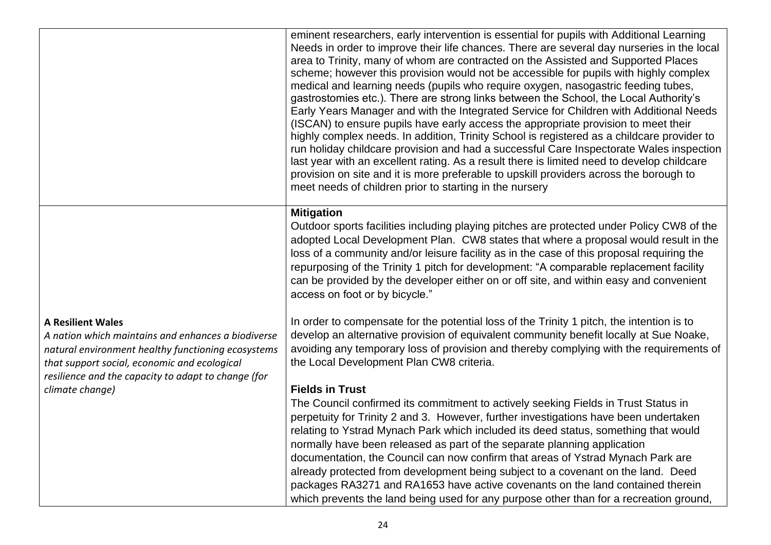|                                                                                                                                                                                                                                             | eminent researchers, early intervention is essential for pupils with Additional Learning<br>Needs in order to improve their life chances. There are several day nurseries in the local<br>area to Trinity, many of whom are contracted on the Assisted and Supported Places<br>scheme; however this provision would not be accessible for pupils with highly complex<br>medical and learning needs (pupils who require oxygen, nasogastric feeding tubes,<br>gastrostomies etc.). There are strong links between the School, the Local Authority's<br>Early Years Manager and with the Integrated Service for Children with Additional Needs<br>(ISCAN) to ensure pupils have early access the appropriate provision to meet their<br>highly complex needs. In addition, Trinity School is registered as a childcare provider to<br>run holiday childcare provision and had a successful Care Inspectorate Wales inspection<br>last year with an excellent rating. As a result there is limited need to develop childcare<br>provision on site and it is more preferable to upskill providers across the borough to<br>meet needs of children prior to starting in the nursery |
|---------------------------------------------------------------------------------------------------------------------------------------------------------------------------------------------------------------------------------------------|--------------------------------------------------------------------------------------------------------------------------------------------------------------------------------------------------------------------------------------------------------------------------------------------------------------------------------------------------------------------------------------------------------------------------------------------------------------------------------------------------------------------------------------------------------------------------------------------------------------------------------------------------------------------------------------------------------------------------------------------------------------------------------------------------------------------------------------------------------------------------------------------------------------------------------------------------------------------------------------------------------------------------------------------------------------------------------------------------------------------------------------------------------------------------------|
|                                                                                                                                                                                                                                             | <b>Mitigation</b><br>Outdoor sports facilities including playing pitches are protected under Policy CW8 of the<br>adopted Local Development Plan. CW8 states that where a proposal would result in the<br>loss of a community and/or leisure facility as in the case of this proposal requiring the<br>repurposing of the Trinity 1 pitch for development: "A comparable replacement facility<br>can be provided by the developer either on or off site, and within easy and convenient<br>access on foot or by bicycle."                                                                                                                                                                                                                                                                                                                                                                                                                                                                                                                                                                                                                                                      |
| <b>A Resilient Wales</b><br>A nation which maintains and enhances a biodiverse<br>natural environment healthy functioning ecosystems<br>that support social, economic and ecological<br>resilience and the capacity to adapt to change (for | In order to compensate for the potential loss of the Trinity 1 pitch, the intention is to<br>develop an alternative provision of equivalent community benefit locally at Sue Noake,<br>avoiding any temporary loss of provision and thereby complying with the requirements of<br>the Local Development Plan CW8 criteria.                                                                                                                                                                                                                                                                                                                                                                                                                                                                                                                                                                                                                                                                                                                                                                                                                                                     |
| climate change)                                                                                                                                                                                                                             | <b>Fields in Trust</b><br>The Council confirmed its commitment to actively seeking Fields in Trust Status in<br>perpetuity for Trinity 2 and 3. However, further investigations have been undertaken<br>relating to Ystrad Mynach Park which included its deed status, something that would<br>normally have been released as part of the separate planning application<br>documentation, the Council can now confirm that areas of Ystrad Mynach Park are<br>already protected from development being subject to a covenant on the land. Deed<br>packages RA3271 and RA1653 have active covenants on the land contained therein<br>which prevents the land being used for any purpose other than for a recreation ground,                                                                                                                                                                                                                                                                                                                                                                                                                                                     |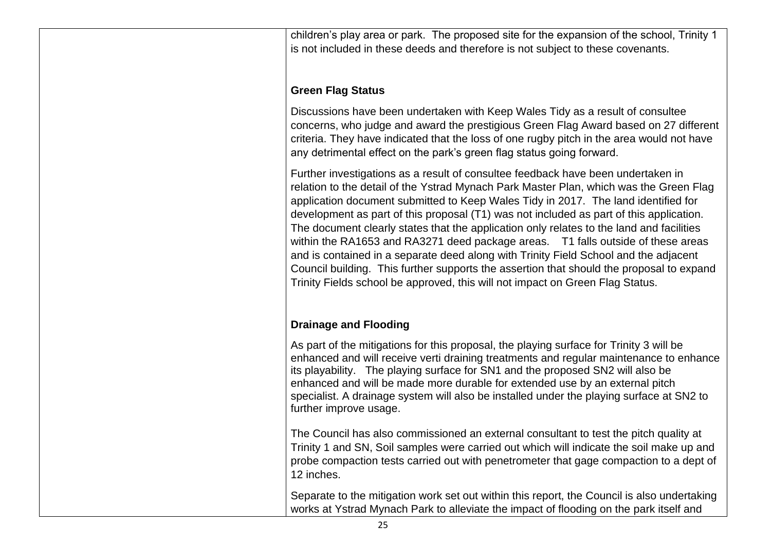children's play area or park. The proposed site for the expansion of the school, Trinity 1 is not included in these deeds and therefore is not subject to these covenants.

## **Green Flag Status**

Discussions have been undertaken with Keep Wales Tidy as a result of consultee concerns, who judge and award the prestigious Green Flag Award based on 27 different criteria. They have indicated that the loss of one rugby pitch in the area would not have any detrimental effect on the park's green flag status going forward.

Further investigations as a result of consultee feedback have been undertaken in relation to the detail of the Ystrad Mynach Park Master Plan, which was the Green Flag application document submitted to Keep Wales Tidy in 2017. The land identified for development as part of this proposal (T1) was not included as part of this application. The document clearly states that the application only relates to the land and facilities within the RA1653 and RA3271 deed package areas. T1 falls outside of these areas and is contained in a separate deed along with Trinity Field School and the adjacent Council building. This further supports the assertion that should the proposal to expand Trinity Fields school be approved, this will not impact on Green Flag Status.

## **Drainage and Flooding**

As part of the mitigations for this proposal, the playing surface for Trinity 3 will be enhanced and will receive verti draining treatments and regular maintenance to enhance its playability. The playing surface for SN1 and the proposed SN2 will also be enhanced and will be made more durable for extended use by an external pitch specialist. A drainage system will also be installed under the playing surface at SN2 to further improve usage.

The Council has also commissioned an external consultant to test the pitch quality at Trinity 1 and SN, Soil samples were carried out which will indicate the soil make up and probe compaction tests carried out with penetrometer that gage compaction to a dept of 12 inches.

Separate to the mitigation work set out within this report, the Council is also undertaking works at Ystrad Mynach Park to alleviate the impact of flooding on the park itself and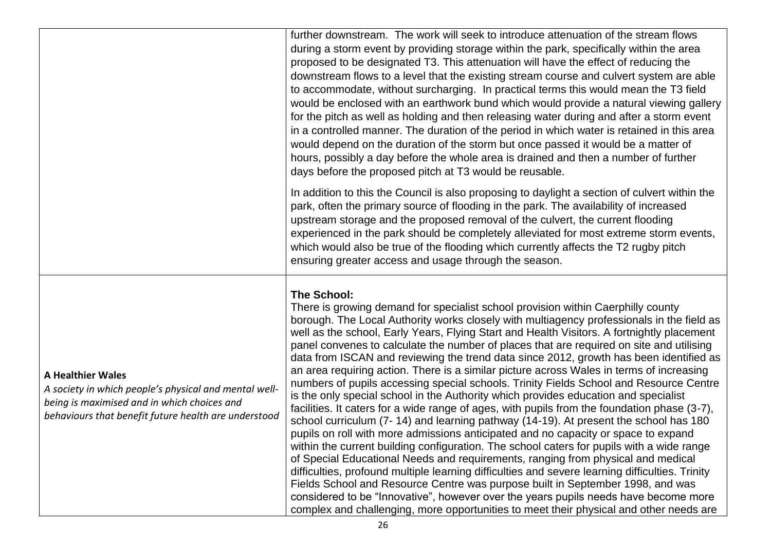|                                                                                                                                                                                          | further downstream. The work will seek to introduce attenuation of the stream flows<br>during a storm event by providing storage within the park, specifically within the area<br>proposed to be designated T3. This attenuation will have the effect of reducing the<br>downstream flows to a level that the existing stream course and culvert system are able<br>to accommodate, without surcharging. In practical terms this would mean the T3 field<br>would be enclosed with an earthwork bund which would provide a natural viewing gallery<br>for the pitch as well as holding and then releasing water during and after a storm event<br>in a controlled manner. The duration of the period in which water is retained in this area<br>would depend on the duration of the storm but once passed it would be a matter of<br>hours, possibly a day before the whole area is drained and then a number of further<br>days before the proposed pitch at T3 would be reusable.                                                                                                                                                                                                                                                                                                                                                                                                                                                                                                                                                                                                                |
|------------------------------------------------------------------------------------------------------------------------------------------------------------------------------------------|----------------------------------------------------------------------------------------------------------------------------------------------------------------------------------------------------------------------------------------------------------------------------------------------------------------------------------------------------------------------------------------------------------------------------------------------------------------------------------------------------------------------------------------------------------------------------------------------------------------------------------------------------------------------------------------------------------------------------------------------------------------------------------------------------------------------------------------------------------------------------------------------------------------------------------------------------------------------------------------------------------------------------------------------------------------------------------------------------------------------------------------------------------------------------------------------------------------------------------------------------------------------------------------------------------------------------------------------------------------------------------------------------------------------------------------------------------------------------------------------------------------------------------------------------------------------------------------------------|
|                                                                                                                                                                                          | In addition to this the Council is also proposing to daylight a section of culvert within the<br>park, often the primary source of flooding in the park. The availability of increased<br>upstream storage and the proposed removal of the culvert, the current flooding<br>experienced in the park should be completely alleviated for most extreme storm events,<br>which would also be true of the flooding which currently affects the T2 rugby pitch<br>ensuring greater access and usage through the season.                                                                                                                                                                                                                                                                                                                                                                                                                                                                                                                                                                                                                                                                                                                                                                                                                                                                                                                                                                                                                                                                                 |
| <b>A Healthier Wales</b><br>A society in which people's physical and mental well-<br>being is maximised and in which choices and<br>behaviours that benefit future health are understood | The School:<br>There is growing demand for specialist school provision within Caerphilly county<br>borough. The Local Authority works closely with multiagency professionals in the field as<br>well as the school, Early Years, Flying Start and Health Visitors. A fortnightly placement<br>panel convenes to calculate the number of places that are required on site and utilising<br>data from ISCAN and reviewing the trend data since 2012, growth has been identified as<br>an area requiring action. There is a similar picture across Wales in terms of increasing<br>numbers of pupils accessing special schools. Trinity Fields School and Resource Centre<br>is the only special school in the Authority which provides education and specialist<br>facilities. It caters for a wide range of ages, with pupils from the foundation phase (3-7),<br>school curriculum (7-14) and learning pathway (14-19). At present the school has 180<br>pupils on roll with more admissions anticipated and no capacity or space to expand<br>within the current building configuration. The school caters for pupils with a wide range<br>of Special Educational Needs and requirements, ranging from physical and medical<br>difficulties, profound multiple learning difficulties and severe learning difficulties. Trinity<br>Fields School and Resource Centre was purpose built in September 1998, and was<br>considered to be "Innovative", however over the years pupils needs have become more<br>complex and challenging, more opportunities to meet their physical and other needs are |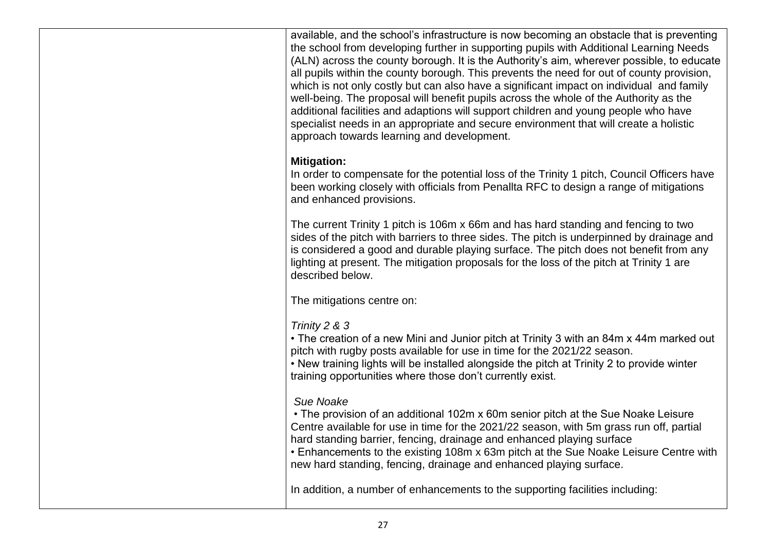available, and the school's infrastructure is now becoming an obstacle that is preventing the school from developing further in supporting pupils with Additional Learning Needs (ALN) across the county borough. It is the Authority's aim, wherever possible, to educate all pupils within the county borough. This prevents the need for out of county provision, which is not only costly but can also have a significant impact on individual and family well-being. The proposal will benefit pupils across the whole of the Authority as the additional facilities and adaptions will support children and young people who have specialist needs in an appropriate and secure environment that will create a holistic approach towards learning and development.

### **Mitigation:**

In order to compensate for the potential loss of the Trinity 1 pitch, Council Officers have been working closely with officials from Penallta RFC to design a range of mitigations and enhanced provisions.

The current Trinity 1 pitch is 106m x 66m and has hard standing and fencing to two sides of the pitch with barriers to three sides. The pitch is underpinned by drainage and is considered a good and durable playing surface. The pitch does not benefit from any lighting at present. The mitigation proposals for the loss of the pitch at Trinity 1 are described below.

The mitigations centre on:

## *Trinity 2 & 3*

• The creation of a new Mini and Junior pitch at Trinity 3 with an 84m x 44m marked out pitch with rugby posts available for use in time for the 2021/22 season.

• New training lights will be installed alongside the pitch at Trinity 2 to provide winter training opportunities where those don't currently exist.

## *Sue Noake*

• The provision of an additional 102m x 60m senior pitch at the Sue Noake Leisure Centre available for use in time for the 2021/22 season, with 5m grass run off, partial hard standing barrier, fencing, drainage and enhanced playing surface

• Enhancements to the existing 108m x 63m pitch at the Sue Noake Leisure Centre with new hard standing, fencing, drainage and enhanced playing surface.

In addition, a number of enhancements to the supporting facilities including: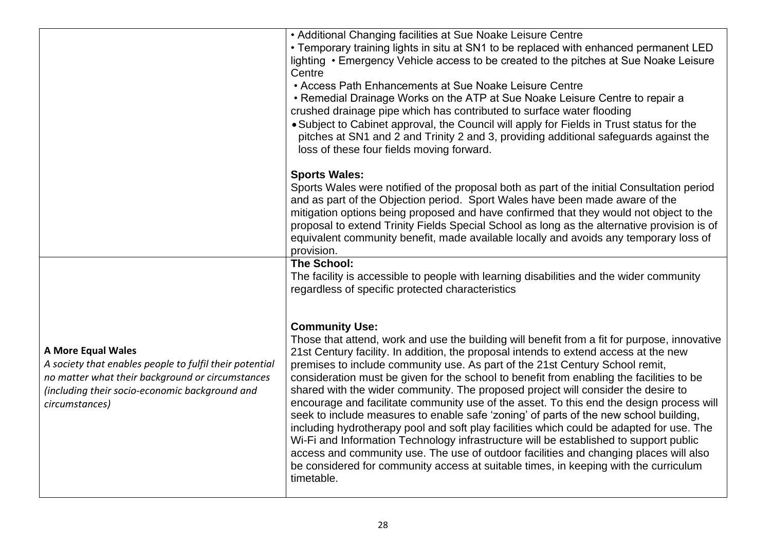|                                                                                                                                                                                                              | • Additional Changing facilities at Sue Noake Leisure Centre<br>• Temporary training lights in situ at SN1 to be replaced with enhanced permanent LED<br>lighting • Emergency Vehicle access to be created to the pitches at Sue Noake Leisure<br>Centre<br>• Access Path Enhancements at Sue Noake Leisure Centre<br>• Remedial Drainage Works on the ATP at Sue Noake Leisure Centre to repair a<br>crushed drainage pipe which has contributed to surface water flooding<br>• Subject to Cabinet approval, the Council will apply for Fields in Trust status for the<br>pitches at SN1 and 2 and Trinity 2 and 3, providing additional safeguards against the<br>loss of these four fields moving forward.                                                                                                                                                                                                                                                                                                                                           |
|--------------------------------------------------------------------------------------------------------------------------------------------------------------------------------------------------------------|---------------------------------------------------------------------------------------------------------------------------------------------------------------------------------------------------------------------------------------------------------------------------------------------------------------------------------------------------------------------------------------------------------------------------------------------------------------------------------------------------------------------------------------------------------------------------------------------------------------------------------------------------------------------------------------------------------------------------------------------------------------------------------------------------------------------------------------------------------------------------------------------------------------------------------------------------------------------------------------------------------------------------------------------------------|
|                                                                                                                                                                                                              | <b>Sports Wales:</b><br>Sports Wales were notified of the proposal both as part of the initial Consultation period<br>and as part of the Objection period. Sport Wales have been made aware of the<br>mitigation options being proposed and have confirmed that they would not object to the<br>proposal to extend Trinity Fields Special School as long as the alternative provision is of<br>equivalent community benefit, made available locally and avoids any temporary loss of<br>provision.                                                                                                                                                                                                                                                                                                                                                                                                                                                                                                                                                      |
|                                                                                                                                                                                                              | The School:<br>The facility is accessible to people with learning disabilities and the wider community<br>regardless of specific protected characteristics                                                                                                                                                                                                                                                                                                                                                                                                                                                                                                                                                                                                                                                                                                                                                                                                                                                                                              |
| <b>A More Equal Wales</b><br>A society that enables people to fulfil their potential<br>no matter what their background or circumstances<br>(including their socio-economic background and<br>circumstances) | <b>Community Use:</b><br>Those that attend, work and use the building will benefit from a fit for purpose, innovative<br>21st Century facility. In addition, the proposal intends to extend access at the new<br>premises to include community use. As part of the 21st Century School remit,<br>consideration must be given for the school to benefit from enabling the facilities to be<br>shared with the wider community. The proposed project will consider the desire to<br>encourage and facilitate community use of the asset. To this end the design process will<br>seek to include measures to enable safe 'zoning' of parts of the new school building,<br>including hydrotherapy pool and soft play facilities which could be adapted for use. The<br>Wi-Fi and Information Technology infrastructure will be established to support public<br>access and community use. The use of outdoor facilities and changing places will also<br>be considered for community access at suitable times, in keeping with the curriculum<br>timetable. |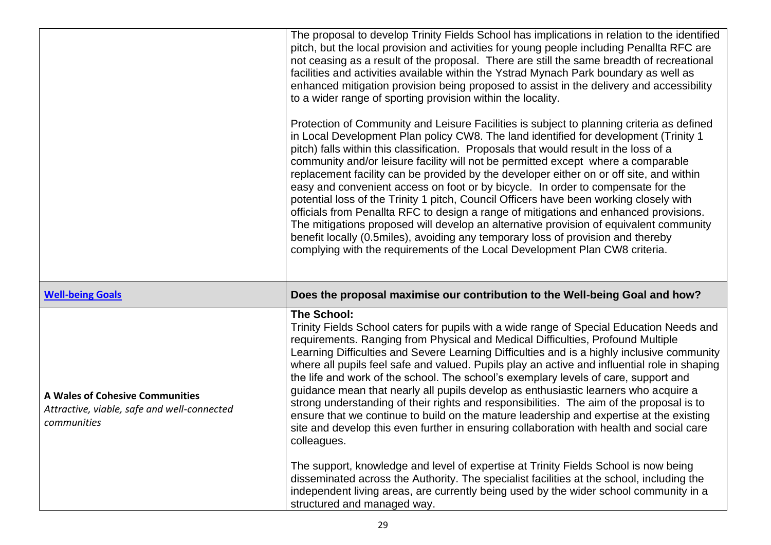|                                                                                                      | The proposal to develop Trinity Fields School has implications in relation to the identified<br>pitch, but the local provision and activities for young people including Penallta RFC are<br>not ceasing as a result of the proposal. There are still the same breadth of recreational<br>facilities and activities available within the Ystrad Mynach Park boundary as well as<br>enhanced mitigation provision being proposed to assist in the delivery and accessibility<br>to a wider range of sporting provision within the locality.<br>Protection of Community and Leisure Facilities is subject to planning criteria as defined<br>in Local Development Plan policy CW8. The land identified for development (Trinity 1                                                                                                                                          |
|------------------------------------------------------------------------------------------------------|--------------------------------------------------------------------------------------------------------------------------------------------------------------------------------------------------------------------------------------------------------------------------------------------------------------------------------------------------------------------------------------------------------------------------------------------------------------------------------------------------------------------------------------------------------------------------------------------------------------------------------------------------------------------------------------------------------------------------------------------------------------------------------------------------------------------------------------------------------------------------|
|                                                                                                      | pitch) falls within this classification. Proposals that would result in the loss of a<br>community and/or leisure facility will not be permitted except where a comparable<br>replacement facility can be provided by the developer either on or off site, and within<br>easy and convenient access on foot or by bicycle. In order to compensate for the<br>potential loss of the Trinity 1 pitch, Council Officers have been working closely with<br>officials from Penallta RFC to design a range of mitigations and enhanced provisions.<br>The mitigations proposed will develop an alternative provision of equivalent community<br>benefit locally (0.5miles), avoiding any temporary loss of provision and thereby<br>complying with the requirements of the Local Development Plan CW8 criteria.                                                                |
| <b>Well-being Goals</b>                                                                              | Does the proposal maximise our contribution to the Well-being Goal and how?                                                                                                                                                                                                                                                                                                                                                                                                                                                                                                                                                                                                                                                                                                                                                                                              |
| <b>A Wales of Cohesive Communities</b><br>Attractive, viable, safe and well-connected<br>communities | The School:<br>Trinity Fields School caters for pupils with a wide range of Special Education Needs and<br>requirements. Ranging from Physical and Medical Difficulties, Profound Multiple<br>Learning Difficulties and Severe Learning Difficulties and is a highly inclusive community<br>where all pupils feel safe and valued. Pupils play an active and influential role in shaping<br>the life and work of the school. The school's exemplary levels of care, support and<br>guidance mean that nearly all pupils develop as enthusiastic learners who acquire a<br>strong understanding of their rights and responsibilities. The aim of the proposal is to<br>ensure that we continue to build on the mature leadership and expertise at the existing<br>site and develop this even further in ensuring collaboration with health and social care<br>colleagues. |
|                                                                                                      | The support, knowledge and level of expertise at Trinity Fields School is now being<br>disseminated across the Authority. The specialist facilities at the school, including the<br>independent living areas, are currently being used by the wider school community in a                                                                                                                                                                                                                                                                                                                                                                                                                                                                                                                                                                                                |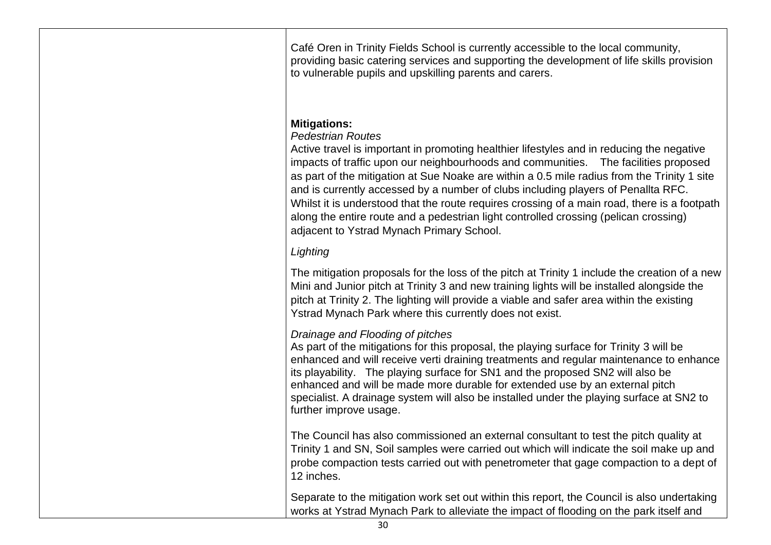Café Oren in Trinity Fields School is currently accessible to the local community, providing basic catering services and supporting the development of life skills provision to vulnerable pupils and upskilling parents and carers.

#### **Mitigations:**

#### *Pedestrian Routes*

Active travel is important in promoting healthier lifestyles and in reducing the negative impacts of traffic upon our neighbourhoods and communities. The facilities proposed as part of the mitigation at Sue Noake are within a 0.5 mile radius from the Trinity 1 site and is currently accessed by a number of clubs including players of Penallta RFC. Whilst it is understood that the route requires crossing of a main road, there is a footpath along the entire route and a pedestrian light controlled crossing (pelican crossing) adjacent to Ystrad Mynach Primary School.

### *Lighting*

The mitigation proposals for the loss of the pitch at Trinity 1 include the creation of a new Mini and Junior pitch at Trinity 3 and new training lights will be installed alongside the pitch at Trinity 2. The lighting will provide a viable and safer area within the existing Ystrad Mynach Park where this currently does not exist.

### *Drainage and Flooding of pitches*

As part of the mitigations for this proposal, the playing surface for Trinity 3 will be enhanced and will receive verti draining treatments and regular maintenance to enhance its playability. The playing surface for SN1 and the proposed SN2 will also be enhanced and will be made more durable for extended use by an external pitch specialist. A drainage system will also be installed under the playing surface at SN2 to further improve usage.

The Council has also commissioned an external consultant to test the pitch quality at Trinity 1 and SN, Soil samples were carried out which will indicate the soil make up and probe compaction tests carried out with penetrometer that gage compaction to a dept of 12 inches.

Separate to the mitigation work set out within this report, the Council is also undertaking works at Ystrad Mynach Park to alleviate the impact of flooding on the park itself and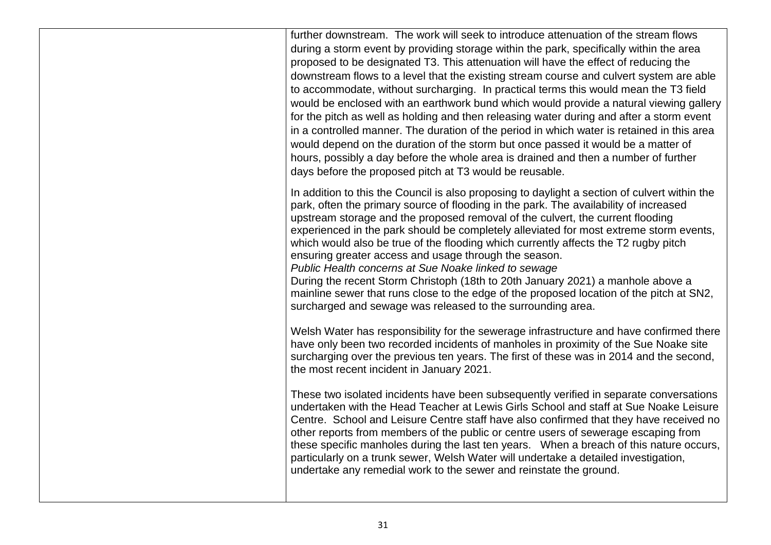further downstream. The work will seek to introduce attenuation of the stream flows during a storm event by providing storage within the park, specifically within the area proposed to be designated T3. This attenuation will have the effect of reducing the downstream flows to a level that the existing stream course and culvert system are able to accommodate, without surcharging. In practical terms this would mean the T3 field would be enclosed with an earthwork bund which would provide a natural viewing gallery for the pitch as well as holding and then releasing water during and after a storm event in a controlled manner. The duration of the period in which water is retained in this area would depend on the duration of the storm but once passed it would be a matter of hours, possibly a day before the whole area is drained and then a number of further days before the proposed pitch at T3 would be reusable.

In addition to this the Council is also proposing to daylight a section of culvert within the park, often the primary source of flooding in the park. The availability of increased upstream storage and the proposed removal of the culvert, the current flooding experienced in the park should be completely alleviated for most extreme storm events, which would also be true of the flooding which currently affects the T2 rugby pitch ensuring greater access and usage through the season. *Public Health concerns at Sue Noake linked to sewage* During the recent Storm Christoph (18th to 20th January 2021) a manhole above a

mainline sewer that runs close to the edge of the proposed location of the pitch at SN2, surcharged and sewage was released to the surrounding area.

Welsh Water has responsibility for the sewerage infrastructure and have confirmed there have only been two recorded incidents of manholes in proximity of the Sue Noake site surcharging over the previous ten years. The first of these was in 2014 and the second, the most recent incident in January 2021.

These two isolated incidents have been subsequently verified in separate conversations undertaken with the Head Teacher at Lewis Girls School and staff at Sue Noake Leisure Centre. School and Leisure Centre staff have also confirmed that they have received no other reports from members of the public or centre users of sewerage escaping from these specific manholes during the last ten years. When a breach of this nature occurs, particularly on a trunk sewer, Welsh Water will undertake a detailed investigation, undertake any remedial work to the sewer and reinstate the ground.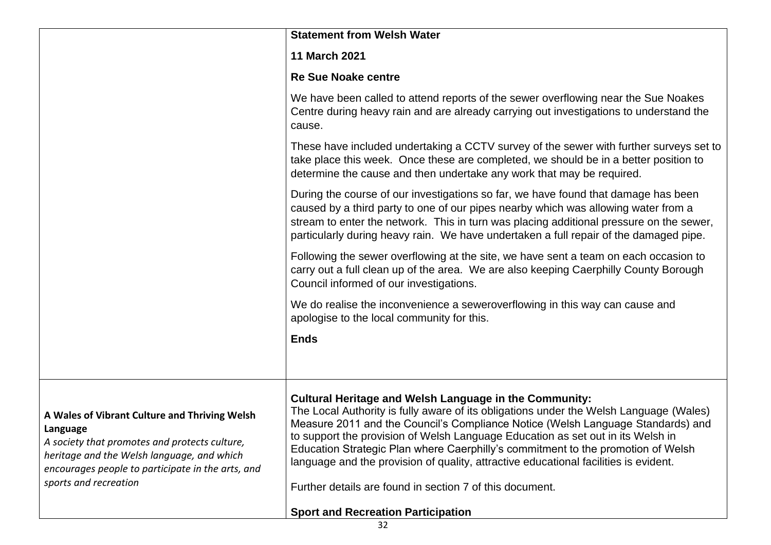|                                                                                                                                                                                                                                        | <b>Statement from Welsh Water</b>                                                                                                                                                                                                                                                                                                                                                                                                                                                                                                                                     |
|----------------------------------------------------------------------------------------------------------------------------------------------------------------------------------------------------------------------------------------|-----------------------------------------------------------------------------------------------------------------------------------------------------------------------------------------------------------------------------------------------------------------------------------------------------------------------------------------------------------------------------------------------------------------------------------------------------------------------------------------------------------------------------------------------------------------------|
|                                                                                                                                                                                                                                        | 11 March 2021                                                                                                                                                                                                                                                                                                                                                                                                                                                                                                                                                         |
|                                                                                                                                                                                                                                        | <b>Re Sue Noake centre</b>                                                                                                                                                                                                                                                                                                                                                                                                                                                                                                                                            |
|                                                                                                                                                                                                                                        | We have been called to attend reports of the sewer overflowing near the Sue Noakes<br>Centre during heavy rain and are already carrying out investigations to understand the<br>cause.                                                                                                                                                                                                                                                                                                                                                                                |
|                                                                                                                                                                                                                                        | These have included undertaking a CCTV survey of the sewer with further surveys set to<br>take place this week. Once these are completed, we should be in a better position to<br>determine the cause and then undertake any work that may be required.                                                                                                                                                                                                                                                                                                               |
|                                                                                                                                                                                                                                        | During the course of our investigations so far, we have found that damage has been<br>caused by a third party to one of our pipes nearby which was allowing water from a<br>stream to enter the network. This in turn was placing additional pressure on the sewer,<br>particularly during heavy rain. We have undertaken a full repair of the damaged pipe.                                                                                                                                                                                                          |
|                                                                                                                                                                                                                                        | Following the sewer overflowing at the site, we have sent a team on each occasion to<br>carry out a full clean up of the area. We are also keeping Caerphilly County Borough<br>Council informed of our investigations.                                                                                                                                                                                                                                                                                                                                               |
|                                                                                                                                                                                                                                        | We do realise the inconvenience a seweroverflowing in this way can cause and<br>apologise to the local community for this.                                                                                                                                                                                                                                                                                                                                                                                                                                            |
|                                                                                                                                                                                                                                        | <b>Ends</b>                                                                                                                                                                                                                                                                                                                                                                                                                                                                                                                                                           |
|                                                                                                                                                                                                                                        |                                                                                                                                                                                                                                                                                                                                                                                                                                                                                                                                                                       |
| A Wales of Vibrant Culture and Thriving Welsh<br>Language<br>A society that promotes and protects culture,<br>heritage and the Welsh language, and which<br>encourages people to participate in the arts, and<br>sports and recreation | <b>Cultural Heritage and Welsh Language in the Community:</b><br>The Local Authority is fully aware of its obligations under the Welsh Language (Wales)<br>Measure 2011 and the Council's Compliance Notice (Welsh Language Standards) and<br>to support the provision of Welsh Language Education as set out in its Welsh in<br>Education Strategic Plan where Caerphilly's commitment to the promotion of Welsh<br>language and the provision of quality, attractive educational facilities is evident.<br>Further details are found in section 7 of this document. |
|                                                                                                                                                                                                                                        | <b>Sport and Recreation Participation</b>                                                                                                                                                                                                                                                                                                                                                                                                                                                                                                                             |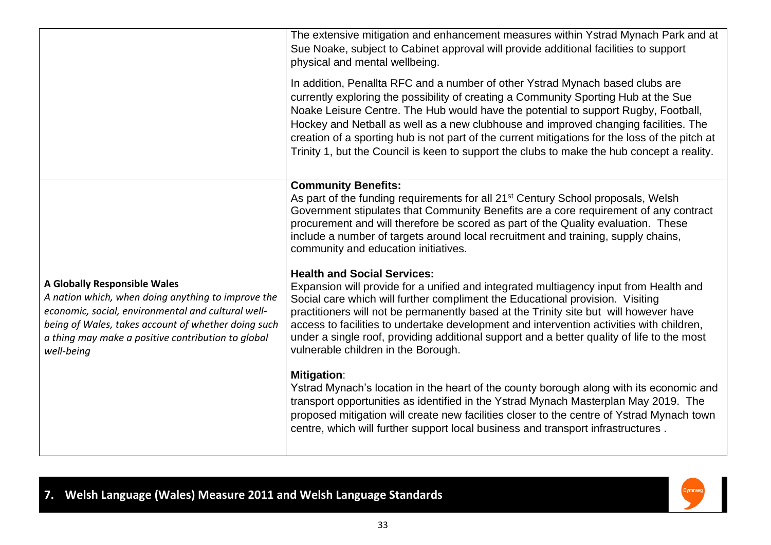|                                                                                                                                                                                                                                                                     | The extensive mitigation and enhancement measures within Ystrad Mynach Park and at<br>Sue Noake, subject to Cabinet approval will provide additional facilities to support<br>physical and mental wellbeing.                                                                                                                                                                                                                                                                                                                                      |
|---------------------------------------------------------------------------------------------------------------------------------------------------------------------------------------------------------------------------------------------------------------------|---------------------------------------------------------------------------------------------------------------------------------------------------------------------------------------------------------------------------------------------------------------------------------------------------------------------------------------------------------------------------------------------------------------------------------------------------------------------------------------------------------------------------------------------------|
|                                                                                                                                                                                                                                                                     | In addition, Penallta RFC and a number of other Ystrad Mynach based clubs are<br>currently exploring the possibility of creating a Community Sporting Hub at the Sue<br>Noake Leisure Centre. The Hub would have the potential to support Rugby, Football,<br>Hockey and Netball as well as a new clubhouse and improved changing facilities. The<br>creation of a sporting hub is not part of the current mitigations for the loss of the pitch at<br>Trinity 1, but the Council is keen to support the clubs to make the hub concept a reality. |
|                                                                                                                                                                                                                                                                     | <b>Community Benefits:</b><br>As part of the funding requirements for all 21 <sup>st</sup> Century School proposals, Welsh<br>Government stipulates that Community Benefits are a core requirement of any contract<br>procurement and will therefore be scored as part of the Quality evaluation. These<br>include a number of targets around local recruitment and training, supply chains,<br>community and education initiatives.                                                                                                              |
| A Globally Responsible Wales<br>A nation which, when doing anything to improve the<br>economic, social, environmental and cultural well-<br>being of Wales, takes account of whether doing such<br>a thing may make a positive contribution to global<br>well-being | <b>Health and Social Services:</b><br>Expansion will provide for a unified and integrated multiagency input from Health and<br>Social care which will further compliment the Educational provision. Visiting<br>practitioners will not be permanently based at the Trinity site but will however have<br>access to facilities to undertake development and intervention activities with children,<br>under a single roof, providing additional support and a better quality of life to the most<br>vulnerable children in the Borough.            |
|                                                                                                                                                                                                                                                                     | <b>Mitigation:</b><br>Ystrad Mynach's location in the heart of the county borough along with its economic and<br>transport opportunities as identified in the Ystrad Mynach Masterplan May 2019. The<br>proposed mitigation will create new facilities closer to the centre of Ystrad Mynach town<br>centre, which will further support local business and transport infrastructures.                                                                                                                                                             |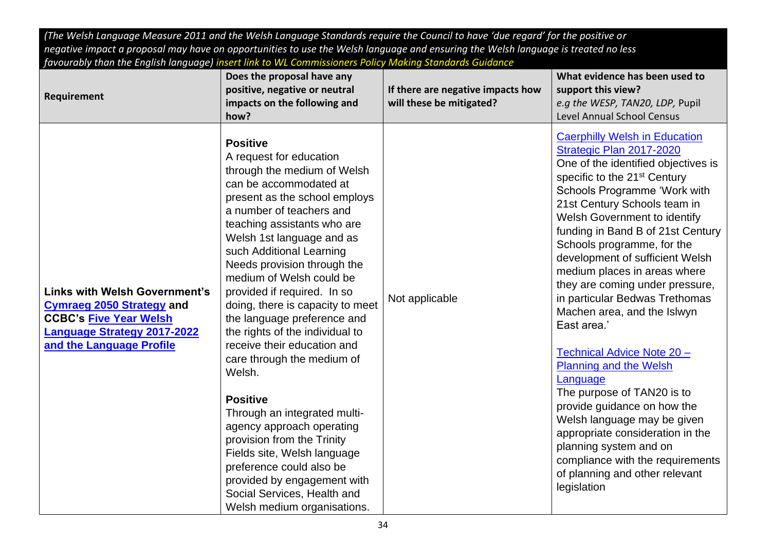| (The Welsh Language Measure 2011 and the Welsh Language Standards require the Council to have 'due regard' for the positive or                                              |                                                                                                                                                                                                                                                                                                                                                                                                                                                                                                                                                                                                                                                                                                                                                                                                       |                                                               |                                                                                                                                                                                                                                                                                                                                                                                                                                                                                                                                                                                                                                                                                                                                                                                                                                        |  |  |
|-----------------------------------------------------------------------------------------------------------------------------------------------------------------------------|-------------------------------------------------------------------------------------------------------------------------------------------------------------------------------------------------------------------------------------------------------------------------------------------------------------------------------------------------------------------------------------------------------------------------------------------------------------------------------------------------------------------------------------------------------------------------------------------------------------------------------------------------------------------------------------------------------------------------------------------------------------------------------------------------------|---------------------------------------------------------------|----------------------------------------------------------------------------------------------------------------------------------------------------------------------------------------------------------------------------------------------------------------------------------------------------------------------------------------------------------------------------------------------------------------------------------------------------------------------------------------------------------------------------------------------------------------------------------------------------------------------------------------------------------------------------------------------------------------------------------------------------------------------------------------------------------------------------------------|--|--|
| negative impact a proposal may have on opportunities to use the Welsh language and ensuring the Welsh language is treated no less                                           |                                                                                                                                                                                                                                                                                                                                                                                                                                                                                                                                                                                                                                                                                                                                                                                                       |                                                               |                                                                                                                                                                                                                                                                                                                                                                                                                                                                                                                                                                                                                                                                                                                                                                                                                                        |  |  |
| favourably than the English language) insert link to WL Commissioners Policy Making Standards Guidance                                                                      |                                                                                                                                                                                                                                                                                                                                                                                                                                                                                                                                                                                                                                                                                                                                                                                                       |                                                               |                                                                                                                                                                                                                                                                                                                                                                                                                                                                                                                                                                                                                                                                                                                                                                                                                                        |  |  |
| Requirement                                                                                                                                                                 | Does the proposal have any<br>positive, negative or neutral<br>impacts on the following and<br>how?                                                                                                                                                                                                                                                                                                                                                                                                                                                                                                                                                                                                                                                                                                   | If there are negative impacts how<br>will these be mitigated? | What evidence has been used to<br>support this view?<br>e.g the WESP, TAN20, LDP, Pupil<br><b>Level Annual School Census</b>                                                                                                                                                                                                                                                                                                                                                                                                                                                                                                                                                                                                                                                                                                           |  |  |
| <b>Links with Welsh Government's</b><br><b>Cymraeg 2050 Strategy and</b><br><b>CCBC's Five Year Welsh</b><br><b>Language Strategy 2017-2022</b><br>and the Language Profile | <b>Positive</b><br>A request for education<br>through the medium of Welsh<br>can be accommodated at<br>present as the school employs<br>a number of teachers and<br>teaching assistants who are<br>Welsh 1st language and as<br>such Additional Learning<br>Needs provision through the<br>medium of Welsh could be<br>provided if required. In so<br>doing, there is capacity to meet<br>the language preference and<br>the rights of the individual to<br>receive their education and<br>care through the medium of<br>Welsh.<br><b>Positive</b><br>Through an integrated multi-<br>agency approach operating<br>provision from the Trinity<br>Fields site, Welsh language<br>preference could also be<br>provided by engagement with<br>Social Services, Health and<br>Welsh medium organisations. | Not applicable                                                | <b>Caerphilly Welsh in Education</b><br>Strategic Plan 2017-2020<br>One of the identified objectives is<br>specific to the 21 <sup>st</sup> Century<br>Schools Programme 'Work with<br>21st Century Schools team in<br>Welsh Government to identify<br>funding in Band B of 21st Century<br>Schools programme, for the<br>development of sufficient Welsh<br>medium places in areas where<br>they are coming under pressure,<br>in particular Bedwas Trethomas<br>Machen area, and the Islwyn<br>East area.'<br>Technical Advice Note 20 -<br><b>Planning and the Welsh</b><br>Language<br>The purpose of TAN20 is to<br>provide guidance on how the<br>Welsh language may be given<br>appropriate consideration in the<br>planning system and on<br>compliance with the requirements<br>of planning and other relevant<br>legislation |  |  |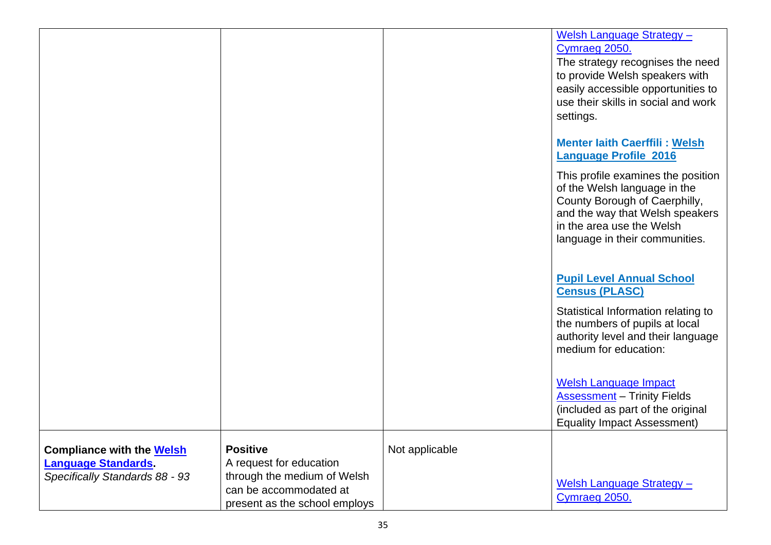|                                                                                                 |                                                                                                                                      |                | Welsh Language Strategy -<br>Cymraeg 2050.<br>The strategy recognises the need<br>to provide Welsh speakers with<br>easily accessible opportunities to<br>use their skills in social and work<br>settings.                                                                    |
|-------------------------------------------------------------------------------------------------|--------------------------------------------------------------------------------------------------------------------------------------|----------------|-------------------------------------------------------------------------------------------------------------------------------------------------------------------------------------------------------------------------------------------------------------------------------|
|                                                                                                 |                                                                                                                                      |                | <b>Menter laith Caerffili: Welsh</b><br><b>Language Profile 2016</b><br>This profile examines the position<br>of the Welsh language in the<br>County Borough of Caerphilly,<br>and the way that Welsh speakers<br>in the area use the Welsh<br>language in their communities. |
|                                                                                                 |                                                                                                                                      |                | <b>Pupil Level Annual School</b><br><b>Census (PLASC)</b><br>Statistical Information relating to<br>the numbers of pupils at local<br>authority level and their language<br>medium for education:                                                                             |
|                                                                                                 |                                                                                                                                      |                | <b>Welsh Language Impact</b><br><b>Assessment</b> - Trinity Fields<br>(included as part of the original<br><b>Equality Impact Assessment)</b>                                                                                                                                 |
| <b>Compliance with the Welsh</b><br><b>Language Standards</b><br>Specifically Standards 88 - 93 | <b>Positive</b><br>A request for education<br>through the medium of Welsh<br>can be accommodated at<br>present as the school employs | Not applicable | Welsh Language Strategy -<br>Cymraeg 2050.                                                                                                                                                                                                                                    |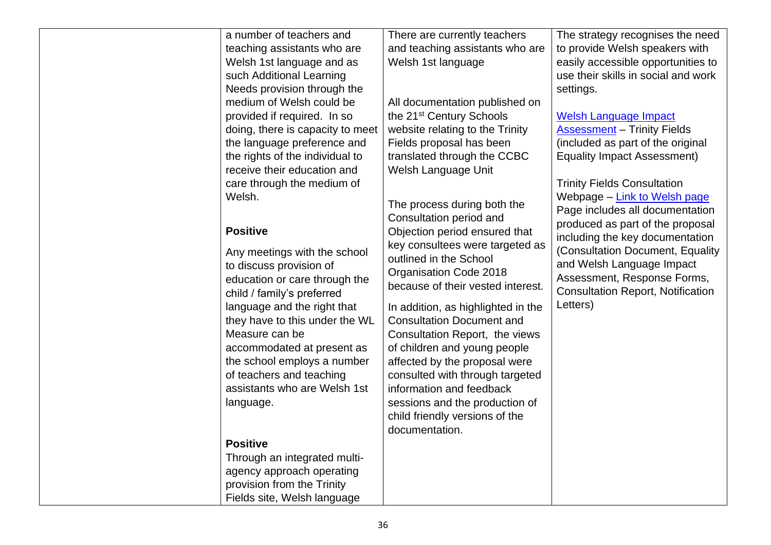| a number of teachers and         | There are currently teachers         | The strategy recognises the need         |
|----------------------------------|--------------------------------------|------------------------------------------|
| teaching assistants who are      | and teaching assistants who are      | to provide Welsh speakers with           |
| Welsh 1st language and as        | Welsh 1st language                   | easily accessible opportunities to       |
| such Additional Learning         |                                      | use their skills in social and work      |
| Needs provision through the      |                                      | settings.                                |
| medium of Welsh could be         | All documentation published on       |                                          |
| provided if required. In so      | the 21 <sup>st</sup> Century Schools | <b>Welsh Language Impact</b>             |
| doing, there is capacity to meet | website relating to the Trinity      | <b>Assessment</b> - Trinity Fields       |
| the language preference and      | Fields proposal has been             | (included as part of the original        |
| the rights of the individual to  | translated through the CCBC          | <b>Equality Impact Assessment)</b>       |
| receive their education and      | Welsh Language Unit                  |                                          |
| care through the medium of       |                                      | <b>Trinity Fields Consultation</b>       |
| Welsh.                           |                                      | Webpage - Link to Welsh page             |
|                                  | The process during both the          | Page includes all documentation          |
|                                  | Consultation period and              | produced as part of the proposal         |
| <b>Positive</b>                  | Objection period ensured that        | including the key documentation          |
| Any meetings with the school     | key consultees were targeted as      | (Consultation Document, Equality         |
| to discuss provision of          | outlined in the School               | and Welsh Language Impact                |
| education or care through the    | Organisation Code 2018               | Assessment, Response Forms,              |
| child / family's preferred       | because of their vested interest.    | <b>Consultation Report, Notification</b> |
| language and the right that      | In addition, as highlighted in the   | Letters)                                 |
| they have to this under the WL   | <b>Consultation Document and</b>     |                                          |
| Measure can be                   | Consultation Report, the views       |                                          |
| accommodated at present as       | of children and young people         |                                          |
| the school employs a number      | affected by the proposal were        |                                          |
| of teachers and teaching         | consulted with through targeted      |                                          |
| assistants who are Welsh 1st     | information and feedback             |                                          |
|                                  |                                      |                                          |
| language.                        | sessions and the production of       |                                          |
|                                  | child friendly versions of the       |                                          |
|                                  | documentation.                       |                                          |
| <b>Positive</b>                  |                                      |                                          |
| Through an integrated multi-     |                                      |                                          |
| agency approach operating        |                                      |                                          |
| provision from the Trinity       |                                      |                                          |
| Fields site, Welsh language      |                                      |                                          |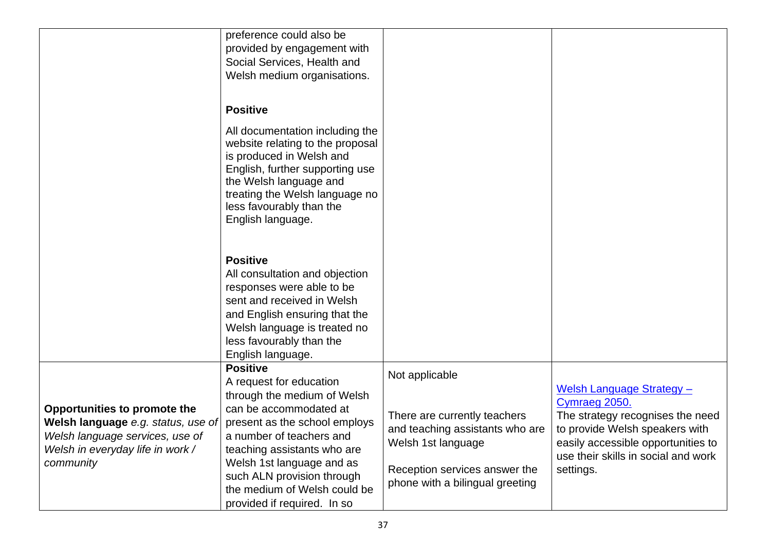|                                                                     | preference could also be<br>provided by engagement with                                                                                                                                                                                         |                                                                  |                                                  |
|---------------------------------------------------------------------|-------------------------------------------------------------------------------------------------------------------------------------------------------------------------------------------------------------------------------------------------|------------------------------------------------------------------|--------------------------------------------------|
|                                                                     | Social Services, Health and                                                                                                                                                                                                                     |                                                                  |                                                  |
|                                                                     | Welsh medium organisations.                                                                                                                                                                                                                     |                                                                  |                                                  |
|                                                                     |                                                                                                                                                                                                                                                 |                                                                  |                                                  |
|                                                                     | <b>Positive</b>                                                                                                                                                                                                                                 |                                                                  |                                                  |
|                                                                     | All documentation including the<br>website relating to the proposal<br>is produced in Welsh and<br>English, further supporting use<br>the Welsh language and<br>treating the Welsh language no<br>less favourably than the<br>English language. |                                                                  |                                                  |
|                                                                     | <b>Positive</b><br>All consultation and objection<br>responses were able to be<br>sent and received in Welsh<br>and English ensuring that the<br>Welsh language is treated no<br>less favourably than the<br>English language.                  |                                                                  |                                                  |
|                                                                     | <b>Positive</b><br>A request for education<br>through the medium of Welsh                                                                                                                                                                       | Not applicable                                                   | Welsh Language Strategy -<br>Cymraeg 2050.       |
| Opportunities to promote the                                        | can be accommodated at                                                                                                                                                                                                                          | There are currently teachers                                     | The strategy recognises the need                 |
| Welsh language e.g. status, use of                                  | present as the school employs                                                                                                                                                                                                                   | and teaching assistants who are                                  | to provide Welsh speakers with                   |
| Welsh language services, use of<br>Welsh in everyday life in work / | a number of teachers and<br>teaching assistants who are                                                                                                                                                                                         | Welsh 1st language                                               | easily accessible opportunities to               |
| community                                                           | Welsh 1st language and as<br>such ALN provision through<br>the medium of Welsh could be                                                                                                                                                         | Reception services answer the<br>phone with a bilingual greeting | use their skills in social and work<br>settings. |
|                                                                     | provided if required. In so                                                                                                                                                                                                                     |                                                                  |                                                  |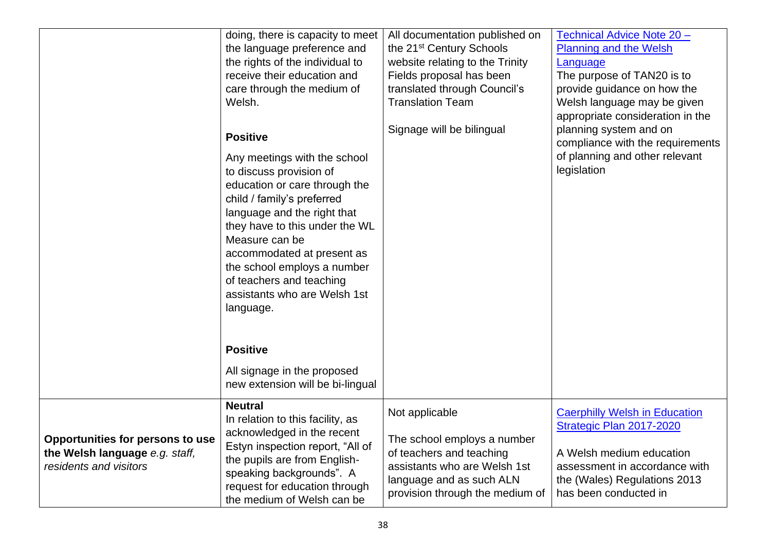|                                                                                              | doing, there is capacity to meet<br>the language preference and<br>the rights of the individual to<br>receive their education and<br>care through the medium of<br>Welsh.<br><b>Positive</b><br>Any meetings with the school<br>to discuss provision of<br>education or care through the<br>child / family's preferred<br>language and the right that<br>they have to this under the WL<br>Measure can be<br>accommodated at present as<br>the school employs a number<br>of teachers and teaching<br>assistants who are Welsh 1st<br>language. | All documentation published on<br>the 21 <sup>st</sup> Century Schools<br>website relating to the Trinity<br>Fields proposal has been<br>translated through Council's<br><b>Translation Team</b><br>Signage will be bilingual | Technical Advice Note 20 -<br><b>Planning and the Welsh</b><br><b>Language</b><br>The purpose of TAN20 is to<br>provide quidance on how the<br>Welsh language may be given<br>appropriate consideration in the<br>planning system and on<br>compliance with the requirements<br>of planning and other relevant<br>legislation |
|----------------------------------------------------------------------------------------------|-------------------------------------------------------------------------------------------------------------------------------------------------------------------------------------------------------------------------------------------------------------------------------------------------------------------------------------------------------------------------------------------------------------------------------------------------------------------------------------------------------------------------------------------------|-------------------------------------------------------------------------------------------------------------------------------------------------------------------------------------------------------------------------------|-------------------------------------------------------------------------------------------------------------------------------------------------------------------------------------------------------------------------------------------------------------------------------------------------------------------------------|
|                                                                                              | <b>Positive</b><br>All signage in the proposed<br>new extension will be bi-lingual                                                                                                                                                                                                                                                                                                                                                                                                                                                              |                                                                                                                                                                                                                               |                                                                                                                                                                                                                                                                                                                               |
| Opportunities for persons to use<br>the Welsh language e.g. staff,<br>residents and visitors | <b>Neutral</b><br>In relation to this facility, as<br>acknowledged in the recent<br>Estyn inspection report, "All of<br>the pupils are from English-<br>speaking backgrounds". A<br>request for education through<br>the medium of Welsh can be                                                                                                                                                                                                                                                                                                 | Not applicable<br>The school employs a number<br>of teachers and teaching<br>assistants who are Welsh 1st<br>language and as such ALN<br>provision through the medium of                                                      | <b>Caerphilly Welsh in Education</b><br>Strategic Plan 2017-2020<br>A Welsh medium education<br>assessment in accordance with<br>the (Wales) Regulations 2013<br>has been conducted in                                                                                                                                        |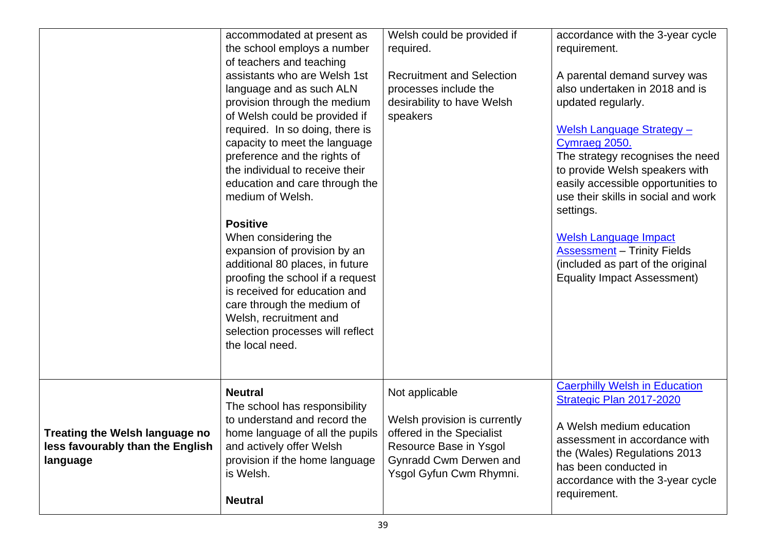|                                                                                | accommodated at present as<br>the school employs a number<br>of teachers and teaching<br>assistants who are Welsh 1st<br>language and as such ALN<br>provision through the medium<br>of Welsh could be provided if<br>required. In so doing, there is<br>capacity to meet the language<br>preference and the rights of<br>the individual to receive their<br>education and care through the<br>medium of Welsh.<br><b>Positive</b><br>When considering the<br>expansion of provision by an<br>additional 80 places, in future<br>proofing the school if a request<br>is received for education and<br>care through the medium of<br>Welsh, recruitment and<br>selection processes will reflect<br>the local need. | Welsh could be provided if<br>required.<br><b>Recruitment and Selection</b><br>processes include the<br>desirability to have Welsh<br>speakers                    | accordance with the 3-year cycle<br>requirement.<br>A parental demand survey was<br>also undertaken in 2018 and is<br>updated regularly.<br>Welsh Language Strategy -<br>Cymraeg 2050.<br>The strategy recognises the need<br>to provide Welsh speakers with<br>easily accessible opportunities to<br>use their skills in social and work<br>settings.<br><b>Welsh Language Impact</b><br><b>Assessment</b> - Trinity Fields<br>(included as part of the original<br><b>Equality Impact Assessment)</b> |
|--------------------------------------------------------------------------------|-------------------------------------------------------------------------------------------------------------------------------------------------------------------------------------------------------------------------------------------------------------------------------------------------------------------------------------------------------------------------------------------------------------------------------------------------------------------------------------------------------------------------------------------------------------------------------------------------------------------------------------------------------------------------------------------------------------------|-------------------------------------------------------------------------------------------------------------------------------------------------------------------|---------------------------------------------------------------------------------------------------------------------------------------------------------------------------------------------------------------------------------------------------------------------------------------------------------------------------------------------------------------------------------------------------------------------------------------------------------------------------------------------------------|
| Treating the Welsh language no<br>less favourably than the English<br>language | <b>Neutral</b><br>The school has responsibility<br>to understand and record the<br>home language of all the pupils<br>and actively offer Welsh<br>provision if the home language<br>is Welsh.<br><b>Neutral</b>                                                                                                                                                                                                                                                                                                                                                                                                                                                                                                   | Not applicable<br>Welsh provision is currently<br>offered in the Specialist<br>Resource Base in Ysgol<br><b>Gynradd Cwm Derwen and</b><br>Ysgol Gyfun Cwm Rhymni. | <b>Caerphilly Welsh in Education</b><br>Strategic Plan 2017-2020<br>A Welsh medium education<br>assessment in accordance with<br>the (Wales) Regulations 2013<br>has been conducted in<br>accordance with the 3-year cycle<br>requirement.                                                                                                                                                                                                                                                              |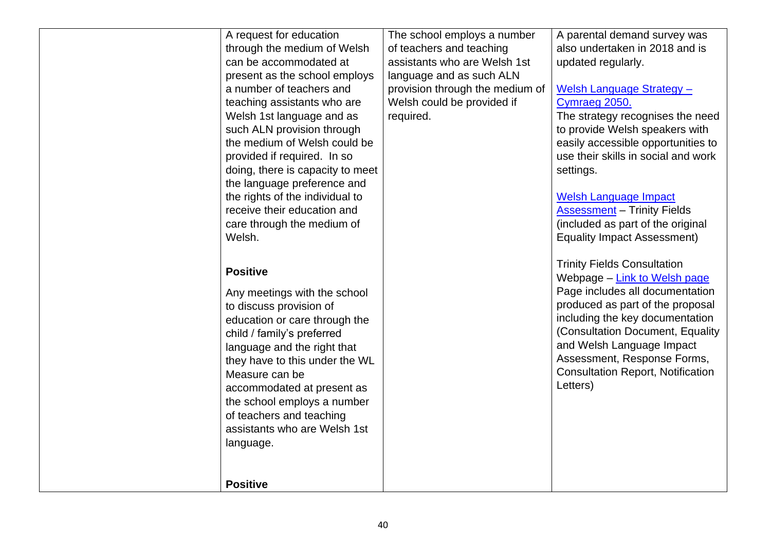| A request for education<br>through the medium of Welsh<br>can be accommodated at<br>present as the school employs<br>a number of teachers and<br>teaching assistants who are<br>Welsh 1st language and as<br>such ALN provision through<br>the medium of Welsh could be<br>provided if required. In so<br>doing, there is capacity to meet<br>the language preference and<br>the rights of the individual to<br>receive their education and<br>care through the medium of<br>Welsh.<br><b>Positive</b><br>Any meetings with the school<br>to discuss provision of<br>education or care through the<br>child / family's preferred<br>language and the right that | The school employs a number<br>of teachers and teaching<br>assistants who are Welsh 1st<br>language and as such ALN<br>provision through the medium of<br>Welsh could be provided if<br>required. | A parental demand survey was<br>also undertaken in 2018 and is<br>updated regularly.<br>Welsh Language Strategy -<br>Cymraeg 2050.<br>The strategy recognises the need<br>to provide Welsh speakers with<br>easily accessible opportunities to<br>use their skills in social and work<br>settings.<br><b>Welsh Language Impact</b><br><b>Assessment</b> - Trinity Fields<br>(included as part of the original<br><b>Equality Impact Assessment)</b><br><b>Trinity Fields Consultation</b><br>Webpage - Link to Welsh page<br>Page includes all documentation<br>produced as part of the proposal<br>including the key documentation<br>(Consultation Document, Equality<br>and Welsh Language Impact<br>Assessment, Response Forms, |
|-----------------------------------------------------------------------------------------------------------------------------------------------------------------------------------------------------------------------------------------------------------------------------------------------------------------------------------------------------------------------------------------------------------------------------------------------------------------------------------------------------------------------------------------------------------------------------------------------------------------------------------------------------------------|---------------------------------------------------------------------------------------------------------------------------------------------------------------------------------------------------|-------------------------------------------------------------------------------------------------------------------------------------------------------------------------------------------------------------------------------------------------------------------------------------------------------------------------------------------------------------------------------------------------------------------------------------------------------------------------------------------------------------------------------------------------------------------------------------------------------------------------------------------------------------------------------------------------------------------------------------|
| they have to this under the WL<br>Measure can be<br>accommodated at present as<br>the school employs a number<br>of teachers and teaching<br>assistants who are Welsh 1st<br>language.<br><b>Positive</b>                                                                                                                                                                                                                                                                                                                                                                                                                                                       |                                                                                                                                                                                                   | <b>Consultation Report, Notification</b><br>Letters)                                                                                                                                                                                                                                                                                                                                                                                                                                                                                                                                                                                                                                                                                |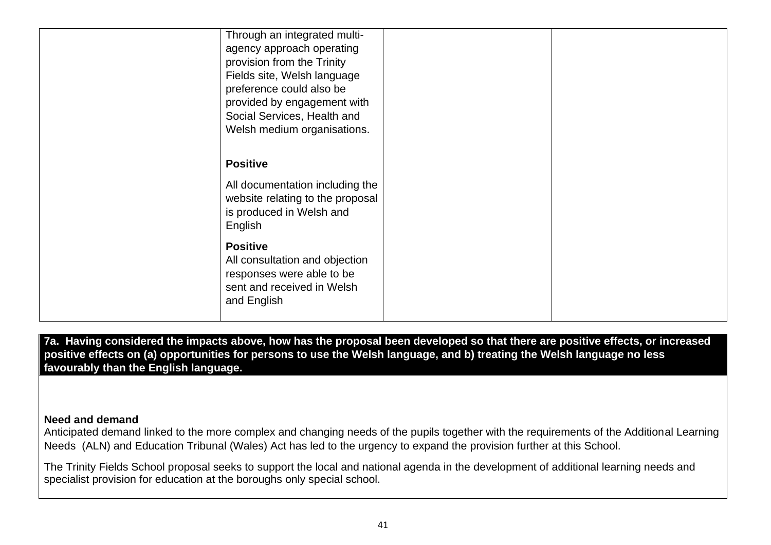| Through an integrated multi-<br>agency approach operating<br>provision from the Trinity<br>Fields site, Welsh language<br>preference could also be<br>provided by engagement with<br>Social Services, Health and<br>Welsh medium organisations. |  |
|-------------------------------------------------------------------------------------------------------------------------------------------------------------------------------------------------------------------------------------------------|--|
| <b>Positive</b>                                                                                                                                                                                                                                 |  |
| All documentation including the<br>website relating to the proposal<br>is produced in Welsh and<br>English                                                                                                                                      |  |
| <b>Positive</b><br>All consultation and objection<br>responses were able to be<br>sent and received in Welsh<br>and English                                                                                                                     |  |

**7a. Having considered the impacts above, how has the proposal been developed so that there are positive effects, or increased positive effects on (a) opportunities for persons to use the Welsh language, and b) treating the Welsh language no less favourably than the English language.**

#### **Need and demand**

Anticipated demand linked to the more complex and changing needs of the pupils together with the requirements of the Additional Learning Needs (ALN) and Education Tribunal (Wales) Act has led to the urgency to expand the provision further at this School.

The Trinity Fields School proposal seeks to support the local and national agenda in the development of additional learning needs and specialist provision for education at the boroughs only special school.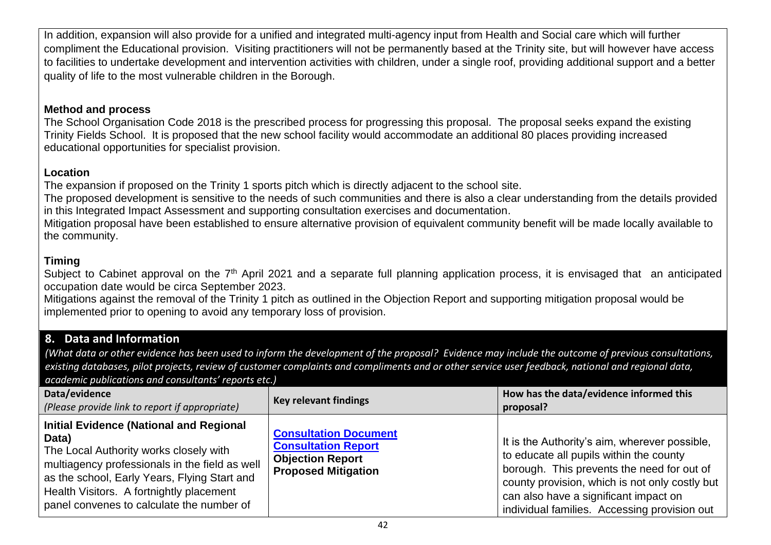In addition, expansion will also provide for a unified and integrated multi-agency input from Health and Social care which will further compliment the Educational provision. Visiting practitioners will not be permanently based at the Trinity site, but will however have access to facilities to undertake development and intervention activities with children, under a single roof, providing additional support and a better quality of life to the most vulnerable children in the Borough.

### **Method and process**

The School Organisation Code 2018 is the prescribed process for progressing this proposal. The proposal seeks expand the existing Trinity Fields School. It is proposed that the new school facility would accommodate an additional 80 places providing increased educational opportunities for specialist provision.

## **Location**

The expansion if proposed on the Trinity 1 sports pitch which is directly adjacent to the school site.

The proposed development is sensitive to the needs of such communities and there is also a clear understanding from the details provided in this Integrated Impact Assessment and supporting consultation exercises and documentation.

Mitigation proposal have been established to ensure alternative provision of equivalent community benefit will be made locally available to the community.

# **Timing**

Subject to Cabinet approval on the 7<sup>th</sup> April 2021 and a separate full planning application process, it is envisaged that an anticipated occupation date would be circa September 2023.

Mitigations against the removal of the Trinity 1 pitch as outlined in the Objection Report and supporting mitigation proposal would be implemented prior to opening to avoid any temporary loss of provision.

# **8. Data and Information**

*(What data or other evidence has been used to inform the development of the proposal? Evidence may include the outcome of previous consultations, existing databases, pilot projects, review of customer complaints and compliments and or other service user feedback, national and regional data,* 

| academic publications and consultants' reports etc.)                                                                                                                                                                                                                                         |                                                                                                                     |                                                                                                                                                                                                                                                                                   |
|----------------------------------------------------------------------------------------------------------------------------------------------------------------------------------------------------------------------------------------------------------------------------------------------|---------------------------------------------------------------------------------------------------------------------|-----------------------------------------------------------------------------------------------------------------------------------------------------------------------------------------------------------------------------------------------------------------------------------|
| Data/evidence<br>(Please provide link to report if appropriate)                                                                                                                                                                                                                              | <b>Key relevant findings</b>                                                                                        | How has the data/evidence informed this<br>proposal?                                                                                                                                                                                                                              |
| <b>Initial Evidence (National and Regional</b><br>Data)<br>The Local Authority works closely with<br>multiagency professionals in the field as well<br>as the school, Early Years, Flying Start and<br>Health Visitors. A fortnightly placement<br>panel convenes to calculate the number of | <b>Consultation Document</b><br><b>Consultation Report</b><br><b>Objection Report</b><br><b>Proposed Mitigation</b> | It is the Authority's aim, wherever possible,<br>to educate all pupils within the county<br>borough. This prevents the need for out of<br>county provision, which is not only costly but<br>can also have a significant impact on<br>individual families. Accessing provision out |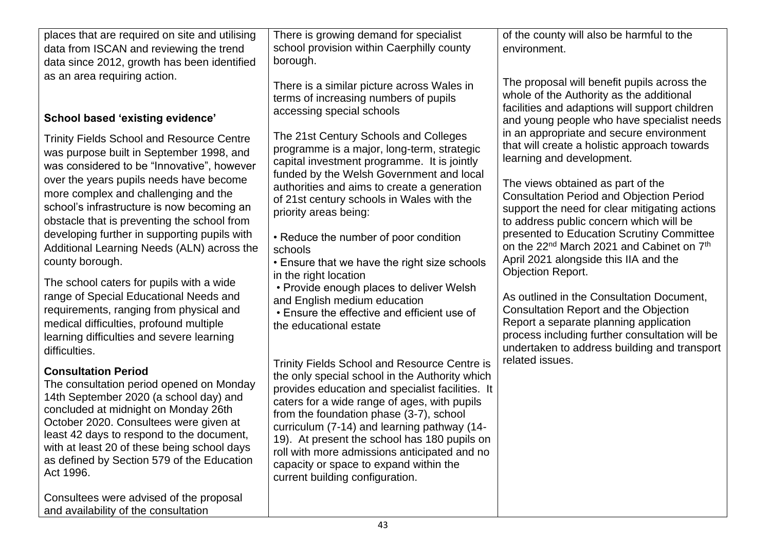| places that are required on site and utilising<br>data from ISCAN and reviewing the trend<br>data since 2012, growth has been identified                                                                                                                                                                                                                                                                                                                                                                                                                                                                                                                                                                                                                                                                                                          | There is growing demand for specialist<br>school provision within Caerphilly county<br>borough.                                                                                                                                                                                                                                                                                                                                                                                                                                                                                                                                                                                                                                                                                                                                               | of the county will also be harmful to the<br>environment.                                                                                                                                                                                                                                                                                                                                                                                                                                                                                                                                                                                                                                                                                             |
|---------------------------------------------------------------------------------------------------------------------------------------------------------------------------------------------------------------------------------------------------------------------------------------------------------------------------------------------------------------------------------------------------------------------------------------------------------------------------------------------------------------------------------------------------------------------------------------------------------------------------------------------------------------------------------------------------------------------------------------------------------------------------------------------------------------------------------------------------|-----------------------------------------------------------------------------------------------------------------------------------------------------------------------------------------------------------------------------------------------------------------------------------------------------------------------------------------------------------------------------------------------------------------------------------------------------------------------------------------------------------------------------------------------------------------------------------------------------------------------------------------------------------------------------------------------------------------------------------------------------------------------------------------------------------------------------------------------|-------------------------------------------------------------------------------------------------------------------------------------------------------------------------------------------------------------------------------------------------------------------------------------------------------------------------------------------------------------------------------------------------------------------------------------------------------------------------------------------------------------------------------------------------------------------------------------------------------------------------------------------------------------------------------------------------------------------------------------------------------|
| as an area requiring action.<br>School based 'existing evidence'                                                                                                                                                                                                                                                                                                                                                                                                                                                                                                                                                                                                                                                                                                                                                                                  | There is a similar picture across Wales in<br>terms of increasing numbers of pupils<br>accessing special schools                                                                                                                                                                                                                                                                                                                                                                                                                                                                                                                                                                                                                                                                                                                              | The proposal will benefit pupils across the<br>whole of the Authority as the additional<br>facilities and adaptions will support children<br>and young people who have specialist needs                                                                                                                                                                                                                                                                                                                                                                                                                                                                                                                                                               |
| <b>Trinity Fields School and Resource Centre</b><br>was purpose built in September 1998, and<br>was considered to be "Innovative", however<br>over the years pupils needs have become<br>more complex and challenging and the<br>school's infrastructure is now becoming an<br>obstacle that is preventing the school from<br>developing further in supporting pupils with<br>Additional Learning Needs (ALN) across the<br>county borough.<br>The school caters for pupils with a wide<br>range of Special Educational Needs and<br>requirements, ranging from physical and<br>medical difficulties, profound multiple<br>learning difficulties and severe learning<br>difficulties.<br><b>Consultation Period</b><br>The consultation period opened on Monday<br>14th September 2020 (a school day) and<br>concluded at midnight on Monday 26th | The 21st Century Schools and Colleges<br>programme is a major, long-term, strategic<br>capital investment programme. It is jointly<br>funded by the Welsh Government and local<br>authorities and aims to create a generation<br>of 21st century schools in Wales with the<br>priority areas being:<br>• Reduce the number of poor condition<br>schools<br>• Ensure that we have the right size schools<br>in the right location<br>• Provide enough places to deliver Welsh<br>and English medium education<br>• Ensure the effective and efficient use of<br>the educational estate<br><b>Trinity Fields School and Resource Centre is</b><br>the only special school in the Authority which<br>provides education and specialist facilities. It<br>caters for a wide range of ages, with pupils<br>from the foundation phase (3-7), school | in an appropriate and secure environment<br>that will create a holistic approach towards<br>learning and development.<br>The views obtained as part of the<br><b>Consultation Period and Objection Period</b><br>support the need for clear mitigating actions<br>to address public concern which will be<br>presented to Education Scrutiny Committee<br>on the 22 <sup>nd</sup> March 2021 and Cabinet on 7 <sup>th</sup><br>April 2021 alongside this IIA and the<br><b>Objection Report.</b><br>As outlined in the Consultation Document,<br>Consultation Report and the Objection<br>Report a separate planning application<br>process including further consultation will be<br>undertaken to address building and transport<br>related issues. |
| October 2020. Consultees were given at<br>least 42 days to respond to the document,<br>with at least 20 of these being school days<br>as defined by Section 579 of the Education<br>Act 1996.<br>Consultees were advised of the proposal                                                                                                                                                                                                                                                                                                                                                                                                                                                                                                                                                                                                          | curriculum (7-14) and learning pathway (14-<br>19). At present the school has 180 pupils on<br>roll with more admissions anticipated and no<br>capacity or space to expand within the<br>current building configuration.                                                                                                                                                                                                                                                                                                                                                                                                                                                                                                                                                                                                                      |                                                                                                                                                                                                                                                                                                                                                                                                                                                                                                                                                                                                                                                                                                                                                       |
| and availability of the consultation                                                                                                                                                                                                                                                                                                                                                                                                                                                                                                                                                                                                                                                                                                                                                                                                              |                                                                                                                                                                                                                                                                                                                                                                                                                                                                                                                                                                                                                                                                                                                                                                                                                                               |                                                                                                                                                                                                                                                                                                                                                                                                                                                                                                                                                                                                                                                                                                                                                       |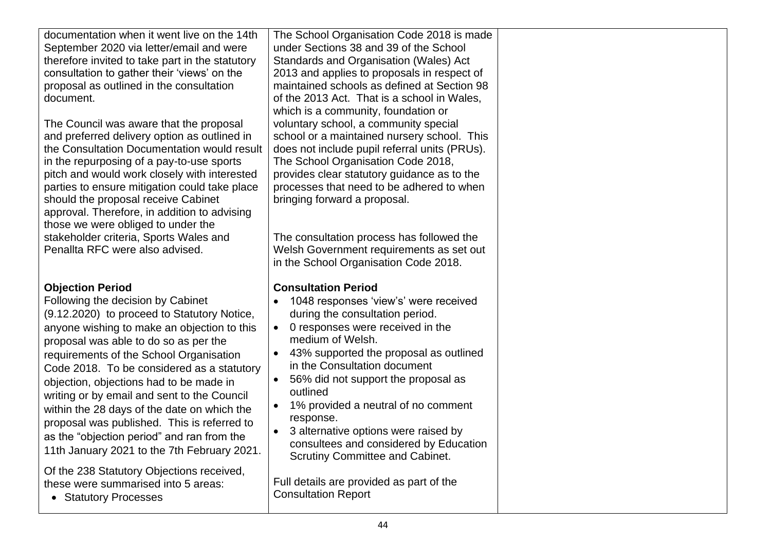documentation when it went live on the 14th September 2020 via letter/email and were therefore invited to take part in the statutory consultation to gather their 'views' on the proposal as outlined in the consultation document.

The Council was aware that the proposal and preferred delivery option as outlined in the Consultation Documentation would result in the repurposing of a pay-to-use sports pitch and would work closely with interested parties to ensure mitigation could take place should the proposal receive Cabinet approval. Therefore, in addition to advising those we were obliged to under the stakeholder criteria, Sports Wales and Penallta RFC were also advised.

## **Objection Period**

Following the decision by Cabinet (9.12.2020) to proceed to Statutory Notice, anyone wishing to make an objection to this proposal was able to do so as per the requirements of the School Organisation Code 2018. To be considered as a statutory objection, objections had to be made in writing or by email and sent to the Council within the 28 days of the date on which the proposal was published. This is referred to as the "objection period" and ran from the 11th January 2021 to the 7th February 2021.

Of the 238 Statutory Objections received, these were summarised into 5 areas:

• Statutory Processes

The School Organisation Code 2018 is made under Sections 38 and 39 of the School Standards and Organisation (Wales) Act 2013 and applies to proposals in respect of maintained schools as defined at Section 98 of the 2013 Act. That is a school in Wales, which is a community, foundation or voluntary school, a community special school or a maintained nursery school. This does not include pupil referral units (PRUs). The School Organisation Code 2018, provides clear statutory guidance as to the processes that need to be adhered to when bringing forward a proposal.

The consultation process has followed the Welsh Government requirements as set out in the School Organisation Code 2018.

## **Consultation Period**

- 1048 responses 'view's' were received during the consultation period.
- 0 responses were received in the medium of Welsh.
- 43% supported the proposal as outlined in the Consultation document
- 56% did not support the proposal as outlined
- 1% provided a neutral of no comment response.
- 3 alternative options were raised by consultees and considered by Education Scrutiny Committee and Cabinet.

Full details are provided as part of the Consultation Report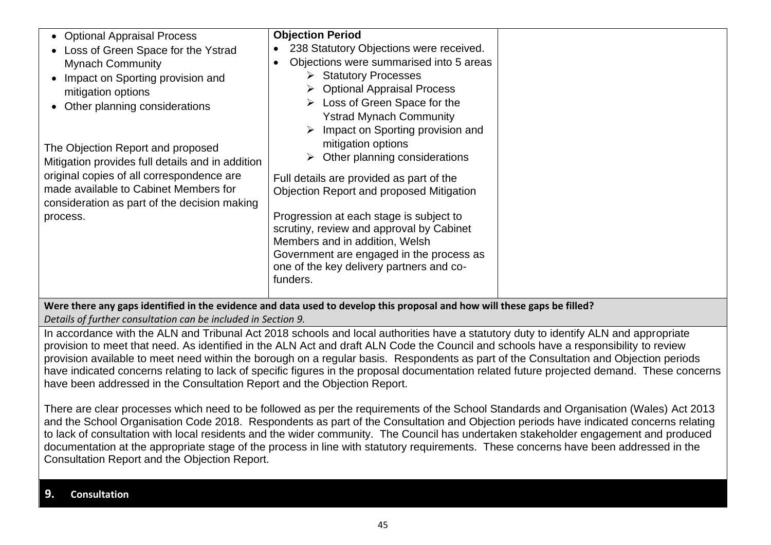| • Optional Appraisal Process                     | <b>Objection Period</b>                              |  |
|--------------------------------------------------|------------------------------------------------------|--|
| Loss of Green Space for the Ystrad               | 238 Statutory Objections were received.              |  |
| <b>Mynach Community</b>                          | Objections were summarised into 5 areas<br>$\bullet$ |  |
| Impact on Sporting provision and                 | $\triangleright$ Statutory Processes                 |  |
| mitigation options                               | $\triangleright$ Optional Appraisal Process          |  |
| Other planning considerations                    | $\triangleright$ Loss of Green Space for the         |  |
|                                                  | <b>Ystrad Mynach Community</b>                       |  |
|                                                  | $\triangleright$ Impact on Sporting provision and    |  |
| The Objection Report and proposed                | mitigation options                                   |  |
| Mitigation provides full details and in addition | Other planning considerations<br>➤                   |  |
| original copies of all correspondence are        | Full details are provided as part of the             |  |
| made available to Cabinet Members for            | Objection Report and proposed Mitigation             |  |
| consideration as part of the decision making     |                                                      |  |
| process.                                         | Progression at each stage is subject to              |  |
|                                                  | scrutiny, review and approval by Cabinet             |  |
|                                                  | Members and in addition, Welsh                       |  |
|                                                  | Government are engaged in the process as             |  |
|                                                  | one of the key delivery partners and co-             |  |
|                                                  | funders.                                             |  |
|                                                  |                                                      |  |

**Were there any gaps identified in the evidence and data used to develop this proposal and how will these gaps be filled?**  *Details of further consultation can be included in Section 9.*

In accordance with the ALN and Tribunal Act 2018 schools and local authorities have a statutory duty to identify ALN and appropriate provision to meet that need. As identified in the ALN Act and draft ALN Code the Council and schools have a responsibility to review provision available to meet need within the borough on a regular basis. Respondents as part of the Consultation and Objection periods have indicated concerns relating to lack of specific figures in the proposal documentation related future projected demand. These concerns have been addressed in the Consultation Report and the Objection Report.

There are clear processes which need to be followed as per the requirements of the School Standards and Organisation (Wales) Act 2013 and the School Organisation Code 2018. Respondents as part of the Consultation and Objection periods have indicated concerns relating to lack of consultation with local residents and the wider community. The Council has undertaken stakeholder engagement and produced documentation at the appropriate stage of the process in line with statutory requirements. These concerns have been addressed in the Consultation Report and the Objection Report.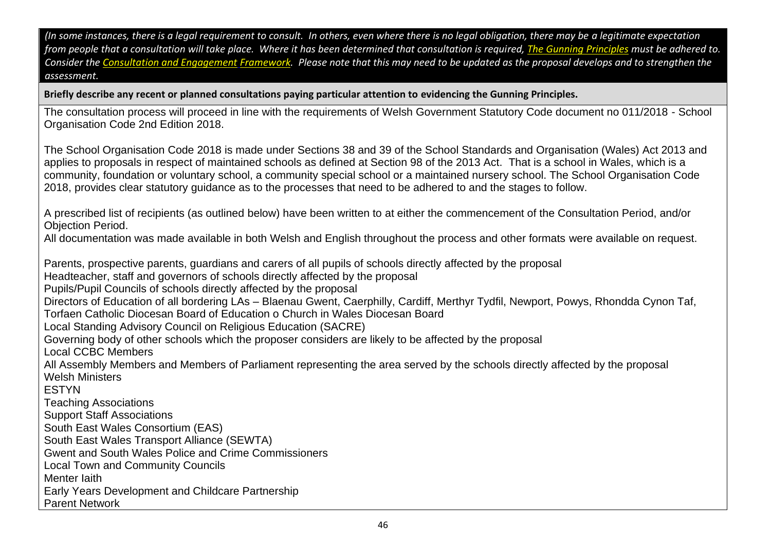*(In some instances, there is a legal requirement to consult. In others, even where there is no legal obligation, there may be a legitimate expectation from people that a consultation will take place. Where it has been determined that consultation is required, [The Gunning Principles](https://www.consultationinstitute.org/the-gunning-principles-implications/) must be adhered to. Consider the [Consultation and Engagement](https://www.caerphilly.gov.uk/CaerphillyDocs/Consultations/Consultation-and-Engagement-Framework.aspx) Framework. Please note that this may need to be updated as the proposal develops and to strengthen the assessment.* **Briefly describe any recent or planned consultations paying particular attention to evidencing the Gunning Principles.** The consultation process will proceed in line with the requirements of Welsh Government Statutory Code document no 011/2018 - School Organisation Code 2nd Edition 2018. The School Organisation Code 2018 is made under Sections 38 and 39 of the School Standards and Organisation (Wales) Act 2013 and applies to proposals in respect of maintained schools as defined at Section 98 of the 2013 Act. That is a school in Wales, which is a community, foundation or voluntary school, a community special school or a maintained nursery school. The School Organisation Code 2018, provides clear statutory guidance as to the processes that need to be adhered to and the stages to follow. A prescribed list of recipients (as outlined below) have been written to at either the commencement of the Consultation Period, and/or Objection Period. All documentation was made available in both Welsh and English throughout the process and other formats were available on request. Parents, prospective parents, guardians and carers of all pupils of schools directly affected by the proposal Headteacher, staff and governors of schools directly affected by the proposal Pupils/Pupil Councils of schools directly affected by the proposal Directors of Education of all bordering LAs – Blaenau Gwent, Caerphilly, Cardiff, Merthyr Tydfil, Newport, Powys, Rhondda Cynon Taf, Torfaen Catholic Diocesan Board of Education o Church in Wales Diocesan Board Local Standing Advisory Council on Religious Education (SACRE) Governing body of other schools which the proposer considers are likely to be affected by the proposal Local CCBC Members All Assembly Members and Members of Parliament representing the area served by the schools directly affected by the proposal Welsh Ministers ESTYN Teaching Associations Support Staff Associations South East Wales Consortium (EAS) South East Wales Transport Alliance (SEWTA) Gwent and South Wales Police and Crime Commissioners Local Town and Community Councils Menter Iaith Early Years Development and Childcare Partnership Parent Network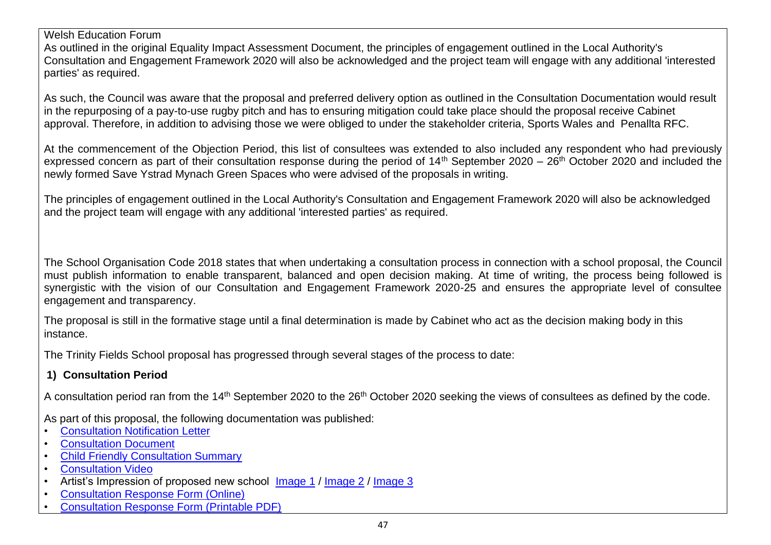Welsh Education Forum As outlined in the original Equality Impact Assessment Document, the principles of engagement outlined in the Local Authority's Consultation and Engagement Framework 2020 will also be acknowledged and the project team will engage with any additional 'interested parties' as required.

As such, the Council was aware that the proposal and preferred delivery option as outlined in the Consultation Documentation would result in the repurposing of a pay-to-use rugby pitch and has to ensuring mitigation could take place should the proposal receive Cabinet approval. Therefore, in addition to advising those we were obliged to under the stakeholder criteria, Sports Wales and Penallta RFC.

At the commencement of the Objection Period, this list of consultees was extended to also included any respondent who had previously expressed concern as part of their consultation response during the period of  $14<sup>th</sup>$  September 2020 – 26<sup>th</sup> October 2020 and included the newly formed Save Ystrad Mynach Green Spaces who were advised of the proposals in writing.

The principles of engagement outlined in the Local Authority's Consultation and Engagement Framework 2020 will also be acknowledged and the project team will engage with any additional 'interested parties' as required.

The School Organisation Code 2018 states that when undertaking a consultation process in connection with a school proposal, the Council must publish information to enable transparent, balanced and open decision making. At time of writing, the process being followed is synergistic with the vision of our Consultation and Engagement Framework 2020-25 and ensures the appropriate level of consultee engagement and transparency.

The proposal is still in the formative stage until a final determination is made by Cabinet who act as the decision making body in this instance.

The Trinity Fields School proposal has progressed through several stages of the process to date:

## **1) Consultation Period**

A consultation period ran from the 14<sup>th</sup> September 2020 to the 26<sup>th</sup> October 2020 seeking the views of consultees as defined by the code.

As part of this proposal, the following documentation was published:

- [Consultation Notification Letter](https://www.caerphilly.gov.uk/CaerphillyDocs/Consultations/Notification-Letter-(Trinity-Fields).aspx)
- [Consultation Document](https://www.caerphilly.gov.uk/CaerphillyDocs/Consultations/Consultation-Document-2020-(Trinity-Fields).aspx)
- [Child Friendly Consultation Summary](https://www.caerphilly.gov.uk/CaerphillyDocs/Consultations/Child-Friendly-Consultation-Summary-(Trinity-Field.aspx)
- [Consultation Video](https://youtu.be/VqbuS9IYxlg)
- Artist's Impression of proposed new school [Image 1](https://www.caerphilly.gov.uk/CaerphillyDocs/Consultations/Trinity-1.aspx) / [Image 2](https://www.caerphilly.gov.uk/CaerphillyDocs/Consultations/Trinity-2.aspx) / [Image 3](https://www.caerphilly.gov.uk/CaerphillyDocs/Consultations/Trinity-3.aspx)
- [Consultation Response Form \(Online\)](https://wh1.snapsurveys.com/s.asp?k=159957094102)
- [Consultation Response Form \(Printable PDF\)](https://www.caerphilly.gov.uk/CaerphillyDocs/Consultations/Consultation-Response-Form-(Trinity-Fields).aspx)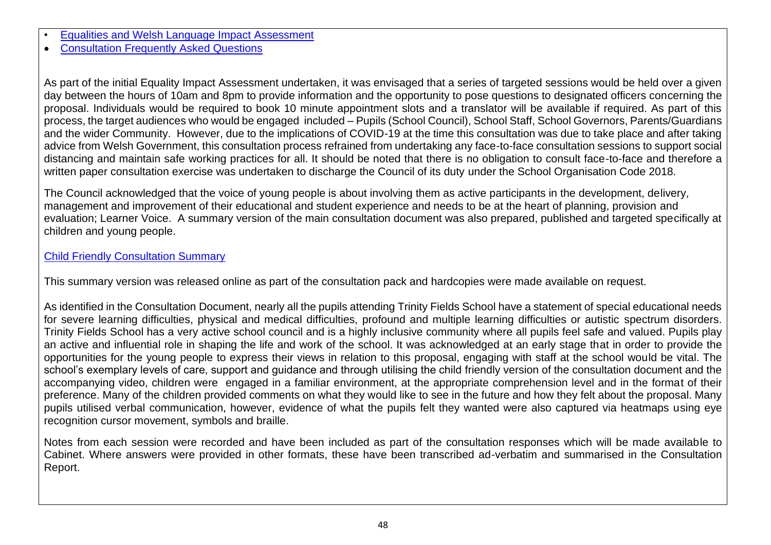- [Equalities and Welsh Language Impact Assessment](https://www.caerphilly.gov.uk/CaerphillyDocs/Consultations/Equality-and-Welsh-Language-Impact-Assessment-(Tri.aspx)
- [Consultation Frequently Asked Questions](https://www.caerphilly.gov.uk/Services/Schools-and-learning/21st-Century-Schools/21-Century-Schools-Consultation-FAQs)

As part of the initial Equality Impact Assessment undertaken, it was envisaged that a series of targeted sessions would be held over a given day between the hours of 10am and 8pm to provide information and the opportunity to pose questions to designated officers concerning the proposal. Individuals would be required to book 10 minute appointment slots and a translator will be available if required. As part of this process, the target audiences who would be engaged included – Pupils (School Council), School Staff, School Governors, Parents/Guardians and the wider Community. However, due to the implications of COVID-19 at the time this consultation was due to take place and after taking advice from Welsh Government, this consultation process refrained from undertaking any face-to-face consultation sessions to support social distancing and maintain safe working practices for all. It should be noted that there is no obligation to consult face-to-face and therefore a written paper consultation exercise was undertaken to discharge the Council of its duty under the School Organisation Code 2018.

The Council acknowledged that the voice of young people is about involving them as active participants in the development, delivery, management and improvement of their educational and student experience and needs to be at the heart of planning, provision and evaluation; Learner Voice. A summary version of the main consultation document was also prepared, published and targeted specifically at children and young people.

#### [Child Friendly Consultation Summary](https://www.caerphilly.gov.uk/CaerphillyDocs/Consultations/Child-Friendly-Consultation-Summary-(Trinity-Field.aspx)

This summary version was released online as part of the consultation pack and hardcopies were made available on request.

As identified in the Consultation Document, nearly all the pupils attending Trinity Fields School have a statement of special educational needs for severe learning difficulties, physical and medical difficulties, profound and multiple learning difficulties or autistic spectrum disorders. Trinity Fields School has a very active school council and is a highly inclusive community where all pupils feel safe and valued. Pupils play an active and influential role in shaping the life and work of the school. It was acknowledged at an early stage that in order to provide the opportunities for the young people to express their views in relation to this proposal, engaging with staff at the school would be vital. The school's exemplary levels of care, support and guidance and through utilising the child friendly version of the consultation document and the accompanying video, children were engaged in a familiar environment, at the appropriate comprehension level and in the format of their preference. Many of the children provided comments on what they would like to see in the future and how they felt about the proposal. Many pupils utilised verbal communication, however, evidence of what the pupils felt they wanted were also captured via heatmaps using eye recognition cursor movement, symbols and braille.

Notes from each session were recorded and have been included as part of the consultation responses which will be made available to Cabinet. Where answers were provided in other formats, these have been transcribed ad-verbatim and summarised in the Consultation Report.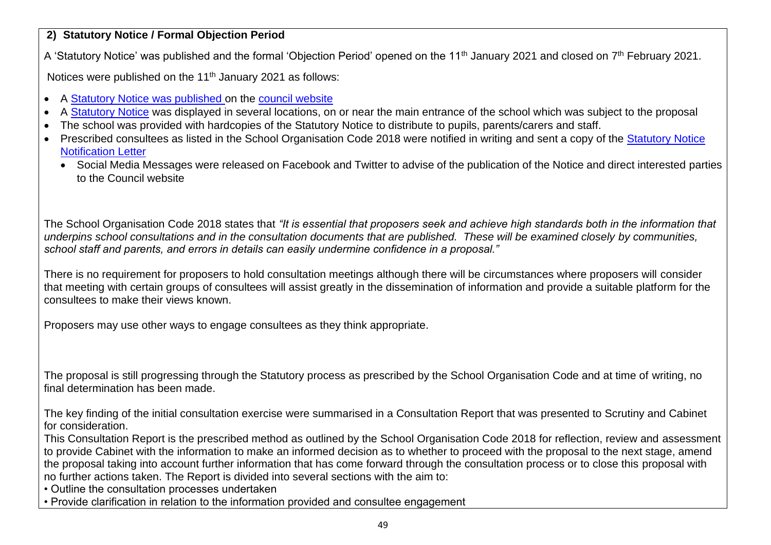## **2) Statutory Notice / Formal Objection Period**

A 'Statutory Notice' was published and the formal 'Objection Period' opened on the 11<sup>th</sup> January 2021 and closed on 7<sup>th</sup> February 2021.

Notices were published on the 11<sup>th</sup> January 2021 as follows:

- A [Statutory Notice](https://www.caerphilly.gov.uk/CaerphillyDocs/Consultations/Statutory-Notice-(Trinity-Fields).aspx) was published on the [council website](https://www.caerphilly.gov.uk/involved/Consultations/21st-Century-Schools-consultation)
- A [Statutory Notice](https://www.caerphilly.gov.uk/CaerphillyDocs/Consultations/Statutory-Notice-(Trinity-Fields).aspx) was displayed in several locations, on or near the main entrance of the school which was subject to the proposal
- The school was provided with hardcopies of the Statutory Notice to distribute to pupils, parents/carers and staff.
- Prescribed consultees as listed in the School Organisation Code 2018 were notified in writing and sent a copy of the Statutory Notice [Notification Letter](https://www.caerphilly.gov.uk/CaerphillyDocs/Consultations/Notification-Letter-Trinity-Fields.aspx)
	- Social Media Messages were released on Facebook and Twitter to advise of the publication of the Notice and direct interested parties to the Council website

The School Organisation Code 2018 states that *"It is essential that proposers seek and achieve high standards both in the information that underpins school consultations and in the consultation documents that are published. These will be examined closely by communities, school staff and parents, and errors in details can easily undermine confidence in a proposal."*

There is no requirement for proposers to hold consultation meetings although there will be circumstances where proposers will consider that meeting with certain groups of consultees will assist greatly in the dissemination of information and provide a suitable platform for the consultees to make their views known.

Proposers may use other ways to engage consultees as they think appropriate.

The proposal is still progressing through the Statutory process as prescribed by the School Organisation Code and at time of writing, no final determination has been made.

The key finding of the initial consultation exercise were summarised in a Consultation Report that was presented to Scrutiny and Cabinet for consideration.

This Consultation Report is the prescribed method as outlined by the School Organisation Code 2018 for reflection, review and assessment to provide Cabinet with the information to make an informed decision as to whether to proceed with the proposal to the next stage, amend the proposal taking into account further information that has come forward through the consultation process or to close this proposal with no further actions taken. The Report is divided into several sections with the aim to:

• Outline the consultation processes undertaken

• Provide clarification in relation to the information provided and consultee engagement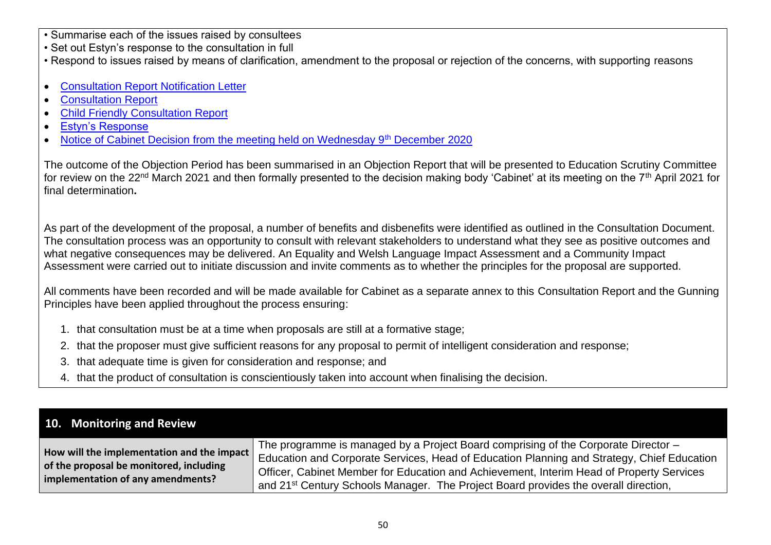- Summarise each of the issues raised by consultees
- Set out Estyn's response to the consultation in full
- Respond to issues raised by means of clarification, amendment to the proposal or rejection of the concerns, with supporting reasons
- [Consultation Report Notification Letter](https://www.caerphilly.gov.uk/CaerphillyDocs/Consultations/Consultation-Report-Notification-Letter-Trinity-Fi.aspx)
- [Consultation Report](https://www.caerphilly.gov.uk/CaerphillyDocs/Consultations/Trinity-Fields-Consultation-Report-2020.aspx)
- [Child Friendly Consultation Report](https://www.caerphilly.gov.uk/CaerphillyDocs/Consultations/Child-Friendly-Consultation-Report-(Trinity-Fields.aspx)
- [Estyn's Response](https://www.caerphilly.gov.uk/CaerphillyDocs/Consultations/Estyn-Response-Trinity-Fields-Special-School.aspx)
- [Notice of Cabinet Decision from the meeting held on Wednesday 9](https://democracy.caerphilly.gov.uk/documents/s33831/2020.12.09%20Cabinet%20Decision%20Notice.pdf?LLL=1)<sup>th</sup> December 2020

The outcome of the Objection Period has been summarised in an Objection Report that will be presented to Education Scrutiny Committee for review on the 22<sup>nd</sup> March 2021 and then formally presented to the decision making body 'Cabinet' at its meeting on the 7<sup>th</sup> April 2021 for final determination**.**

As part of the development of the proposal, a number of benefits and disbenefits were identified as outlined in the Consultation Document. The consultation process was an opportunity to consult with relevant stakeholders to understand what they see as positive outcomes and what negative consequences may be delivered. An Equality and Welsh Language Impact Assessment and a Community Impact Assessment were carried out to initiate discussion and invite comments as to whether the principles for the proposal are supported.

All comments have been recorded and will be made available for Cabinet as a separate annex to this Consultation Report and the Gunning Principles have been applied throughout the process ensuring:

- 1. that consultation must be at a time when proposals are still at a formative stage;
- 2. that the proposer must give sufficient reasons for any proposal to permit of intelligent consideration and response;
- 3. that adequate time is given for consideration and response; and
- 4. that the product of consultation is conscientiously taken into account when finalising the decision.

| 10. Monitoring and Review                                                                                                  |                                                                                                                                                                                                                                                                                                                                                                                 |
|----------------------------------------------------------------------------------------------------------------------------|---------------------------------------------------------------------------------------------------------------------------------------------------------------------------------------------------------------------------------------------------------------------------------------------------------------------------------------------------------------------------------|
| How will the implementation and the impact<br>of the proposal be monitored, including<br>implementation of any amendments? | The programme is managed by a Project Board comprising of the Corporate Director -<br>Education and Corporate Services, Head of Education Planning and Strategy, Chief Education<br>Officer, Cabinet Member for Education and Achievement, Interim Head of Property Services<br>and 21 <sup>st</sup> Century Schools Manager. The Project Board provides the overall direction, |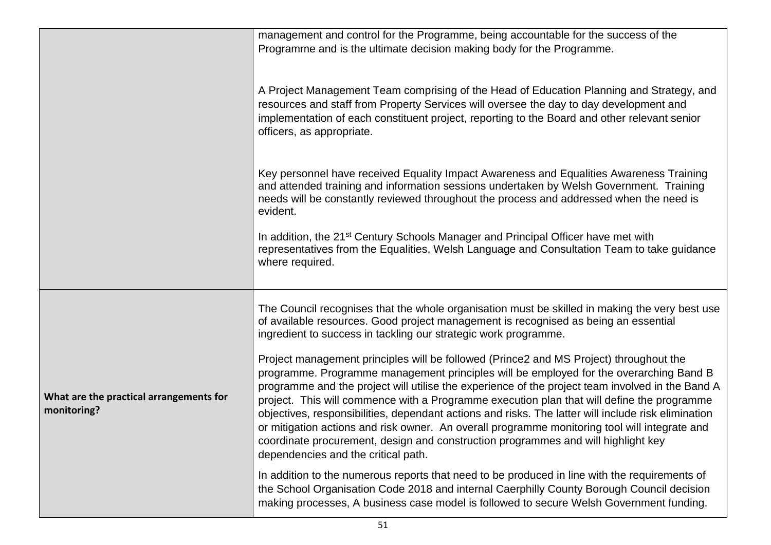|                                                        | management and control for the Programme, being accountable for the success of the<br>Programme and is the ultimate decision making body for the Programme.                                                                                                                                                                                                                                                                                                                                                                                                                                                                                                                                                            |
|--------------------------------------------------------|------------------------------------------------------------------------------------------------------------------------------------------------------------------------------------------------------------------------------------------------------------------------------------------------------------------------------------------------------------------------------------------------------------------------------------------------------------------------------------------------------------------------------------------------------------------------------------------------------------------------------------------------------------------------------------------------------------------------|
|                                                        | A Project Management Team comprising of the Head of Education Planning and Strategy, and<br>resources and staff from Property Services will oversee the day to day development and<br>implementation of each constituent project, reporting to the Board and other relevant senior<br>officers, as appropriate.                                                                                                                                                                                                                                                                                                                                                                                                        |
|                                                        | Key personnel have received Equality Impact Awareness and Equalities Awareness Training<br>and attended training and information sessions undertaken by Welsh Government. Training<br>needs will be constantly reviewed throughout the process and addressed when the need is<br>evident.                                                                                                                                                                                                                                                                                                                                                                                                                              |
|                                                        | In addition, the 21 <sup>st</sup> Century Schools Manager and Principal Officer have met with<br>representatives from the Equalities, Welsh Language and Consultation Team to take guidance<br>where required.                                                                                                                                                                                                                                                                                                                                                                                                                                                                                                         |
|                                                        | The Council recognises that the whole organisation must be skilled in making the very best use<br>of available resources. Good project management is recognised as being an essential<br>ingredient to success in tackling our strategic work programme.                                                                                                                                                                                                                                                                                                                                                                                                                                                               |
| What are the practical arrangements for<br>monitoring? | Project management principles will be followed (Prince2 and MS Project) throughout the<br>programme. Programme management principles will be employed for the overarching Band B<br>programme and the project will utilise the experience of the project team involved in the Band A<br>project. This will commence with a Programme execution plan that will define the programme<br>objectives, responsibilities, dependant actions and risks. The latter will include risk elimination<br>or mitigation actions and risk owner. An overall programme monitoring tool will integrate and<br>coordinate procurement, design and construction programmes and will highlight key<br>dependencies and the critical path. |
|                                                        | In addition to the numerous reports that need to be produced in line with the requirements of<br>the School Organisation Code 2018 and internal Caerphilly County Borough Council decision<br>making processes, A business case model is followed to secure Welsh Government funding.                                                                                                                                                                                                                                                                                                                                                                                                                                  |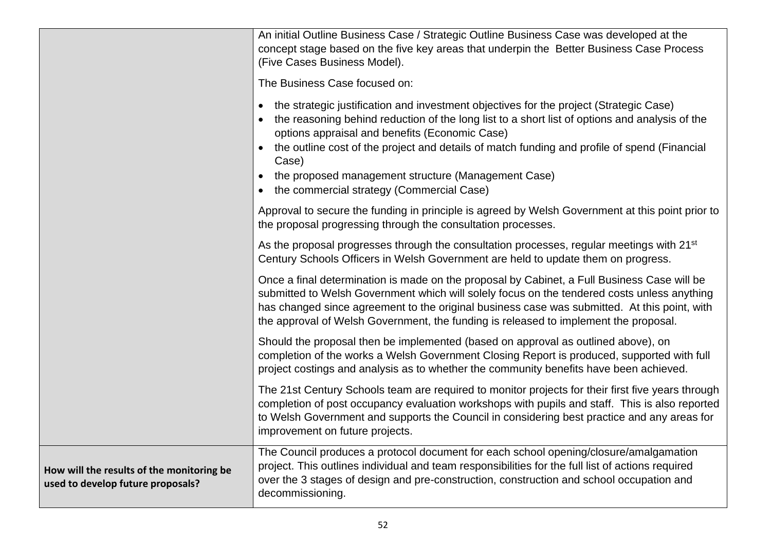|                                                                                | An initial Outline Business Case / Strategic Outline Business Case was developed at the<br>concept stage based on the five key areas that underpin the Better Business Case Process<br>(Five Cases Business Model).                                                                                                                                                                                                                                                                 |
|--------------------------------------------------------------------------------|-------------------------------------------------------------------------------------------------------------------------------------------------------------------------------------------------------------------------------------------------------------------------------------------------------------------------------------------------------------------------------------------------------------------------------------------------------------------------------------|
|                                                                                | The Business Case focused on:                                                                                                                                                                                                                                                                                                                                                                                                                                                       |
|                                                                                | the strategic justification and investment objectives for the project (Strategic Case)<br>$\bullet$<br>the reasoning behind reduction of the long list to a short list of options and analysis of the<br>options appraisal and benefits (Economic Case)<br>the outline cost of the project and details of match funding and profile of spend (Financial<br>Case)<br>the proposed management structure (Management Case)<br>$\bullet$<br>• the commercial strategy (Commercial Case) |
|                                                                                | Approval to secure the funding in principle is agreed by Welsh Government at this point prior to<br>the proposal progressing through the consultation processes.                                                                                                                                                                                                                                                                                                                    |
|                                                                                | As the proposal progresses through the consultation processes, regular meetings with 21 <sup>st</sup><br>Century Schools Officers in Welsh Government are held to update them on progress.                                                                                                                                                                                                                                                                                          |
|                                                                                | Once a final determination is made on the proposal by Cabinet, a Full Business Case will be<br>submitted to Welsh Government which will solely focus on the tendered costs unless anything<br>has changed since agreement to the original business case was submitted. At this point, with<br>the approval of Welsh Government, the funding is released to implement the proposal.                                                                                                  |
|                                                                                | Should the proposal then be implemented (based on approval as outlined above), on<br>completion of the works a Welsh Government Closing Report is produced, supported with full<br>project costings and analysis as to whether the community benefits have been achieved.                                                                                                                                                                                                           |
|                                                                                | The 21st Century Schools team are required to monitor projects for their first five years through<br>completion of post occupancy evaluation workshops with pupils and staff. This is also reported<br>to Welsh Government and supports the Council in considering best practice and any areas for<br>improvement on future projects.                                                                                                                                               |
| How will the results of the monitoring be<br>used to develop future proposals? | The Council produces a protocol document for each school opening/closure/amalgamation<br>project. This outlines individual and team responsibilities for the full list of actions required<br>over the 3 stages of design and pre-construction, construction and school occupation and<br>decommissioning.                                                                                                                                                                          |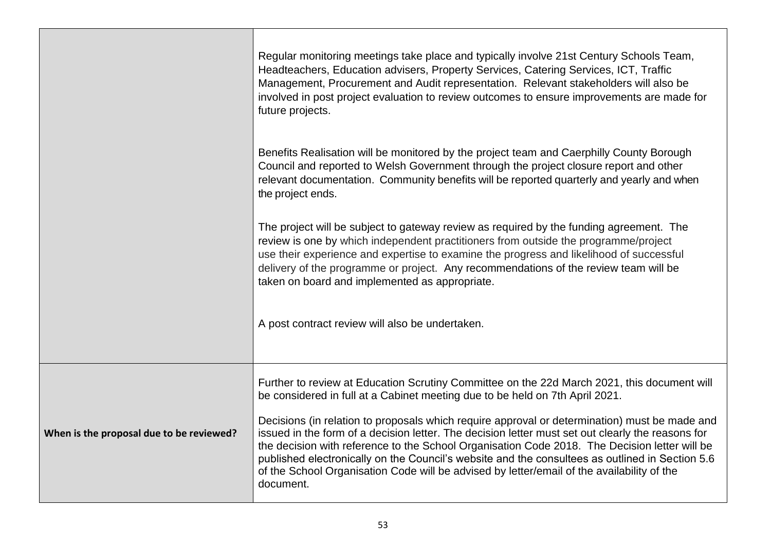|                                          | Regular monitoring meetings take place and typically involve 21st Century Schools Team,<br>Headteachers, Education advisers, Property Services, Catering Services, ICT, Traffic<br>Management, Procurement and Audit representation. Relevant stakeholders will also be<br>involved in post project evaluation to review outcomes to ensure improvements are made for<br>future projects.                                                                                                                                                                                                                                                                                                        |
|------------------------------------------|--------------------------------------------------------------------------------------------------------------------------------------------------------------------------------------------------------------------------------------------------------------------------------------------------------------------------------------------------------------------------------------------------------------------------------------------------------------------------------------------------------------------------------------------------------------------------------------------------------------------------------------------------------------------------------------------------|
|                                          | Benefits Realisation will be monitored by the project team and Caerphilly County Borough<br>Council and reported to Welsh Government through the project closure report and other<br>relevant documentation. Community benefits will be reported quarterly and yearly and when<br>the project ends.                                                                                                                                                                                                                                                                                                                                                                                              |
|                                          | The project will be subject to gateway review as required by the funding agreement. The<br>review is one by which independent practitioners from outside the programme/project<br>use their experience and expertise to examine the progress and likelihood of successful<br>delivery of the programme or project. Any recommendations of the review team will be<br>taken on board and implemented as appropriate.                                                                                                                                                                                                                                                                              |
|                                          | A post contract review will also be undertaken.                                                                                                                                                                                                                                                                                                                                                                                                                                                                                                                                                                                                                                                  |
| When is the proposal due to be reviewed? | Further to review at Education Scrutiny Committee on the 22d March 2021, this document will<br>be considered in full at a Cabinet meeting due to be held on 7th April 2021.<br>Decisions (in relation to proposals which require approval or determination) must be made and<br>issued in the form of a decision letter. The decision letter must set out clearly the reasons for<br>the decision with reference to the School Organisation Code 2018. The Decision letter will be<br>published electronically on the Council's website and the consultees as outlined in Section 5.6<br>of the School Organisation Code will be advised by letter/email of the availability of the<br>document. |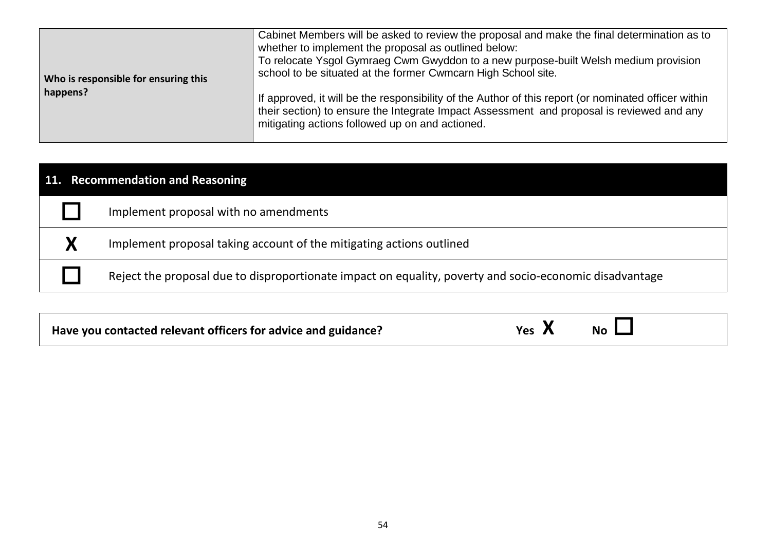| whether to implement the proposal as outlined below:<br>school to be situated at the former Cwmcarn High School site.<br>Who is responsible for ensuring this<br>happens?<br>mitigating actions followed up on and actioned. |  | Cabinet Members will be asked to review the proposal and make the final determination as to<br>To relocate Ysgol Gymraeg Cwm Gwyddon to a new purpose-built Welsh medium provision<br>If approved, it will be the responsibility of the Author of this report (or nominated officer within<br>their section) to ensure the Integrate Impact Assessment and proposal is reviewed and any |
|------------------------------------------------------------------------------------------------------------------------------------------------------------------------------------------------------------------------------|--|-----------------------------------------------------------------------------------------------------------------------------------------------------------------------------------------------------------------------------------------------------------------------------------------------------------------------------------------------------------------------------------------|
|------------------------------------------------------------------------------------------------------------------------------------------------------------------------------------------------------------------------------|--|-----------------------------------------------------------------------------------------------------------------------------------------------------------------------------------------------------------------------------------------------------------------------------------------------------------------------------------------------------------------------------------------|

| 11. Recommendation and Reasoning                                                                        |
|---------------------------------------------------------------------------------------------------------|
| Implement proposal with no amendments                                                                   |
| Implement proposal taking account of the mitigating actions outlined                                    |
| Reject the proposal due to disproportionate impact on equality, poverty and socio-economic disadvantage |

| Have you contacted relevant officers for advice and guidance? | Yes<br>Л | <b>No</b> |
|---------------------------------------------------------------|----------|-----------|
|---------------------------------------------------------------|----------|-----------|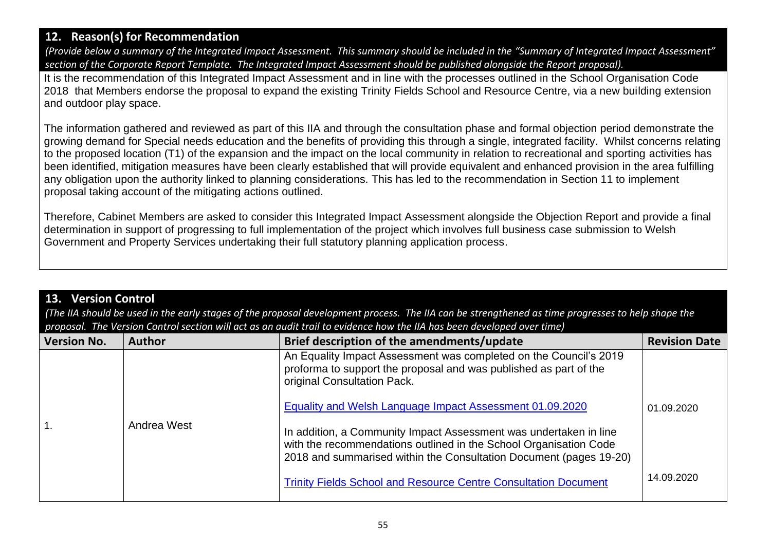## **12. Reason(s) for Recommendation**

*(Provide below a summary of the Integrated Impact Assessment. This summary should be included in the "Summary of Integrated Impact Assessment" section of the Corporate Report Template. The Integrated Impact Assessment should be published alongside the Report proposal).*

It is the recommendation of this Integrated Impact Assessment and in line with the processes outlined in the School Organisation Code 2018 that Members endorse the proposal to expand the existing Trinity Fields School and Resource Centre, via a new building extension and outdoor play space.

The information gathered and reviewed as part of this IIA and through the consultation phase and formal objection period demonstrate the growing demand for Special needs education and the benefits of providing this through a single, integrated facility. Whilst concerns relating to the proposed location (T1) of the expansion and the impact on the local community in relation to recreational and sporting activities has been identified, mitigation measures have been clearly established that will provide equivalent and enhanced provision in the area fulfilling any obligation upon the authority linked to planning considerations. This has led to the recommendation in Section 11 to implement proposal taking account of the mitigating actions outlined.

Therefore, Cabinet Members are asked to consider this Integrated Impact Assessment alongside the Objection Report and provide a final determination in support of progressing to full implementation of the project which involves full business case submission to Welsh Government and Property Services undertaking their full statutory planning application process.

| 13. Version Control<br>(The IIA should be used in the early stages of the proposal development process. The IIA can be strengthened as time progresses to help shape the<br>proposal. The Version Control section will act as an audit trail to evidence how the IIA has been developed over time) |               |                                                                                                                                                                                                                                                                                                                                                                                                                                                   |                      |  |
|----------------------------------------------------------------------------------------------------------------------------------------------------------------------------------------------------------------------------------------------------------------------------------------------------|---------------|---------------------------------------------------------------------------------------------------------------------------------------------------------------------------------------------------------------------------------------------------------------------------------------------------------------------------------------------------------------------------------------------------------------------------------------------------|----------------------|--|
| <b>Version No.</b>                                                                                                                                                                                                                                                                                 | <b>Author</b> | Brief description of the amendments/update                                                                                                                                                                                                                                                                                                                                                                                                        | <b>Revision Date</b> |  |
|                                                                                                                                                                                                                                                                                                    | Andrea West   | An Equality Impact Assessment was completed on the Council's 2019<br>proforma to support the proposal and was published as part of the<br>original Consultation Pack.<br>Equality and Welsh Language Impact Assessment 01.09.2020<br>In addition, a Community Impact Assessment was undertaken in line<br>with the recommendations outlined in the School Organisation Code<br>2018 and summarised within the Consultation Document (pages 19-20) | 01.09.2020           |  |
|                                                                                                                                                                                                                                                                                                    |               | <b>Trinity Fields School and Resource Centre Consultation Document</b>                                                                                                                                                                                                                                                                                                                                                                            | 14.09.2020           |  |